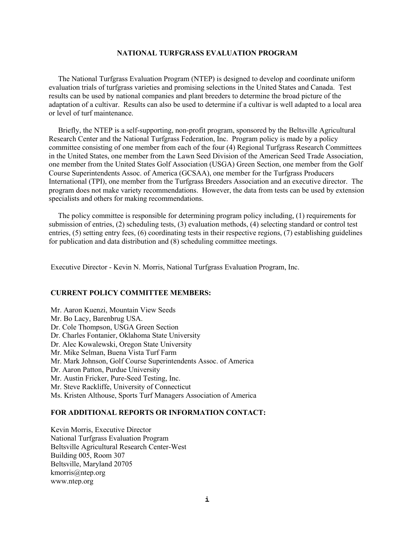# **NATIONAL TURFGRASS EVALUATION PROGRAM**

 The National Turfgrass Evaluation Program (NTEP) is designed to develop and coordinate uniform evaluation trials of turfgrass varieties and promising selections in the United States and Canada. Test results can be used by national companies and plant breeders to determine the broad picture of the adaptation of a cultivar. Results can also be used to determine if a cultivar is well adapted to a local area or level of turf maintenance.

 Briefly, the NTEP is a self-supporting, non-profit program, sponsored by the Beltsville Agricultural Research Center and the National Turfgrass Federation, Inc. Program policy is made by a policy committee consisting of one member from each of the four (4) Regional Turfgrass Research Committees in the United States, one member from the Lawn Seed Division of the American Seed Trade Association, one member from the United States Golf Association (USGA) Green Section, one member from the Golf Course Superintendents Assoc. of America (GCSAA), one member for the Turfgrass Producers International (TPI), one member from the Turfgrass Breeders Association and an executive director. The program does not make variety recommendations. However, the data from tests can be used by extension specialists and others for making recommendations.

 The policy committee is responsible for determining program policy including, (1) requirements for submission of entries, (2) scheduling tests, (3) evaluation methods, (4) selecting standard or control test entries, (5) setting entry fees, (6) coordinating tests in their respective regions, (7) establishing guidelines for publication and data distribution and (8) scheduling committee meetings.

Executive Director - Kevin N. Morris, National Turfgrass Evaluation Program, Inc.

## **CURRENT POLICY COMMITTEE MEMBERS:**

Mr. Aaron Kuenzi, Mountain View Seeds Mr. Bo Lacy, Barenbrug USA. Dr. Cole Thompson, USGA Green Section Dr. Charles Fontanier, Oklahoma State University Dr. Alec Kowalewski, Oregon State University Mr. Mike Selman, Buena Vista Turf Farm Mr. Mark Johnson, Golf Course Superintendents Assoc. of America Dr. Aaron Patton, Purdue University Mr. Austin Fricker, Pure-Seed Testing, Inc. Mr. Steve Rackliffe, University of Connecticut Ms. Kristen Althouse, Sports Turf Managers Association of America

# **FOR ADDITIONAL REPORTS OR INFORMATION CONTACT:**

Kevin Morris, Executive Director National Turfgrass Evaluation Program Beltsville Agricultural Research Center-West Building 005, Room 307 Beltsville, Maryland 20705 [kmorris@ntep.org](mailto:kmorris@ntep.org) [www.ntep.org](http://www.ntep.org/)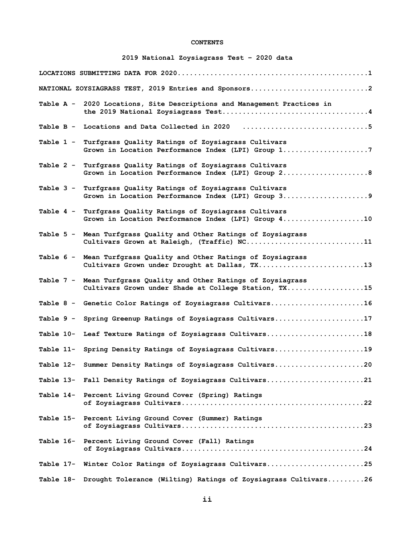# **CONTENTS**

# **2019 National Zoysiagrass Test – 2020 data**

|           | NATIONAL ZOYSIAGRASS TEST, 2019 Entries and Sponsors2                                                                     |
|-----------|---------------------------------------------------------------------------------------------------------------------------|
|           | Table A - 2020 Locations, Site Descriptions and Management Practices in                                                   |
| Table B - |                                                                                                                           |
| Table 1 - | Turfgrass Quality Ratings of Zoysiagrass Cultivars<br>Grown in Location Performance Index (LPI) Group 17                  |
|           | Table 2 - Turfgrass Quality Ratings of Zoysiagrass Cultivars<br>Grown in Location Performance Index (LPI) Group 28        |
| Table 3 - | Turfgrass Quality Ratings of Zoysiagrass Cultivars<br>Grown in Location Performance Index (LPI) Group 39                  |
| Table 4 - | Turfgrass Quality Ratings of Zoysiagrass Cultivars<br>Grown in Location Performance Index (LPI) Group 410                 |
|           | Table 5 - Mean Turfgrass Quality and Other Ratings of Zoysiagrass<br>Cultivars Grown at Raleigh, (Traffic) NC11           |
|           | Table 6 - Mean Turfgrass Quality and Other Ratings of Zoysiagrass<br>Cultivars Grown under Drought at Dallas, TX13        |
|           | Table 7 - Mean Turfgrass Quality and Other Ratings of Zoysiagrass<br>Cultivars Grown under Shade at College Station, TX15 |
|           | Table 8 - Genetic Color Ratings of Zoysiagrass Cultivars16                                                                |
| Table 9 - | Spring Greenup Ratings of Zoysiagrass Cultivars17                                                                         |
| Table 10- | Leaf Texture Ratings of Zoysiagrass Cultivars18                                                                           |
| Table 11- | Spring Density Ratings of Zoysiagrass Cultivars19                                                                         |
|           | Table 12- Summer Density Ratings of Zoysiagrass Cultivars20                                                               |
|           | Table 13- Fall Density Ratings of Zoysiagrass Cultivars21                                                                 |
|           | Table 14- Percent Living Ground Cover (Spring) Ratings                                                                    |
|           | Table 15- Percent Living Ground Cover (Summer) Ratings                                                                    |
|           | Table 16- Percent Living Ground Cover (Fall) Ratings                                                                      |
|           | Table 17- Winter Color Ratings of Zoysiagrass Cultivars25                                                                 |
|           | Table 18- Drought Tolerance (Wilting) Ratings of Zoysiagrass Cultivars26                                                  |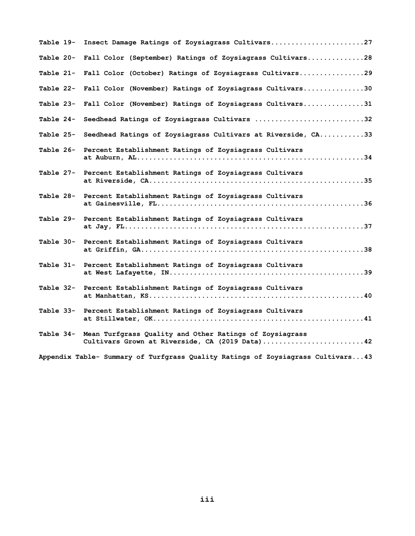| Table 19- | Insect Damage Ratings of Zoysiagrass Cultivars27                                                          |
|-----------|-----------------------------------------------------------------------------------------------------------|
| Table 20- | Fall Color (September) Ratings of Zoysiagrass Cultivars28                                                 |
| Table 21- | Fall Color (October) Ratings of Zoysiagrass Cultivars29                                                   |
| Table 22- | Fall Color (November) Ratings of Zoysiagrass Cultivars30                                                  |
| Table 23- | Fall Color (November) Ratings of Zoysiagrass Cultivars31                                                  |
| Table 24- | Seedhead Ratings of Zoysiagrass Cultivars 32                                                              |
| Table 25- | Seedhead Ratings of Zoysiagrass Cultivars at Riverside, CA33                                              |
| Table 26- | Percent Establishment Ratings of Zoysiagrass Cultivars                                                    |
| Table 27- | Percent Establishment Ratings of Zoysiagrass Cultivars                                                    |
| Table 28- | Percent Establishment Ratings of Zoysiagrass Cultivars                                                    |
| Table 29- | Percent Establishment Ratings of Zoysiagrass Cultivars                                                    |
| Table 30- | Percent Establishment Ratings of Zoysiagrass Cultivars                                                    |
|           | Table 31- Percent Establishment Ratings of Zoysiagrass Cultivars                                          |
|           | Table 32- Percent Establishment Ratings of Zoysiagrass Cultivars                                          |
| Table 33- | Percent Establishment Ratings of Zoysiagrass Cultivars                                                    |
| Table 34- | Mean Turfgrass Quality and Other Ratings of Zoysiagrass<br>Cultivars Grown at Riverside, CA (2019 Data)42 |
|           | Appendix Table- Summary of Turfgrass Quality Ratings of Zoysiagrass Cultivars43                           |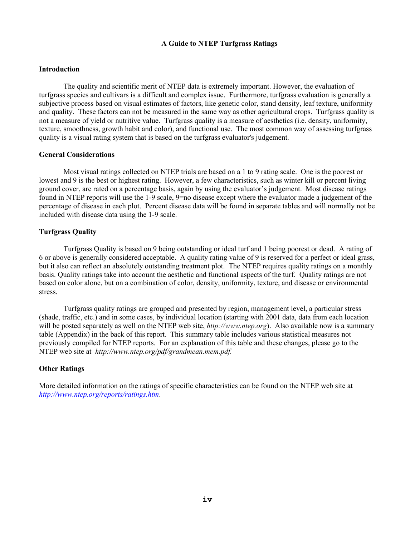# **A Guide to NTEP Turfgrass Ratings**

# **Introduction**

The quality and scientific merit of NTEP data is extremely important. However, the evaluation of turfgrass species and cultivars is a difficult and complex issue. Furthermore, turfgrass evaluation is generally a subjective process based on visual estimates of factors, like genetic color, stand density, leaf texture, uniformity and quality. These factors can not be measured in the same way as other agricultural crops. Turfgrass quality is not a measure of yield or nutritive value. Turfgrass quality is a measure of aesthetics (i.e. density, uniformity, texture, smoothness, growth habit and color), and functional use. The most common way of assessing turfgrass quality is a visual rating system that is based on the turfgrass evaluator's judgement.

# **General Considerations**

Most visual ratings collected on NTEP trials are based on a 1 to 9 rating scale. One is the poorest or lowest and 9 is the best or highest rating. However, a few characteristics, such as winter kill or percent living ground cover, are rated on a percentage basis, again by using the evaluator's judgement. Most disease ratings found in NTEP reports will use the 1-9 scale, 9=no disease except where the evaluator made a judgement of the percentage of disease in each plot. Percent disease data will be found in separate tables and will normally not be included with disease data using the 1-9 scale.

# **Turfgrass Quality**

Turfgrass Quality is based on 9 being outstanding or ideal turf and 1 being poorest or dead. A rating of 6 or above is generally considered acceptable. A quality rating value of 9 is reserved for a perfect or ideal grass, but it also can reflect an absolutely outstanding treatment plot. The NTEP requires quality ratings on a monthly basis. Quality ratings take into account the aesthetic and functional aspects of the turf. Quality ratings are not based on color alone, but on a combination of color, density, uniformity, texture, and disease or environmental stress.

Turfgrass quality ratings are grouped and presented by region, management level, a particular stress (shade, traffic, etc.) and in some cases, by individual location (starting with 2001 data, data from each location will be posted separately as well on the NTEP web site, *http://www.ntep.org*). Also available now is a summary table (Appendix) in the back of this report. This summary table includes various statistical measures not previously compiled for NTEP reports. For an explanation of this table and these changes, please go to the NTEP web site at *http://www.ntep.org/pdf/grandmean.mem.pdf.*

# **Other Ratings**

More detailed information on the ratings of specific characteristics can be found on the NTEP web site at *[http://www.ntep.org/reports/ratings.htm](http://www.ntep.org/reports/ratings.htm.)*.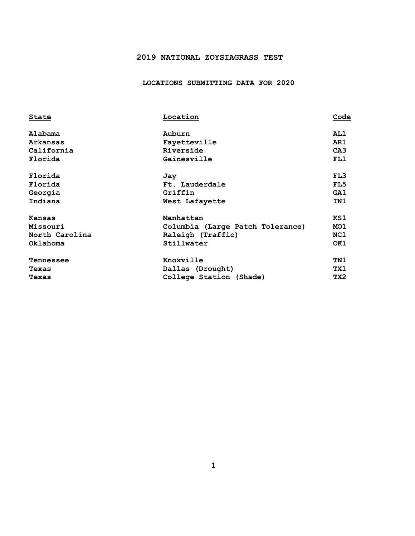# **2019 NATIONAL ZOYSIAGRASS TEST**

 **LOCATIONS SUBMITTING DATA FOR 2020**

| State            | Location                         | Code            |
|------------------|----------------------------------|-----------------|
| Alabama          | Auburn                           | AL1             |
| Arkansas         | Fayetteville                     | AR1             |
| California       | Riverside                        | CA <sub>3</sub> |
| Florida          | Gainesville                      | FL1             |
| Florida          | Jay                              | FL3             |
| Florida          | Ft. Lauderdale                   | FL5             |
| Georgia          | Griffin                          | GA1             |
| Indiana          | West Lafayette                   | IN1             |
| <b>Kansas</b>    | Manhattan                        | KS1             |
| Missouri         | Columbia (Large Patch Tolerance) | MO <sub>1</sub> |
| North Carolina   | Raleigh (Traffic)                | NC1             |
| Oklahoma         | Stillwater                       | OK1             |
| <b>Tennessee</b> | Knoxville                        | TN1             |
| Texas            | Dallas (Drought)                 | TX1             |
| Texas            | College Station (Shade)          | TX2             |
|                  |                                  |                 |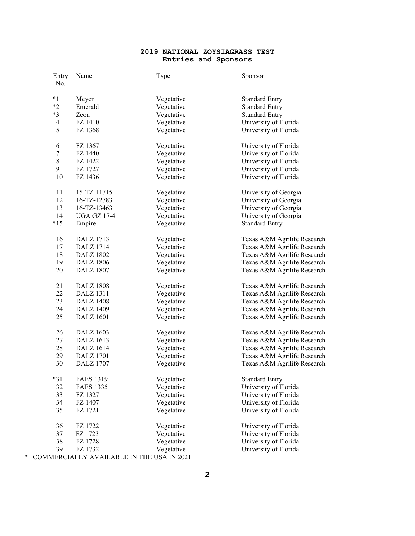# **NATIONAL ZOYSIAGRASS TEST Entries and Sponsors**

|   | Entry<br>No.   | Name                                      | Type       | Sponsor                     |
|---|----------------|-------------------------------------------|------------|-----------------------------|
|   | $*1$           | Meyer                                     | Vegetative | <b>Standard Entry</b>       |
|   | $*2$           | Emerald                                   | Vegetative | <b>Standard Entry</b>       |
|   | $*3$           | Zeon                                      | Vegetative | <b>Standard Entry</b>       |
|   | $\overline{4}$ | FZ 1410                                   | Vegetative | University of Florida       |
|   | 5              | FZ 1368                                   | Vegetative | University of Florida       |
|   | 6              | FZ 1367                                   | Vegetative | University of Florida       |
|   | $\tau$         | FZ 1440                                   | Vegetative | University of Florida       |
|   | $8\,$          | FZ 1422                                   | Vegetative | University of Florida       |
|   | $\overline{9}$ | FZ 1727                                   | Vegetative | University of Florida       |
|   | 10             | FZ 1436                                   | Vegetative | University of Florida       |
|   | 11             | $15 - TZ - 11715$                         | Vegetative | University of Georgia       |
|   | 12             | 16-TZ-12783                               | Vegetative | University of Georgia       |
|   | 13             | 16-TZ-13463                               | Vegetative | University of Georgia       |
|   | 14             | <b>UGA GZ 17-4</b>                        | Vegetative | University of Georgia       |
|   | $*15$          | Empire                                    | Vegetative | <b>Standard Entry</b>       |
|   | 16             | <b>DALZ</b> 1713                          | Vegetative | Texas A&M Agrilife Research |
|   | 17             | DALZ 1714                                 | Vegetative | Texas A&M Agrilife Research |
|   | 18             | DALZ 1802                                 | Vegetative | Texas A&M Agrilife Research |
|   | 19             | <b>DALZ 1806</b>                          | Vegetative | Texas A&M Agrilife Research |
|   | $20\,$         | <b>DALZ 1807</b>                          | Vegetative | Texas A&M Agrilife Research |
|   | 21             | <b>DALZ 1808</b>                          | Vegetative | Texas A&M Agrilife Research |
|   | 22             | <b>DALZ</b> 1311                          | Vegetative | Texas A&M Agrilife Research |
|   | 23             | <b>DALZ</b> 1408                          | Vegetative | Texas A&M Agrilife Research |
|   | 24             | <b>DALZ 1409</b>                          | Vegetative | Texas A&M Agrilife Research |
|   | 25             | <b>DALZ</b> 1601                          | Vegetative | Texas A&M Agrilife Research |
|   | 26             | DALZ 1603                                 | Vegetative | Texas A&M Agrilife Research |
|   | 27             | DALZ 1613                                 | Vegetative | Texas A&M Agrilife Research |
|   | 28             | DALZ 1614                                 | Vegetative | Texas A&M Agrilife Research |
|   | 29             | <b>DALZ</b> 1701                          | Vegetative | Texas A&M Agrilife Research |
|   | 30             | <b>DALZ 1707</b>                          | Vegetative | Texas A&M Agrilife Research |
|   | $*31$          | <b>FAES 1319</b>                          | Vegetative | <b>Standard Entry</b>       |
|   | 32             | <b>FAES 1335</b>                          | Vegetative | University of Florida       |
|   | 33             | FZ 1327                                   | Vegetative | University of Florida       |
|   | 34             | FZ 1407                                   | Vegetative | University of Florida       |
|   | 35             | FZ 1721                                   | Vegetative | University of Florida       |
|   | 36             | FZ 1722                                   | Vegetative | University of Florida       |
|   | 37             | FZ 1723                                   | Vegetative | University of Florida       |
|   | 38             | FZ 1728                                   | Vegetative | University of Florida       |
|   | 39             | FZ 1732                                   | Vegetative | University of Florida       |
| * |                | COMMERCIALLY AVAILABLE IN THE USA IN 2021 |            |                             |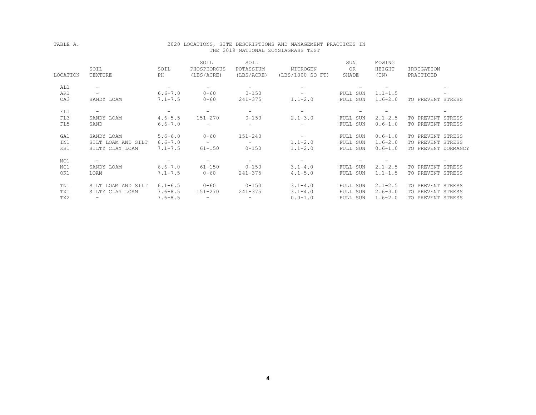## TABLE A. 2020 LOCATIONS, SITE DESCRIPTIONS AND MANAGEMENT PRACTICES IN THE 2019 NATIONAL ZOYSIAGRASS TEST

|          |                          |                          | SOIL                     | SOIL                     |                          | SUN                      | MOWING      |                          |
|----------|--------------------------|--------------------------|--------------------------|--------------------------|--------------------------|--------------------------|-------------|--------------------------|
|          | SOIL                     | SOIL                     | PHOSPHOROUS              | POTASSIUM                | NITROGEN                 | 0 <sub>R</sub>           | HEIGHT      | IRRIGATION               |
| LOCATION | TEXTURE                  | PH                       | (LBS/ACRE)               | (LBS/ACRE)               | (LBS/1000 SO FT)         | SHADE                    | (TN)        | PRACTICED                |
| AL1      | $\overline{\phantom{a}}$ | $\overline{\phantom{a}}$ | -                        | $\qquad \qquad -$        | $-$                      |                          |             | $\overline{\phantom{0}}$ |
| AR1      | $\overline{\phantom{0}}$ | $6.6 - 7.0$              | $0 - 60$                 | $0 - 150$                | $\overline{\phantom{0}}$ | FULL SUN                 | $1.1 - 1.5$ |                          |
| CA3      | SANDY LOAM               | $7.1 - 7.5$              | $0 - 60$                 | $241 - 375$              | $1.1 - 2.0$              | FULL SUN                 | $1.6 - 2.0$ | TO PREVENT STRESS        |
| FL1      | $\overline{\phantom{a}}$ | $\overline{\phantom{m}}$ | $\overline{\phantom{a}}$ | $\overline{\phantom{m}}$ | $\overline{\phantom{a}}$ | $-$                      |             | -                        |
| FL3      | SANDY LOAM               | $4.6 - 5.5$              | 151-270                  | $0 - 150$                | $2.1 - 3.0$              | FULL SUN                 | $2.1 - 2.5$ | TO PREVENT STRESS        |
| FL5      | SAND                     | $6.6 - 7.0$              | $\overline{\phantom{m}}$ | $\qquad \qquad -$        |                          | FULL SUN                 | $0.6 - 1.0$ | TO PREVENT STRESS        |
| GA1      | SANDY LOAM               | $5.6 - 6.0$              | $0 - 60$                 | $151 - 240$              | $-$                      | FULL SUN                 | $0.6 - 1.0$ | TO PREVENT STRESS        |
| IN1      | SILT LOAM AND SILT       | $6.6 - 7.0$              | $\sim$                   | $\qquad \qquad -$        | $1.1 - 2.0$              | FULL SUN                 | $1.6 - 2.0$ | TO PREVENT STRESS        |
| KS1      | SILTY CLAY LOAM          | $7.1 - 7.5$              | $61 - 150$               | $0 - 150$                | $1.1 - 2.0$              | FULL SUN                 | $0.6 - 1.0$ | TO PREVENT DORMANCY      |
| MO1      | $\overline{\phantom{a}}$ | $\overline{\phantom{a}}$ | $\overline{\phantom{a}}$ | $\overline{\phantom{m}}$ | $\overline{\phantom{a}}$ | $\overline{\phantom{0}}$ |             |                          |
| NC1      | SANDY LOAM               | $6.6 - 7.0$              | $61 - 150$               | $0 - 150$                | $3.1 - 4.0$              | FULL SUN                 | $2.1 - 2.5$ | TO PREVENT STRESS        |
| OK1      | LOAM                     | $7.1 - 7.5$              | $0 - 60$                 | $241 - 375$              | $4.1 - 5.0$              | FULL SUN                 | $1.1 - 1.5$ | TO PREVENT STRESS        |
| TN1      | SILT LOAM AND SILT       | $6.1 - 6.5$              | $0 - 60$                 | $0 - 150$                | $3.1 - 4.0$              | FULL SUN                 | $2.1 - 2.5$ | TO PREVENT STRESS        |
| TX1      | SILTY CLAY LOAM          | $7.6 - 8.5$              | $151 - 270$              | $241 - 375$              | $3.1 - 4.0$              | FULL SUN                 | $2.6 - 3.0$ | TO PREVENT STRESS        |
| TX2      | $\overline{\phantom{m}}$ | $7.6 - 8.5$              | $\overline{\phantom{a}}$ |                          | $0.0 - 1.0$              | FULL SUN                 | $1.6 - 2.0$ | TO PREVENT STRESS        |
|          |                          |                          |                          |                          |                          |                          |             |                          |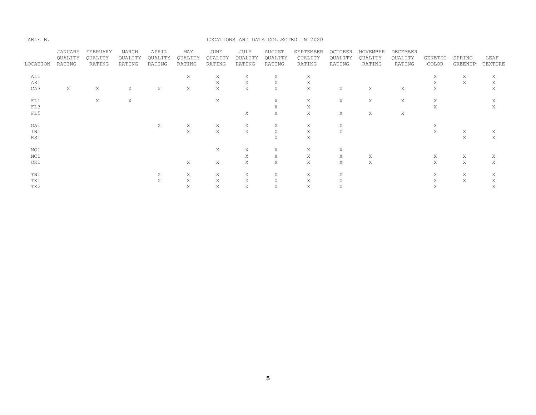#### TABLE B. LOCATIONS AND DATA COLLECTED IN 2020

|          | JANUARY | FEBRUARY | MARCH   | APRIL   | MAY     | JUNE    | JULY    | <b>AUGUST</b> | SEPTEMBER | OCTOBER | NOVEMBER | DECEMBER |         |         |         |
|----------|---------|----------|---------|---------|---------|---------|---------|---------------|-----------|---------|----------|----------|---------|---------|---------|
|          | QUALITY | QUALITY  | QUALITY | QUALITY | QUALITY | QUALITY | QUALITY | QUALITY       | QUALITY   | QUALITY | QUALITY  | QUALITY  | GENETIC | SPRING  | LEAF    |
| LOCATION | RATING  | RATING   | RATING  | RATING  | RATING  | RATING  | RATING  | RATING        | RATING    | RATING  | RATING   | RATING   | COLOR   | GREENUP | TEXTURE |
| AL1      |         |          |         |         | X       | X       | Χ       | Χ             | Χ         |         |          |          | Χ       | Χ       | Χ       |
| AR1      |         |          |         |         |         | Χ       | Χ       | Χ             | Χ         |         |          |          | Χ       | Χ       | Χ       |
| CA3      | X       | Χ        | Χ       | Χ       | Χ       | Χ       | X       | X             | X         | Χ       | Χ        | Χ        | Χ       |         | X       |
|          |         |          |         |         |         |         |         |               |           |         |          |          |         |         |         |
| FL1      |         | Χ        | Χ       |         |         | Χ       |         | Χ             | X         | Χ       | Χ        | Χ        | Χ       |         | Χ       |
| FL3      |         |          |         |         |         |         |         | X             | X         |         |          |          | Χ       |         | Χ       |
| FL5      |         |          |         |         |         |         | Χ       | X             | X         | X       | Χ        | Χ        |         |         |         |
| GA1      |         |          |         | X       | Χ       | X       | X       | Χ             | X         | X       |          |          | X       |         |         |
| IN1      |         |          |         |         | X       | Χ       | Χ       | Χ             | Χ         | Χ       |          |          | X       | Χ       | Χ       |
| KS1      |         |          |         |         |         |         |         | Χ             | X         |         |          |          |         | Χ       | X       |
|          |         |          |         |         |         |         |         |               |           |         |          |          |         |         |         |
| MO1      |         |          |         |         |         | X       | Χ       | Χ             | X         | Χ       |          |          |         |         |         |
| NC1      |         |          |         |         |         |         | Χ       | Χ             | X         | Χ       | Χ        |          | Χ       | Χ       | Χ       |
| OK1      |         |          |         |         | Χ       | Χ       | X       | X             | X         | X       | X        |          | X       | Χ       | X       |
|          |         |          |         |         |         |         |         |               |           |         |          |          |         |         |         |
| TN1      |         |          |         | X       | Χ       | X       | Χ       | Χ             | X         | Χ       |          |          | X       | Χ       | Χ       |
| TX1      |         |          |         | X       | Χ       | Χ       | Χ       | Χ             | Χ         | Χ       |          |          | X       | Χ       | Χ       |
| TX2      |         |          |         |         | Χ       | Χ       | Χ       | Χ             | Χ         | Χ       |          |          | Χ       |         | Χ       |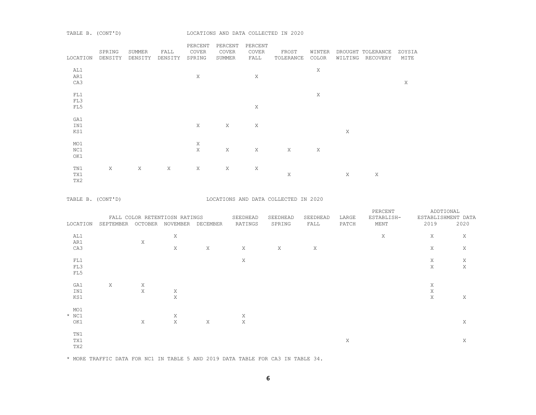| LOCATION | SPRING<br>DENSITY         | SUMMER<br>DENSITY | FALL<br>DENSITY | PERCENT<br>COVER<br>SPRING | PERCENT<br>COVER<br>SUMMER | PERCENT<br>COVER<br>FALL | FROST<br>TOLERANCE | WINTER<br>COLOR |   | DROUGHT TOLERANCE<br>WILTING RECOVERY | ZOYSIA<br>MITE |
|----------|---------------------------|-------------------|-----------------|----------------------------|----------------------------|--------------------------|--------------------|-----------------|---|---------------------------------------|----------------|
| AL1      |                           |                   |                 |                            |                            |                          |                    | Χ               |   |                                       |                |
| AR1      |                           |                   |                 | Χ                          |                            | Χ                        |                    |                 |   |                                       |                |
| CA3      |                           |                   |                 |                            |                            |                          |                    |                 |   |                                       | Χ              |
|          |                           |                   |                 |                            |                            |                          |                    |                 |   |                                       |                |
| FL1      |                           |                   |                 |                            |                            |                          |                    | Χ               |   |                                       |                |
| FL3      |                           |                   |                 |                            |                            |                          |                    |                 |   |                                       |                |
| FL5      |                           |                   |                 |                            |                            | Χ                        |                    |                 |   |                                       |                |
|          |                           |                   |                 |                            |                            |                          |                    |                 |   |                                       |                |
| GA1      |                           |                   |                 |                            |                            |                          |                    |                 |   |                                       |                |
| IN1      |                           |                   |                 | $\mathbf X$                | Χ                          | Χ                        |                    |                 |   |                                       |                |
| KS1      |                           |                   |                 |                            |                            |                          |                    |                 | X |                                       |                |
|          |                           |                   |                 |                            |                            |                          |                    |                 |   |                                       |                |
| MO1      |                           |                   |                 | X                          |                            |                          |                    |                 |   |                                       |                |
| NC1      |                           |                   |                 | $\mathbf X$                | Χ                          | X                        | X                  | Χ               |   |                                       |                |
| OK1      |                           |                   |                 |                            |                            |                          |                    |                 |   |                                       |                |
|          |                           |                   |                 |                            |                            |                          |                    |                 |   |                                       |                |
| TN1      | $\boldsymbol{\mathrm{X}}$ | X                 | X               | X                          | Χ                          | Χ                        |                    |                 |   |                                       |                |
| TX1      |                           |                   |                 |                            |                            |                          | X                  |                 | X | $\boldsymbol{\mathsf{X}}$             |                |
| TX2      |                           |                   |                 |                            |                            |                          |                    |                 |   |                                       |                |
|          |                           |                   |                 |                            |                            |                          |                    |                 |   |                                       |                |

TABLE B. (CONT'D) LOCATIONS AND DATA COLLECTED IN 2020

|          |           |         | FALL COLOR RETENTIOSN RATINGS |          | SEEDHEAD | SEEDHEAD | SEEDHEAD | LARGE | PERCENT<br>ESTABLISH- | ADDTIONAL<br>ESTABLISHMENT DATA |      |
|----------|-----------|---------|-------------------------------|----------|----------|----------|----------|-------|-----------------------|---------------------------------|------|
| LOCATION | SEPTEMBER | OCTOBER | NOVEMBER                      | DECEMBER | RATINGS  | SPRING   | FALL     | PATCH | MENT                  | 2019                            | 2020 |
| AL1      |           |         | X                             |          |          |          |          |       | Χ                     | Χ                               | X    |
| AR1      |           | Χ       |                               |          |          |          |          |       |                       |                                 |      |
| CA3      |           |         | X                             | X        | X        | X        | Χ        |       |                       | Χ                               | X    |
| FL1      |           |         |                               |          | Χ        |          |          |       |                       | X                               | X    |
| FL3      |           |         |                               |          |          |          |          |       |                       | Χ                               | X    |
| FL5      |           |         |                               |          |          |          |          |       |                       |                                 |      |
| GA1      | X         | Χ       |                               |          |          |          |          |       |                       | X                               |      |
| IN1      |           | Χ       | X                             |          |          |          |          |       |                       | Χ                               |      |
| KS1      |           |         | X                             |          |          |          |          |       |                       | Χ                               | X    |
| MO1      |           |         |                               |          |          |          |          |       |                       |                                 |      |
| $*$ NC1  |           |         | Χ                             |          | X        |          |          |       |                       |                                 |      |
| OK1      |           | Χ       | X                             | X        | X        |          |          |       |                       |                                 | X    |
| TN1      |           |         |                               |          |          |          |          |       |                       |                                 |      |
| TX1      |           |         |                               |          |          |          |          | Χ     |                       |                                 | Χ    |
| TX2      |           |         |                               |          |          |          |          |       |                       |                                 |      |

\* MORE TRAFFIC DATA FOR NC1 IN TABLE 5 AND 2019 DATA TABLE FOR CA3 IN TABLE 34.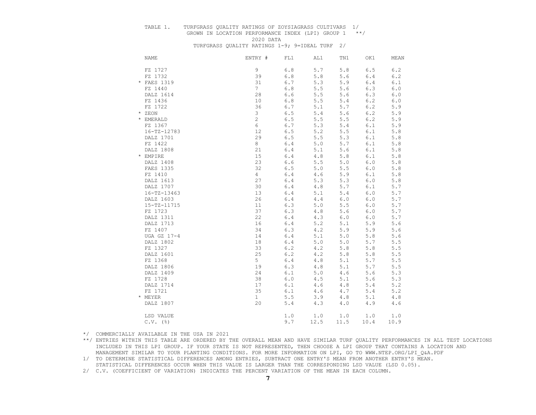# TABLE 1. TURFGRASS QUALITY RATINGS OF ZOYSIAGRASS CULTIVARS 1/ GROWN IN LOCATION PERFORMANCE INDEX (LPI) GROUP 1 \*\*/

2020 DATA

TURFGRASS QUALITY RATINGS 1-9; 9=IDEAL TURF 2/

| <b>NAME</b>       | ENTRY #         | FL1     | AL1   | TN1   | OK1   | MEAN  |
|-------------------|-----------------|---------|-------|-------|-------|-------|
| FZ 1727           | 9               | $6.8$   | 5.7   | 5.8   | 6.5   | 6.2   |
| FZ 1732           | 39              | $6.8\,$ | 5.8   | 5.6   | 6.4   | 6.2   |
| * FAES 1319       | 31              | $6.7\,$ | 5.3   | 5.9   | $6.4$ | 6.1   |
| FZ 1440           | $7\overline{ }$ | $6.8$   | 5.5   | 5.6   | 6.3   | $6.0$ |
| DALZ 1614         | 28              | 6.6     | 5.5   | 5.6   | 6.3   | 6.0   |
| FZ 1436           | 10              | $6.8$   | 5.5   | 5.4   | 6.2   | $6.0$ |
| FZ 1722           | 36              | $6.7\,$ | 5.1   | 5.7   | 6.2   | 5.9   |
| * ZEON            | 3               | $6.5$   | 5.4   | 5.6   | 6.2   | 5.9   |
| * EMERALD         | $\overline{c}$  | $6.5$   | 5.5   | 5.5   | 6.2   | 5.9   |
| FZ 1367           | 6               | 6.7     | 5.3   | 5.4   | 6.1   | 5.9   |
| $16 - TZ - 12783$ | 12              | 6.5     | 5.2   | 5.5   | 6.1   | 5.8   |
| DALZ 1701         | 29              | 6.5     | 5.5   | 5.3   | 6.1   | 5.8   |
| FZ 1422           | 8               | $6.4$   | 5.0   | 5.7   | 6.1   | 5.8   |
| DALZ 1808         | 21              | 6.4     | 5.1   | 5.6   | 6.1   | 5.8   |
| * EMPIRE          | 15              | $6.4$   | 4.8   | 5.8   | 6.1   | 5.8   |
| DALZ 1408         | 23              | 6.6     | 5.5   | $5.0$ | $6.0$ | 5.8   |
| FAES 1335         | 32              | 6.5     | 5.0   | 5.5   | $6.0$ | 5.8   |
| FZ 1410           | $\overline{4}$  | $6.4$   | 4.6   | 5.9   | 6.1   | 5.8   |
| DALZ 1613         | 27              | $6.4$   | 5.3   | 5.3   | $6.0$ | $5.8$ |
| DALZ 1707         | 30              | $6.4$   | 4.8   | 5.7   | 6.1   | 5.7   |
| $16 - TZ - 13463$ | 13              | $6.4$   | 5.1   | 5.4   | 6.0   | 5.7   |
| DALZ 1603         | 26              | $6.4$   | 4.4   | 6.0   | 6.0   | 5.7   |
| 15-TZ-11715       | 11              | 6.3     | 5.0   | 5.5   | 6.0   | 5.7   |
| FZ 1723           | 37              | 6.3     | 4.8   | 5.6   | 6.0   | 5.7   |
| DALZ 1311         | 22              | $6.4$   | 4.3   | 6.0   | 6.0   | 5.7   |
| DALZ 1713         | 16              | $6.4$   | 5.2   | 5.1   | 5.9   | 5.6   |
| FZ 1407           | 34              | 6.3     | 4.2   | 5.9   | 5.9   | 5.6   |
| UGA GZ 17-4       | 14              | $6.4$   | 5.1   | 5.0   | 5.8   | 5.6   |
| DALZ 1802         | 18              | $6.4$   | 5.0   | $5.0$ | 5.7   | 5.5   |
| FZ 1327           | 33              | 6.2     | 4.2   | 5.8   | $5.8$ | 5.5   |
| DALZ 1601         | 25              | $6.2\,$ | 4.2   | 5.8   | $5.8$ | 5.5   |
| FZ 1368           | 5               | $6.4$   | $4.8$ | 5.1   | 5.7   | 5.5   |
| DALZ 1806         | 19              | $6.3$   | 4.8   | 5.1   | 5.7   | 5.5   |
| DALZ 1409         | 24              | $6.1$   | 5.0   | 4.6   | 5.6   | 5.3   |
| FZ 1728           | 38              | $6.0$   | 4.5   | 5.1   | 5.6   | 5.3   |
| DALZ 1714         | 17              | $6.1$   | 4.6   | $4.8$ | $5.4$ | 5.2   |
| FZ 1721           | 35              | $6.1$   | 4.6   | 4.7   | $5.4$ | 5.2   |
| * MEYER           | $\mathbf{1}$    | $5.5$   | 3.9   | 4.8   | 5.1   | 4.8   |
| DALZ 1807         | 20              | 5.4     | 4.3   | $4.0$ | 4.9   | 4.6   |
| LSD VALUE         |                 | 1.0     | $1.0$ | 1.0   | 1.0   | 1.0   |
| $C.V.$ (%)        |                 | 9.7     | 12.5  | 11.5  | 10.4  | 10.9  |

\*/ COMMERCIALLY AVAILABLE IN THE USA IN 2021

\*\*/ ENTRIES WITHIN THIS TABLE ARE ORDERED BY THE OVERALL MEAN AND HAVE SIMILAR TURF QUALITY PERFORMANCES IN ALL TEST LOCATIONS INCLUDED IN THIS LPI GROUP. IF YOUR STATE IS NOT REPRESENTED, THEN CHOOSE A LPI GROUP THAT CONTAINS A LOCATION AND MANAGEMENT SIMILAR TO YOUR PLANTING CONDITIONS. FOR MORE INFORMATION ON LPI, GO TO WWW.NTEP.ORG/LPI\_Q&A.PDF

 1/ TO DETERMINE STATISTICAL DIFFERENCES AMONG ENTRIES, SUBTRACT ONE ENTRY'S MEAN FROM ANOTHER ENTRY'S MEAN. STATISTICAL DIFFERENCES OCCUR WHEN THIS VALUE IS LARGER THAN THE CORRESPONDING LSD VALUE (LSD 0.05).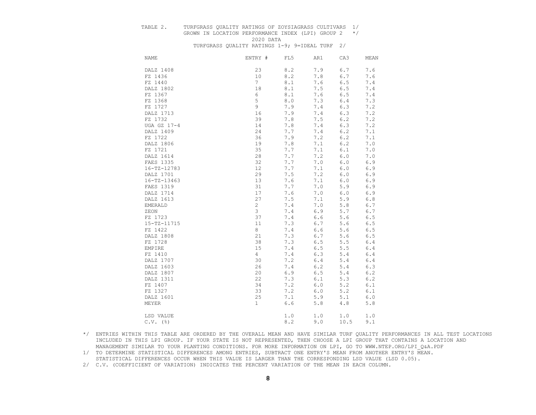# TABLE 2. TURFGRASS QUALITY RATINGS OF ZOYSIAGRASS CULTIVARS 1/

GROWN IN LOCATION PERFORMANCE INDEX (LPI) GROUP  $2 \times / 2020$  DATA 2020 DATA

TURFGRASS QUALITY RATINGS 1-9; 9=IDEAL TURF 2/

| <b>NAME</b>       | ENTRY #         | FL5         | AR1   | CA3     | MEAN        |
|-------------------|-----------------|-------------|-------|---------|-------------|
| DALZ 1408         | 23              | 8.2         | 7.9   | $6.7$   | 7.6         |
| FZ 1436           | 10              | $8.2$       | 7.8   | 6.7     | 7.6         |
| FZ 1440           | $7\overline{ }$ | $8.1\,$     | 7.6   | 6.5     | 7.4         |
| DALZ 1802         | 18              | 8.1         | 7.5   | $6.5$   | 7.4         |
| FZ 1367           | 6               | 8.1         | 7.6   | $6.5$   | 7.4         |
| FZ 1368           | 5               | $\,8$ . $0$ | 7.3   | $6.4$   | 7.3         |
| FZ 1727           | 9               | 7.9         | 7.4   | $6.3$   | 7.2         |
| DALZ 1713         | 16              | 7.9         | 7.4   | 6.3     | 7.2         |
| FZ 1732           | 39              | 7.8         | 7.5   | $6.2$   | 7.2         |
| UGA GZ 17-4       | 14              | 7.8         | 7.4   | 6.3     | 7.2         |
| DALZ 1409         | 24              | 7.7         | 7.4   | 6.2     | 7.1         |
| FZ 1722           | 36              | 7.9         | 7.2   | 6.2     | 7.1         |
| DALZ 1806         | 19              | $7.8\,$     | 7.1   | $6.2$   | $7 \cdot 0$ |
| FZ 1721           | 35              | 7.7         | 7.1   | 6.1     | 7.0         |
| DALZ 1614         | 28              | 7.7         | 7.2   | 6.0     | 7.0         |
| FAES 1335         | 32              | 7.7         | 7.0   | $6.0$   | 6.9         |
| $16 - TZ - 12783$ | 12              | 7.7         | 7.1   | 6.0     | 6.9         |
| DALZ 1701         | 29              | 7.5         | 7.2   | 6.0     | 6.9         |
| $16 - TZ - 13463$ | 13              | 7.6         | 7.1   | 6.0     | 6.9         |
| FAES 1319         | 31              | 7.7         | 7.0   | 5.9     | 6.9         |
| DALZ 1714         | 17              | 7.6         | 7.0   | 6.0     | 6.9         |
| DALZ 1613         | 27              | 7.5         | 7.1   | 5.9     | $6.8$       |
| <b>EMERALD</b>    | $\mathbf{2}$    | 7.4         | 7.0   | 5.8     | 6.7         |
| ZEON              | 3               | 7.4         | 6.9   | $5.7$   | 6.7         |
| FZ 1723           | 37              | 7.4         | 6.6   | 5.6     | 6.5         |
| $15 - TZ - 11715$ | 11              | 7.3         | 6.7   | 5.6     | 6.5         |
| FZ 1422           | 8               | 7.4         | 6.6   | 5.6     | 6.5         |
| DALZ 1808         | 21              | 7.3         | 6.7   | 5.6     | 6.5         |
| FZ 1728           | 38              | 7.3         | $6.5$ | $5.5$   | $6.4$       |
| EMPIRE            | 15              | 7.4         | $6.5$ | 5.5     | $6.4$       |
| FZ 1410           | $\overline{4}$  | 7.4         | 6.3   | $5.4$   | 6.4         |
| DALZ 1707         | 30              | 7.2         | 6.4   | $5.4$   | $6.4$       |
| DALZ 1603         | 26              | 7.4         | 6.2   | $5.4$   | 6.3         |
| DALZ 1807         | 20              | 6.9         | 6.5   | 5.4     | 6.2         |
| DALZ 1311         | 22              | 7.3         | 6.1   | 5.3     | 6.2         |
| FZ 1407           | 34              | 7.2         | 6.0   | 5.2     | $6.1$       |
| FZ 1327           | 33              | 7.2         | 6.0   | 5.2     | 6.1         |
| DALZ 1601         | 25              | 7.1         | 5.9   | 5.1     | $6.0$       |
| MEYER             | $\mathbf{1}$    | $6.6$       | 5.8   | $4.8\,$ | 5.8         |
| LSD VALUE         |                 | 1.0         |       | 1.0     |             |
|                   |                 |             | 1.0   |         | 1.0         |
| $C.V.$ (%)        |                 | 8.2         | 9.0   | 10.5    | 9.1         |

 \*/ ENTRIES WITHIN THIS TABLE ARE ORDERED BY THE OVERALL MEAN AND HAVE SIMILAR TURF QUALITY PERFORMANCES IN ALL TEST LOCATIONS INCLUDED IN THIS LPI GROUP. IF YOUR STATE IS NOT REPRESENTED, THEN CHOOSE A LPI GROUP THAT CONTAINS A LOCATION AND MANAGEMENT SIMILAR TO YOUR PLANTING CONDITIONS. FOR MORE INFORMATION ON LPI, GO TO WWW.NTEP.ORG/LPI\_Q&A.PDF

 1/ TO DETERMINE STATISTICAL DIFFERENCES AMONG ENTRIES, SUBTRACT ONE ENTRY'S MEAN FROM ANOTHER ENTRY'S MEAN. STATISTICAL DIFFERENCES OCCUR WHEN THIS VALUE IS LARGER THAN THE CORRESPONDING LSD VALUE (LSD 0.05).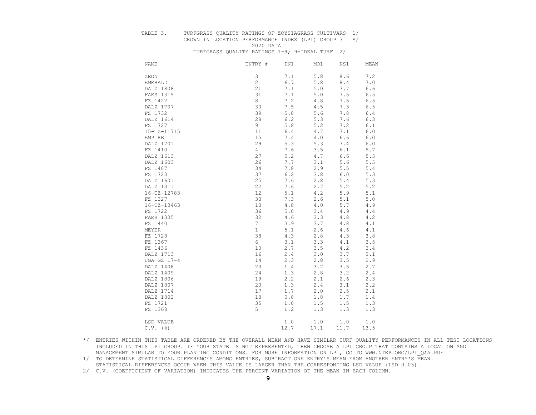#### TABLE 3. TURFGRASS QUALITY RATINGS OF ZOYSIAGRASS CULTIVARS 1/

## GROWN IN LOCATION PERFORMANCE INDEX (LPI) GROUP  $3 \times / 2020$  DATA 2020 DATA

TURFGRASS QUALITY RATINGS 1-9; 9=IDEAL TURF 2/

| NAME       |                   | ENTRY #        | IN1   | MO1  | KS1         | MEAN  |
|------------|-------------------|----------------|-------|------|-------------|-------|
| ZEON       |                   | 3              | 7.1   | 5.8  | $\,8$ . $6$ | 7.2   |
| EMERALD    |                   | $\overline{c}$ | 6.7   | 5.8  | 8.4         | 7.0   |
|            | DALZ 1808         | 21             | 7.1   | 5.0  | 7.7         | 6.6   |
|            | FAES 1319         | 31             | 7.1   | 5.0  | 7.5         | 6.5   |
| FZ 1422    |                   | 8              | 7.2   | 4.8  | 7.5         | 6.5   |
|            | DALZ 1707         | 30             | 7.5   | 4.5  | 7.3         | 6.5   |
| FZ 1732    |                   | 39             | 5.8   | 5.6  | 7.8         | 6.4   |
|            | DALZ 1614         | 28             | 6.2   | 5.3  | 7.6         | 6.3   |
| FZ 1727    |                   | 9              | 5.8   | 5.2  | 7.2         | 6.1   |
|            | 15-TZ-11715       | 11             | $6.4$ | 4.7  | 7.1         | $6.0$ |
| EMPIRE     |                   | 15             | 7.4   | 4.0  | 6.6         | 6.0   |
|            | DALZ 1701         | 29             | 5.3   | 5.3  | 7.4         | $6.0$ |
| FZ 1410    |                   | $\overline{4}$ | 7.6   | 3.5  | 6.1         | 5.7   |
|            | DALZ 1613         | 27             | 5.2   | 4.7  | 6.6         | 5.5   |
|            | DALZ 1603         | 26             | 7.7   | 3.1  | 5.6         | $5.5$ |
| FZ 1407    |                   | 34             | 7.8   | 2.9  | 5.5         | $5.4$ |
| FZ 1723    |                   | 37             | 6.2   | 3.8  | $6.0$       | 5.3   |
|            | DALZ 1601         | 25             | 7.6   | 2.8  | 5.4         | 5.3   |
|            | DALZ 1311         | 22             | 7.6   | 2.7  | 5.2         | 5.2   |
|            | $16 - TZ - 12783$ | 12             | 5.1   | 4.2  | 5.9         | 5.1   |
| FZ 1327    |                   | 33             | 7.3   | 2.6  | 5.1         | 5.0   |
|            | $16 - TZ - 13463$ | 13             | 4.8   | 4.0  | 5.7         | 4.9   |
| FZ 1722    |                   | 36             | $5.0$ | 3.4  | 4.9         | 4.4   |
|            | FAES 1335         | 32             | 4.6   | 3.3  | $4.8\,$     | 4.2   |
| FZ 1440    |                   | $7^{\circ}$    | 3.9   | 3.7  | $4\ .\ 8$   | 4.1   |
| MEYER      |                   | $\mathbf{1}$   | 5.1   | 2.6  | 4.6         | 4.1   |
| FZ 1728    |                   | 38             | 4.3   | 2.8  | 4.3         | 3.8   |
| FZ 1367    |                   | 6              | 3.1   | 3.3  | 4.1         | 3.5   |
| FZ 1436    |                   | 10             | 2.7   | 3.5  | $4.2\,$     | 3.4   |
|            | DALZ 1713         | 16             | 2.4   | 3.0  | 3.7         | 3.1   |
|            | UGA GZ 17-4       | 14             | 2.3   | 2.8  | 3.5         | 2.9   |
|            | DALZ 1408         | 23             | 1.4   | 3.2  | 3.5         | 2.7   |
|            | DALZ 1409         | 24             | 1.3   | 2.8  | 3.2         | 2.4   |
|            | DALZ 1806         | 19             | 2.2   | 2.1  | 2.6         | 2.3   |
|            | DALZ 1807         | 20             | 1.3   | 2.4  | 3.1         | 2.2   |
|            | DALZ 1714         | 17             | 1.7   | 2.0  | 2.5         | 2.1   |
|            | DALZ 1802         | 18             | $0.8$ | 1.8  | 1.7         | 1.4   |
| FZ 1721    |                   | 35             | 1.0   | 1.5  | 1.5         | 1.3   |
| FZ 1368    |                   | 5              | 1.2   | 1.3  | 1.3         | 1.3   |
|            | LSD VALUE         |                | 1.0   | 1.0  | 1.0         | 1.0   |
| $C.V.$ (%) |                   |                | 12.7  | 17.1 | 11.7        | 13.5  |

 \*/ ENTRIES WITHIN THIS TABLE ARE ORDERED BY THE OVERALL MEAN AND HAVE SIMILAR TURF QUALITY PERFORMANCES IN ALL TEST LOCATIONS INCLUDED IN THIS LPI GROUP. IF YOUR STATE IS NOT REPRESENTED, THEN CHOOSE A LPI GROUP THAT CONTAINS A LOCATION AND MANAGEMENT SIMILAR TO YOUR PLANTING CONDITIONS. FOR MORE INFORMATION ON LPI, GO TO WWW.NTEP.ORG/LPI\_Q&A.PDF

 1/ TO DETERMINE STATISTICAL DIFFERENCES AMONG ENTRIES, SUBTRACT ONE ENTRY'S MEAN FROM ANOTHER ENTRY'S MEAN. STATISTICAL DIFFERENCES OCCUR WHEN THIS VALUE IS LARGER THAN THE CORRESPONDING LSD VALUE (LSD 0.05).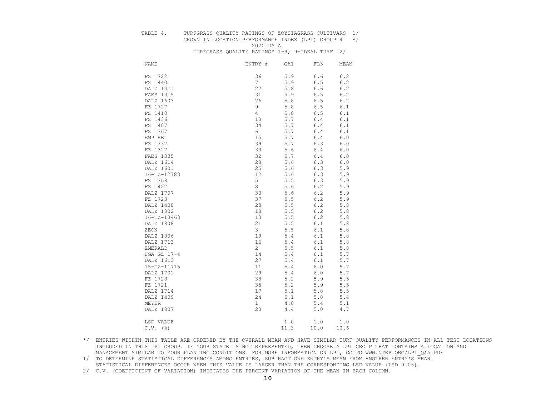# TABLE 4. TURFGRASS QUALITY RATINGS OF ZOYSIAGRASS CULTIVARS 1/

## GROWN IN LOCATION PERFORMANCE INDEX (LPI) GROUP  $4 \times / 2020$  DATA 2020 DATA

TURFGRASS QUALITY RATINGS 1-9; 9=IDEAL TURF 2/

| <b>NAME</b>       | ENTRY #         | GA1   | FL3  | MEAN    |
|-------------------|-----------------|-------|------|---------|
| FZ 1722           | 36              | 5.9   | 6.6  | 6.2     |
| FZ 1440           | $7\phantom{.0}$ | 5.9   | 6.5  | 6.2     |
| DALZ 1311         | 22              | 5.8   | 6.6  | 6.2     |
| FAES 1319         | 31              | 5.9   | 6.5  | 6.2     |
| DALZ 1603         | 26              | 5.8   | 6.5  | 6.2     |
| FZ 1727           | 9               | 5.8   | 6.5  | 6.1     |
| FZ 1410           | $\overline{4}$  | 5.8   | 6.5  | 6.1     |
| FZ 1436           | 10              | 5.7   | 6.4  | 6.1     |
| FZ 1407           | 34              | 5.7   | 6.4  | 6.1     |
| FZ 1367           | 6               | 5.7   | 6.4  | 6.1     |
| EMPIRE            | 15              | 5.7   | 6.4  | $6.0\,$ |
| FZ 1732           | 39              | 5.7   | 6.3  | 6.0     |
| FZ 1327           | 33              | 5.6   | 6.4  | 6.0     |
| FAES 1335         | 32              | 5.7   | 6.4  | 6.0     |
| DALZ 1614         | 28              | 5.6   | 6.3  | 6.0     |
| DALZ 1601         | 25              | 5.6   | 6.3  | 5.9     |
| 16-TZ-12783       | 12              | 5.6   | 6.3  | 5.9     |
| FZ 1368           | 5               | 5.5   | 6.3  | $5.9$   |
| FZ 1422           | 8               | 5.6   | 6.2  | 5.9     |
| DALZ 1707         | 30              | 5.6   | 6.2  | 5.9     |
| FZ 1723           | 37              | 5.5   | 6.2  | 5.9     |
| DALZ 1408         | 23              | 5.5   | 6.2  | 5.8     |
| DALZ 1802         | 18              | 5.5   | 6.2  | 5.8     |
| $16 - TZ - 13463$ | 13              | 5.5   | 6.2  | 5.8     |
| DALZ 1808         | 21              | 5.5   | 6.1  | $5.8$   |
| ZEON              | $\mathfrak{Z}$  | 5.5   | 6.1  | 5.8     |
| DALZ 1806         | 19              | 5.4   | 6.1  | 5.8     |
| DALZ 1713         | 16              | 5.4   | 6.1  | $5.8$   |
| <b>EMERALD</b>    | $\overline{2}$  | 5.5   | 6.1  | 5.8     |
| UGA GZ 17-4       | 14              | 5.4   | 6.1  | 5.7     |
| DALZ 1613         | 27              | 5.4   | 6.1  | 5.7     |
| 15-TZ-11715       | 11              | 5.4   | 6.0  | 5.7     |
| DALZ 1701         | 29              | 5.4   | 6.0  | 5.7     |
| FZ 1728           | 38              | 5.2   | 5.9  | 5.5     |
| FZ 1721           | 35              | 5.2   | 5.9  | 5.5     |
| DALZ 1714         | 17              | 5.1   | 5.8  | $5.5$   |
| DALZ 1409         | 24              | 5.1   | 5.8  | 5.4     |
| MEYER             | $\mathbf{1}$    | 4.8   | 5.4  | 5.1     |
| DALZ 1807         | 20              | 4.4   | 5.0  | 4.7     |
|                   |                 |       |      |         |
| LSD VALUE         |                 | $1.0$ | 1.0  | 1.0     |
| $C.V.$ (%)        |                 | 11.3  | 10.0 | 10.6    |

 \*/ ENTRIES WITHIN THIS TABLE ARE ORDERED BY THE OVERALL MEAN AND HAVE SIMILAR TURF QUALITY PERFORMANCES IN ALL TEST LOCATIONS INCLUDED IN THIS LPI GROUP. IF YOUR STATE IS NOT REPRESENTED, THEN CHOOSE A LPI GROUP THAT CONTAINS A LOCATION AND MANAGEMENT SIMILAR TO YOUR PLANTING CONDITIONS. FOR MORE INFORMATION ON LPI, GO TO WWW.NTEP.ORG/LPI\_Q&A.PDF

 1/ TO DETERMINE STATISTICAL DIFFERENCES AMONG ENTRIES, SUBTRACT ONE ENTRY'S MEAN FROM ANOTHER ENTRY'S MEAN. STATISTICAL DIFFERENCES OCCUR WHEN THIS VALUE IS LARGER THAN THE CORRESPONDING LSD VALUE (LSD 0.05).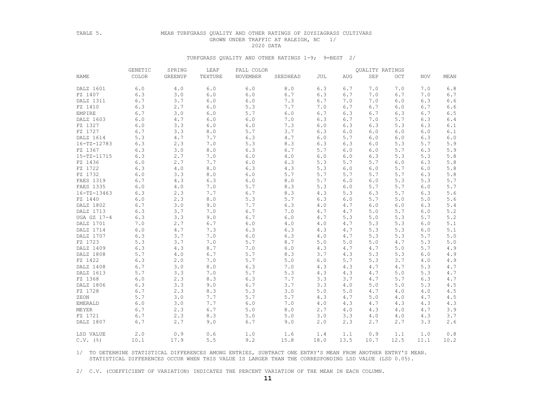#### TABLE 5. MEAN TURFGRASS QUALITY AND OTHER RATINGS OF ZOYSIAGRASS CULTIVARS GROWN UNDER TRAFFIC AT RALEIGH, NC 1/ 2020 DATA

### TURFGRASS QUALITY AND OTHER RATINGS 1-9; 9=BEST 2/

|                   | GENETIC | SPRING  | LEAF    | FALL COLOR | QUALITY RATINGS |       |            |      |            |            |       |  |  |
|-------------------|---------|---------|---------|------------|-----------------|-------|------------|------|------------|------------|-------|--|--|
| NAME              | COLOR   | GREENUP | TEXTURE | NOVEMBER   | SEEDHEAD        | JUL   | <b>AUG</b> | SEP  | <b>OCT</b> | <b>NOV</b> | MEAN  |  |  |
| DALZ 1601         | 6.0     | 4.0     | 6.0     | 6.0        | 8.0             | 6.3   | 6.7        | 7.0  | 7.0        | 7.0        | 6.8   |  |  |
| FZ 1407           | 6.3     | 3.0     | 6.0     | 6.0        | 6.7             | 6.3   | 6.7        | 7.0  | 6.7        | 7.0        | 6.7   |  |  |
| DALZ 1311         | 6.7     | 3.7     | 6.0     | $6.0$      | 7.3             | 6.7   | 7.0        | 7.0  | 6.0        | 6.3        | 6.6   |  |  |
| FZ 1410           | 6.3     | 2.7     | 6.0     | 5.3        | 7.7             | 7.0   | 6.7        | 6.7  | 6.0        | 6.7        | 6.6   |  |  |
| EMPIRE            | 6.7     | 3.0     | 6.0     | 5.7        | $6.0$           | 6.7   | 6.3        | 6.7  | 6.3        | 6.7        | 6.5   |  |  |
| DALZ 1603         | 6.0     | 4.7     | 6.0     | 6.0        | 7.0             | 6.3   | 6.7        | 7.0  | 5.7        | 6.3        | 6.4   |  |  |
| FZ 1327           | 6.0     | 3.3     | 6.0     | 6.0        | 7.3             | 6.0   | 6.3        | 6.3  | 5.3        | 6.3        | 6.1   |  |  |
| FZ 1727           | 6.7     | 3.3     | 8.0     | 5.7        | 3.7             | 6.3   | 6.0        | 6.0  | 6.0        | 6.0        | 6.1   |  |  |
| DALZ 1614         | 5.3     | 4.7     | 7.7     | 6.3        | 4.7             | $6.0$ | 5.7        | 6.0  | 6.0        | 6.3        | 6.0   |  |  |
| 16-TZ-12783       | 6.3     | 2.3     | 7.0     | 5.3        | 8.3             | 6.3   | 6.3        | 6.0  | 5.3        | 5.7        | 5.9   |  |  |
| FZ 1367           | 6.3     | 3.0     | 8.0     | 6.3        | 6.7             | 5.7   | 6.0        | 6.0  | 5.7        | 6.3        | 5.9   |  |  |
| 15-TZ-11715       | 6.3     | 2.7     | 7.0     | $6.0$      | 4.0             | 6.0   | 6.0        | 6.3  | 5.3        | 5.3        | 5.8   |  |  |
| FZ 1436           | 6.0     | 2.7     | 7.7     | 6.0        | 6.3             | 5.3   | 5.7        | 5.7  | 6.0        | 6.3        | 5.8   |  |  |
| FZ 1722           | 6.3     | 4.0     | 8.0     | 6.3        | 4.3             | 5.3   | 6.0        | 6.0  | 5.7        | $6.0$      | 5.8   |  |  |
| FZ 1732           | 6.0     | 3.3     | 8.0     | $6.0$      | 5.7             | 5.7   | 5.7        | 5.7  | 5.7        | 6.3        | 5.8   |  |  |
| FAES 1319         | 6.7     | 4.3     | 6.3     | $6.0$      | $8.0$           | 5.7   | 6.0        | 6.0  | 5.3        | 5.3        | 5.7   |  |  |
| FAES 1335         | 6.0     | 4.0     | 7.0     | 5.7        | 8.3             | 5.3   | 6.0        | 5.7  | 5.7        | 6.0        | 5.7   |  |  |
| $16 - TZ - 13463$ | 6.3     | 2.3     | 7.7     | 6.7        | 8.3             | 4.3   | 5.3        | 6.3  | 5.7        | 6.3        | 5.6   |  |  |
| FZ 1440           | 6.0     | 2.3     | 8.0     | 5.3        | 5.7             | 6.3   | 6.0        | 5.7  | 5.0        | 5.0        | 5.6   |  |  |
| DALZ 1802         | 6.7     | 3.0     | 9.0     | 7.7        | 6.3             | 4.0   | 4.7        | 6.0  | 6.0        | 6.3        | $5.4$ |  |  |
| DALZ 1713         | 6.3     | 3.7     | 7.0     | 6.7        | 7.0             | 4.7   | 4.7        | 5.0  | 5.7        | $6.0$      | 5.2   |  |  |
| UGA GZ 17-4       | 6.3     | 3.3     | 9.0     | 6.7        | 6.0             | 4.7   | 5.3        | 5.0  | 5.3        | 5.7        | 5.2   |  |  |
| DALZ 1701         | 7.0     | 2.7     | 6.7     | 6.0        | 4.0             | 4.0   | 4.7        | 5.3  | 5.3        | 6.0        | 5.1   |  |  |
| DALZ 1714         | 6.0     | 4.7     | 7.3     | 6.3        | 6.3             | 4.3   | 4.7        | 5.3  | 5.3        | 6.0        | 5.1   |  |  |
| DALZ 1707         | 6.3     | 3.7     | 7.0     | 6.0        | 6.3             | 4.0   | 4.7        | 5.3  | 5.3        | 5.7        | $5.0$ |  |  |
| FZ 1723           | 5.3     | 3.7     | 7.0     | 5.7        | 8.7             | 5.0   | 5.0        | 5.0  | 4.7        | 5.3        | $5.0$ |  |  |
| DALZ 1409         | 6.3     | 4.3     | 8.7     | 7.0        | $6.0$           | 4.3   | 4.7        | 4.7  | 5.0        | 5.7        | 4.9   |  |  |
| DALZ 1808         | 5.7     | $4.0$   | 6.7     | 5.7        | 8.3             | 3.7   | 4.3        | 5.3  | 5.3        | 6.0        | 4.9   |  |  |
| FZ 1422           | 6.3     | 2.0     | 7.0     | 5.7        | 5.0             | 6.0   | 5.7        | 5.3  | 3.7        | 4.0        | 4.9   |  |  |
| DALZ 1408         | 6.7     | 3.0     | 8.0     | 6.3        | 7.0             | 4.3   | 4.3        | 4.7  | 4.7        | 5.3        | 4.7   |  |  |
| DALZ 1613         | 5.7     | 3.3     | 7.0     | 5.7        | 5.3             | 4.3   | 4.3        | 4.7  | 5.0        | 5.3        | 4.7   |  |  |
| FZ 1368           | 6.0     | 2.3     | 8.3     | 6.3        | 7.7             | 3.3   | 3.7        | 4.7  | 5.7        | 6.3        | 4.7   |  |  |
| DALZ 1806         | 6.3     | 3.3     | 9.0     | 6.7        | 3.7             | 3.3   | 4.0        | 5.0  | 5.0        | 5.3        | 4.5   |  |  |
| FZ 1728           | 6.7     | 2.3     | 8.3     | 5.3        | 3.0             | $5.0$ | 5.0        | 4.7  | 4.0        | $4.0$      | 4.5   |  |  |
| ZEON              | 5.7     | 3.0     | 7.7     | 5.7        | 5.7             | 4.3   | 4.7        | 5.0  | 4.0        | 4.7        | 4.5   |  |  |
| EMERALD           | 6.0     | 3.0     | 7.7     | $6.0$      | 7.0             | $4.0$ | 4.3        | 4.7  | 4.3        | 4.3        | 4.3   |  |  |
| MEYER             | 6.7     | 2.3     | 6.7     | 5.0        | 8.0             | 2.7   | 4.0        | 4.3  | 4.0        | 4.7        | 3.9   |  |  |
| FZ 1721           | 6.7     | 2.3     | 8.3     | 5.0        | 5.0             | 3.0   | 3.3        | 4.0  | 4.0        | 4.3        | 3.7   |  |  |
| DALZ 1807         | 6.7     | 2.7     | 9.0     | 6.7        | 9.0             | 2.0   | 2.3        | 2.7  | 2.7        | 3.3        | 2.6   |  |  |
| LSD VALUE         | 2.0     | 0.9     | 0.6     | 1.0        | 1.6             | 1.4   | 1.1        | 0.9  | 1.1        | 1.0        | 0.8   |  |  |
| $C.V.$ (%)        | 10.1    | 17.9    | 5.5     | 9.2        | 15.8            | 18.0  | 13.5       | 10.7 | 12.5       | 11.1       | 10.2  |  |  |

 1/ TO DETERMINE STATISTICAL DIFFERENCES AMONG ENTRIES, SUBTRACT ONE ENTRY'S MEAN FROM ANOTHER ENTRY'S MEAN. STATISTICAL DIFFERENCES OCCUR WHEN THIS VALUE IS LARGER THAN THE CORRESPONDING LSD VALUE (LSD 0.05).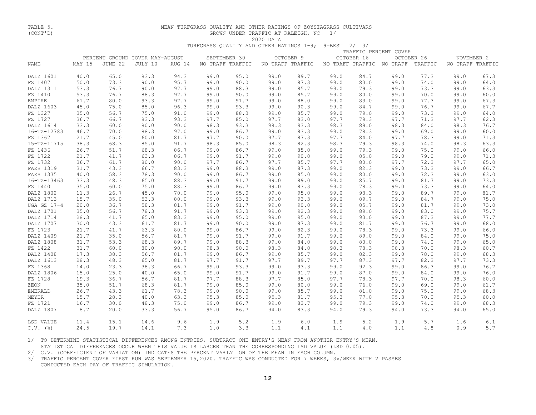# TABLE 5. MEAN TURFGRASS QUALITY AND OTHER RATINGS OF ZOYSIAGRASS CULTIVARS GROWN UNDER TRAFFIC AT RALEIGH, NC  $1/$  2020 DATA

2020 DATA

TURFGRASS QUALITY AND OTHER RATINGS 1-9; 9=BEST 2/ 3/

|                   |        | TRAFFIC PERCENT COVER |                                 |        |      |                  |                  |           |      |            |                           |            |                  |      |
|-------------------|--------|-----------------------|---------------------------------|--------|------|------------------|------------------|-----------|------|------------|---------------------------|------------|------------------|------|
|                   |        |                       | PERCENT GROUND COVER MAY-AUGUST |        |      | SEPTEMBER 30     |                  | OCTOBER 9 |      | OCTOBER 16 |                           | OCTOBER 26 | NOVEMBER 2       |      |
| NAME              | MAY 15 | JUNE 22               | JULY 10                         | AUG 14 |      | NO TRAFF TRAFFIC | NO TRAFF TRAFFIC |           |      |            | NO TRAFF TRAFFIC NO TRAFF | TRAFFIC    | NO TRAFF TRAFFIC |      |
| DALZ 1601         | 40.0   | 65.0                  | 83.3                            | 94.3   | 99.0 | 95.0             | 99.0             | 89.7      | 99.0 | 84.7       | 99.0                      | 77.3       | 99.0             | 67.3 |
| FZ 1407           | 50.0   | 73.3                  | 90.0                            | 95.7   | 99.0 | 90.0             | 99.0             | 87.3      | 99.0 | 83.0       | 99.0                      | 74.0       | 99.0             | 64.0 |
| DALZ 1311         | 53.3   | 76.7                  | 90.0                            | 97.7   | 99.0 | 88.3             | 99.0             | 85.7      | 99.0 | 79.3       | 99.0                      | 73.3       | 99.0             | 63.3 |
| FZ 1410           | 53.3   | 76.7                  | 88.3                            | 97.7   | 99.0 | 90.0             | 99.0             | 85.7      | 99.0 | 80.0       | 99.0                      | 70.0       | 99.0             | 60.0 |
| <b>EMPIRE</b>     | 61.7   | 80.0                  | 93.3                            | 97.7   | 99.0 | 91.7             | 99.0             | 88.0      | 99.0 | 83.0       | 99.0                      | 77.3       | 99.0             | 67.3 |
| DALZ 1603         | 45.0   | 75.0                  | 85.0                            | 96.3   | 99.0 | 93.3             | 99.0             | 90.3      | 99.0 | 84.7       | 99.0                      | 76.7       | 99.0             | 67.7 |
| FZ 1327           | 35.0   | 56.7                  | 75.0                            | 91.0   | 99.0 | 88.3             | 99.0             | 85.7      | 99.0 | 79.0       | 99.0                      | 73.3       | 99.0             | 64.0 |
| FZ 1727           | 36.7   | 66.7                  | 83.3                            | 93.3   | 97.7 | 85.0             | 97.7             | 83.0      | 97.7 | 79.3       | 97.7                      | 71.3       | 97.7             | 62.3 |
| DALZ 1614         | 33.3   | 60.0                  | 80.0                            | 90.0   | 98.3 | 93.3             | 98.3             | 93.3      | 98.3 | 89.0       | 98.3                      | 84.0       | 98.3             | 76.7 |
| $16 - TZ - 12783$ | 46.7   | 70.0                  | 88.3                            | 97.0   | 99.0 | 86.7             | 99.0             | 83.3      | 99.0 | 78.3       | 99.0                      | 69.0       | 99.0             | 60.0 |
| FZ 1367           | 21.7   | 45.0                  | 60.0                            | 81.7   | 97.7 | 90.0             | 97.7             | 87.3      | 97.7 | 84.0       | 97.7                      | 78.3       | 99.0             | 71.3 |
| $15 - TZ - 11715$ | 38.3   | 68.3                  | 85.0                            | 91.7   | 98.3 | 85.0             | 98.3             | 82.3      | 98.3 | 79.3       | 98.3                      | 74.0       | 98.3             | 63.3 |
| FZ 1436           | 26.7   | 51.7                  | 68.3                            | 86.7   | 99.0 | 86.7             | 99.0             | 85.0      | 99.0 | 79.3       | 99.0                      | 75.0       | 99.0             | 66.0 |
| FZ 1722           | 21.7   | 41.7                  | 63.3                            | 86.7   | 99.0 | 91.7             | 99.0             | 90.0      | 99.0 | 85.0       | 99.0                      | 79.0       | 99.0             | 71.3 |
| FZ 1732           | 36.7   | 61.7                  | 80.0                            | 90.0   | 97.7 | 86.7             | 97.7             | 85.7      | 97.7 | 80.0       | 97.7                      | 72.3       | 97.7             | 65.0 |
| FAES 1319         | 31.7   | 43.3                  | 66.7                            | 83.3   | 99.0 | 88.3             | 99.0             | 87.3      | 99.0 | 82.3       | 99.0                      | 73.3       | 99.0             | 66.7 |
| FAES 1335         | 40.0   | 58.3                  | 78.3                            | 90.0   | 99.0 | 86.7             | 99.0             | 85.0      | 99.0 | 80.0       | 99.0                      | 72.3       | 99.0             | 63.0 |
| $16 - TZ - 13463$ | 33.3   | 48.3                  | 65.0                            | 88.3   | 99.0 | 91.7             | 99.0             | 89.0      | 99.0 | 85.7       | 99.0                      | 81.7       | 99.0             | 73.3 |
| FZ 1440           | 35.0   | 60.0                  | 75.0                            | 88.3   | 99.0 | 86.7             | 99.0             | 83.3      | 99.0 | 78.3       | 99.0                      | 73.3       | 99.0             | 64.0 |
| DALZ 1802         | 11.3   | 26.7                  | 45.0                            | 70.0   | 99.0 | 95.0             | 99.0             | 95.0      | 99.0 | 93.3       | 99.0                      | 89.7       | 99.0             | 81.7 |
| DALZ 1713         | 15.7   | 35.0                  | 53.3                            | 80.0   | 99.0 | 93.3             | 99.0             | 93.3      | 99.0 | 89.7       | 99.0                      | 84.7       | 99.0             | 75.0 |
| UGA GZ 17-4       | 20.0   | 36.7                  | 58.3                            | 81.7   | 99.0 | 91.7             | 99.0             | 90.0      | 99.0 | 85.7       | 99.0                      | 81.7       | 99.0             | 73.0 |
| DALZ 1701         | 35.0   | 56.7                  | 78.3                            | 91.7   | 99.0 | 93.3             | 99.0             | 92.3      | 99.0 | 89.0       | 99.0                      | 83.0       | 99.0             | 75.7 |
| DALZ 1714         | 28.3   | 41.7                  | 65.0                            | 83.3   | 99.0 | 95.0             | 99.0             | 95.0      | 99.0 | 93.0       | 99.0                      | 87.3       | 99.0             | 77.7 |
| DALZ 1707         | 30.0   | 43.3                  | 61.7                            | 81.7   | 99.0 | 90.0             | 99.0             | 87.3      | 99.0 | 81.7       | 99.0                      | 76.7       | 99.0             | 68.0 |
| FZ 1723           | 21.7   | 41.7                  | 63.3                            | 80.0   | 99.0 | 86.7             | 99.0             | 82.3      | 99.0 | 78.3       | 99.0                      | 73.3       | 99.0             | 66.0 |
| DALZ 1409         | 21.7   | 35.0                  | 56.7                            | 81.7   | 99.0 | 91.7             | 99.0             | 91.7      | 99.0 | 89.0       | 99.0                      | 84.0       | 99.0             | 75.0 |
| DALZ 1808         | 31.7   | 53.3                  | 68.3                            | 89.7   | 99.0 | 88.3             | 99.0             | 84.0      | 99.0 | 80.0       | 99.0                      | 74.0       | 99.0             | 65.0 |
| FZ 1422           | 31.7   | 60.0                  | 80.0                            | 90.0   | 98.3 | 90.0             | 98.3             | 84.0      | 98.3 | 78.3       | 98.3                      | 70.0       | 98.3             | 60.7 |
| DALZ 1408         | 17.3   | 38.3                  | 56.7                            | 81.7   | 99.0 | 86.7             | 99.0             | 85.7      | 99.0 | 82.3       | 99.0                      | 78.0       | 99.0             | 68.3 |
| DALZ 1613         | 28.3   | 48.3                  | 65.0                            | 81.7   | 97.7 | 91.7             | 97.7             | 89.7      | 97.7 | 87.3       | 97.7                      | 82.3       | 97.7             | 73.3 |
| FZ 1368           | 14.0   | 23.3                  | 38.3                            | 66.7   | 99.0 | 93.3             | 99.0             | 93.3      | 99.0 | 92.3       | 99.0                      | 86.3       | 99.0             | 76.7 |
| DALZ 1806         | 15.0   | 25.0                  | 40.0                            | 65.0   | 99.0 | 91.7             | 99.0             | 91.7      | 99.0 | 87.0       | 99.0                      | 84.0       | 99.0             | 76.0 |
| FZ 1728           | 19.3   | 36.7                  | 56.7                            | 81.7   | 97.7 | 88.3             | 97.7             | 85.0      | 97.7 | 78.3       | 97.7                      | 70.0       | 98.3             | 60.0 |
| ZEON              | 35.0   | 51.7                  | 68.3                            | 81.7   | 99.0 | 85.0             | 99.0             | 80.0      | 99.0 | 76.0       | 99.0                      | 69.0       | 99.0             | 61.7 |
| <b>EMERALD</b>    | 26.7   | 43.3                  | 61.7                            | 78.3   | 99.0 | 90.0             | 99.0             | 85.7      | 99.0 | 81.0       | 99.0                      | 75.0       | 99.0             | 68.3 |
| MEYER             | 15.7   | 28.3                  | 40.0                            | 63.3   | 95.3 | 85.0             | 95.3             | 81.7      | 95.3 | 77.0       | 95.3                      | 70.0       | 95.3             | 60.0 |
| FZ 1721           | 16.7   | 30.0                  | 48.3                            | 75.0   | 99.0 | 86.7             | 99.0             | 83.7      | 99.0 | 79.3       | 99.0                      | 74.0       | 99.0             | 68.3 |
| DALZ 1807         | 8.7    | 20.0                  | 33.3                            | 56.7   | 95.0 | 86.7             | 94.0             | 83.3      | 94.0 | 79.3       | 94.0                      | 73.3       | 94.0             | 65.0 |
| LSD VALUE         | 11.4   | 15.1                  | 14.6                            | 9.6    | 1.9  | 5.2              | 1.9              | 6.0       | 1.9  | 5.2        | 1.9                       | 5.7        | 1.6              | 6.1  |
| $C.V.$ (%)        | 24.5   | 19.7                  | 14.1                            | 7.3    | 1.0  | 3.3              | 1.1              | 4.1       | 1.1  | 4.0        | 1.1                       | 4.8        | 0.9              | 5.7  |

 1/ TO DETERMINE STATISTICAL DIFFERENCES AMONG ENTRIES, SUBTRACT ONE ENTRY'S MEAN FROM ANOTHER ENTRY'S MEAN. STATISTICAL DIFFERENCES OCCUR WHEN THIS VALUE IS LARGER THAN THE CORRESPONDING LSD VALUE (LSD 0.05).

2/ C.V. (COEFFICIENT OF VARIATION) INDICATES THE PERCENT VARIATION OF THE MEAN IN EACH COLUMN.

 3/ TRAFFIC PERCENT COVER FIRST RUN WAS SEPTEMBER 15,2020. TRAFFIC WAS CONDUCTED FOR 7 WEEKS, 3x/WEEK WITH 2 PASSES CONDUCTED EACH DAY OF TRAFFIC SIMULATION.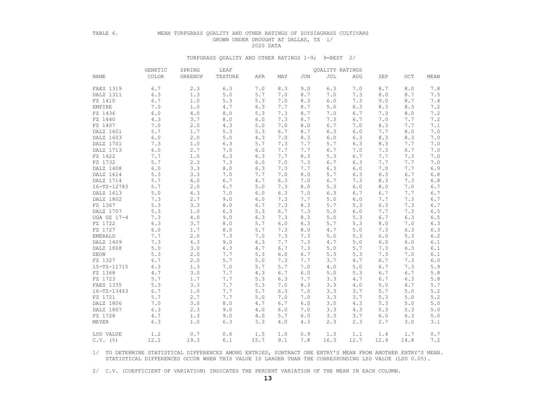# TABLE 6. MEAN TURFGRASS QUALITY AND OTHER RATINGS OF ZOYSIAGRASS CULTIVARS GROWN UNDER DROUGHT AT DALLAS, TX 1/<br>2020 DATA

2020 DATA

### TURFGRASS QUALITY AND OTHER RATINGS 1-9; 9=BEST 2/

|  | GENETIC           | SPRING | LEAF           |             |       | QUALITY RATINGS |            |       |            |      |      |              |
|--|-------------------|--------|----------------|-------------|-------|-----------------|------------|-------|------------|------|------|--------------|
|  | <b>NAME</b>       | COLOR  | <b>GREENUP</b> | TEXTURE     | APR   | MAY             | <b>JUN</b> | JUL   | <b>AUG</b> | SEP  | OCT  | MEAN         |
|  | FAES 1319         | 6.7    | 2.3            | 6.3         | 7.0   | 8.3             | 9.0        | 6.3   | 7.0        | 8.7  | 8.0  | 7.8          |
|  | DALZ 1311         | 6.3    | 1.3            | $5.0$       | 5.7   | 7.0             | 8.7        | 7.0   | 7.3        | 8.0  | 8.7  | 7.5          |
|  | FZ 1410           | 6.7    | 1.0            | 5.3         | 5.3   | 7.0             | 8.3        | 6.0   | 7.3        | 9.0  | 8.7  | 7.4          |
|  | EMPIRE            | 7.0    | 1.0            | 4.7         | 6.3   | 7.7             | 8.7        | 5.0   | 6.3        | 8.3  | 8.3  | $7\,\ldotp2$ |
|  | FZ 1436           | 6.0    | 4.0            | $8.0$       | 5.3   | 7.3             | 8.7        | 7.0   | 6.7        | 7.3  | 8.0  | $7\,\ldotp2$ |
|  | FZ 1440           | 4.3    | 3.7            | $8.0$       | 6.0   | 7.3             | 8.7        | 7.3   | 6.7        | 7.0  | 7.7  | $7\,\ldotp2$ |
|  | FZ 1407           | 7.0    | 2.0            | 4.3         | 5.0   | 7.0             | 8.0        | 6.7   | 7.0        | 8.3  | 7.7  | 7.1          |
|  | DALZ 1601         | 5.7    | 1.7            | 5.3         | 5.3   | 6.7             | 8.7        | 6.3   | 6.0        | 7.7  | 8.0  | $7 \cdot 0$  |
|  | DALZ 1603         | $6.0$  | 2.0            | $5.0$       | 4.3   | 7.0             | 8.3        | $6.0$ | 6.3        | 8.3  | 8.3  | 7.0          |
|  | DALZ 1701         | 7.3    | 1.0            | 6.3         | 5.7   | 7.3             | 7.7        | 5.7   | 6.3        | 8.3  | 7.7  | 7.0          |
|  | DALZ 1713         | $6.0$  | 2.7            | 7.0         | $6.0$ | 7.7             | 7.7        | 6.7   | 7.0        | 7.3  | 6.7  | 7.0          |
|  | FZ 1422           | 7.7    | 1.0            | 6.3         | 6.3   | 7.7             | 8.3        | 5.3   | 6.7        | 7.7  | 7.3  | 7.0          |
|  | FZ 1732           | 5.7    | 2.3            | 7.3         | $6.0$ | 7.0             | 7.3        | 6.7   | 6.3        | 7.7  | 7.7  | 7.0          |
|  | DALZ 1408         | 6.0    | 3.3            | $8.0$       | 6.3   | 7.3             | 7.7        | 6.3   | 6.0        | 7.0  | 7.7  | 6.9          |
|  | DALZ 1614         | 5.3    | 3.3            | 7.0         | 7.7   | 7.0             | 8.0        | 5.7   | 6.3        | 6.3  | 6.7  | $6.8$        |
|  | DALZ 1714         | 5.7    | 4.0            | $6.7$       | 4.7   | 6.3             | 7.0        | 6.7   | 7.3        | 8.3  | 7.3  | $6.8$        |
|  | $16 - TZ - 12783$ | 5.7    | 2.0            | 6.7         | 5.0   | 7.3             | 8.0        | 5.3   | 6.0        | 8.0  | 7.0  | $6.7\,$      |
|  | DALZ 1613         | 5.0    | 4.3            | 7.0         | $6.0$ | 6.3             | 7.0        | 6.3   | 6.7        | 6.7  | 7.7  | 6.7          |
|  | DALZ 1802         | 7.3    | 2.7            | 9.0         | 6.0   | 7.3             | 7.7        | 5.0   | 6.0        | 7.7  | 7.3  | 6.7          |
|  | FZ 1367           | 5.3    | 3.3            | 8.0         | 6.7   | 7.3             | 8.3        | 5.7   | 5.3        | 6.3  | 7.3  | 6.7          |
|  | DALZ 1707         | 5.3    | 1.0            | 6.3         | 5.3   | 6.7             | 7.3        | 5.0   | 6.0        | 7.7  | 7.3  | $6.5$        |
|  | UGA GZ 17-4       | 7.3    | 4.0            | 9.0         | 6.3   | 7.3             | 8.3        | 5.0   | 5.3        | 6.7  | 6.3  | $6.5\,$      |
|  | FZ 1722           | 6.3    | 3.7            | $8.0$       | 5.7   | 6.0             | 6.3        | 5.7   | 5.3        | 8.0  | 7.0  | $6.3\,$      |
|  | FZ 1727           | 6.0    | 1.7            | $8.0$       | 5.7   | 7.3             | 8.0        | $4.7$ | 5.0        | 7.3  | 6.3  | 6.3          |
|  | EMERALD           | 7.7    | 2.0            | 7.3         | 7.0   | 7.3             | 7.3        | 5.0   | 5.3        | 6.0  | 5.3  | $6.2\,$      |
|  | DALZ 1409         | 7.3    | 4.3            | 9.0         | 6.3   | 7.7             | 7.3        | 4.7   | 5.0        | 6.0  | 6.0  | 6.1          |
|  | DALZ 1808         | 5.0    | 3.0            | 6.3         | 4.7   | 6.7             | 7.3        | 5.0   | 5.7        | 7.3  | 6.3  | $6.1\,$      |
|  | ZEON              | 5.3    | 2.0            | 7.7         | 5.3   | 6.0             | 6.7        | 5.3   | 5.3        | 7.3  | 7.0  | $6.1\,$      |
|  | FZ 1327           | 6.7    | 2.0            | 5.7         | 5.0   | 7.3             | 7.7        | 3.7   | 4.7        | 6.7  | 7.3  | $6.0\,$      |
|  | $15 - TZ - 11715$ | 6.3    | 1.3            | 7.0         | 5.7   | 5.7             | 7.0        | $4.0$ | 5.0        | 6.7  | 7.3  | 5.9          |
|  | FZ 1368           | 4.7    | 3.0            | 7.7         | 4.3   | 6.7             | 6.0        | 5.0   | 5.3        | 6.7  | 6.7  | 5.8          |
|  | FZ 1723           | 5.7    | 1.7            | 7.7         | 5.3   | 6.3             | 7.7        | 3.3   | 4.7        | 6.7  | 6.3  | $5.8$        |
|  | FAES 1335         | 5.3    | 3.3            | 7.7         | 5.3   | 7.0             | 8.3        | 3.3   | 4.0        | 5.0  | 6.7  | 5.7          |
|  | $16 - TZ - 13463$ | 6.7    | 1.0            | 7.7         | 5.7   | 6.3             | 7.0        | 3.3   | 3.7        | 5.7  | 5.0  | 5.2          |
|  | FZ 1721           | 5.7    | 2.7            | 7.7         | 5.0   | 7.0             | 7.0        | 3.3   | 3.7        | 5.3  | 5.0  | $5.2\,$      |
|  | DALZ 1806         | 7.0    | 3.0            | $\,8$ . $0$ | 4.7   | 6.7             | $6.0$      | 3.0   | 4.3        | 5.3  | 5.0  | $5.0$        |
|  | DALZ 1807         | 6.3    | 2.3            | 9.0         | 4.0   | 6.0             | 7.0        | 3.3   | 4.3        | 5.3  | 5.3  | $5.0$        |
|  | FZ 1728           | 4.7    | 1.3            | 9.0         | 4.0   | 5.7             | 6.0        | 3.3   | 3.7        | 6.0  | 6.3  | $5.0$        |
|  | MEYER             | 6.3    | 1.0            | 6.3         | 3.3   | 4.0             | 4.3        | 2.3   | 2.3        | 2.7  | 3.0  | 3.1          |
|  | LSD VALUE         | 1.2    | 0.7            | 0.6         | 1.5   | 1.0             | 0.9        | 1.3   | 1.1        | 1.4  | 1.7  | 0.7          |
|  | $C.V.$ (%)        | 12.2   | 19.3           | 6.1         | 15.7  | 9.1             | 7.8        | 16.3  | 12.7       | 12.9 | 14.8 | 7.2          |

 1/ TO DETERMINE STATISTICAL DIFFERENCES AMONG ENTRIES, SUBTRACT ONE ENTRY'S MEAN FROM ANOTHER ENTRY'S MEAN. STATISTICAL DIFFERENCES OCCUR WHEN THIS VALUE IS LARGER THAN THE CORRESPONDING LSD VALUE (LSD 0.05).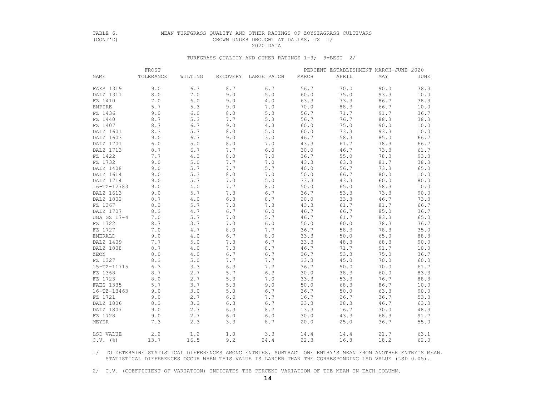## TABLE 6. MEAN TURFGRASS QUALITY AND OTHER RATINGS OF ZOYSIAGRASS CULTIVARS (CONT'D) GROWN UNDER DROUGHT AT DALLAS, TX 1/<br>2020 DATA 2020 DATA

## TURFGRASS QUALITY AND OTHER RATINGS 1-9; 9=BEST 2/

|                   | FROST     |         |     |                      |       | PERCENT ESTABLISHMENT MARCH-JUNE 2020 |      |      |  |  |  |
|-------------------|-----------|---------|-----|----------------------|-------|---------------------------------------|------|------|--|--|--|
| <b>NAME</b>       | TOLERANCE | WILTING |     | RECOVERY LARGE PATCH | MARCH | APRIL                                 | MAY  | JUNE |  |  |  |
| FAES 1319         | 9.0       | 6.3     | 8.7 | 6.7                  | 56.7  | 70.0                                  | 90.0 | 38.3 |  |  |  |
| DALZ 1311         | $8.0$     | 7.0     | 9.0 | 5.0                  | 60.0  | 75.0                                  | 93.3 | 10.0 |  |  |  |
| FZ 1410           | 7.0       | 6.0     | 9.0 | 4.0                  | 63.3  | 73.3                                  | 86.7 | 38.3 |  |  |  |
| EMPIRE            | 5.7       | 5.3     | 9.0 | 7.0                  | 70.0  | 88.3                                  | 66.7 | 10.0 |  |  |  |
| FZ 1436           | 9.0       | 6.0     | 8.0 | 5.3                  | 56.7  | 71.7                                  | 91.7 | 36.7 |  |  |  |
| FZ 1440           | 8.7       | 5.3     | 7.7 | 5.3                  | 56.7  | 76.7                                  | 88.3 | 38.3 |  |  |  |
| FZ 1407           | 8.7       | 6.7     | 9.0 | 4.3                  | 60.0  | 75.0                                  | 90.0 | 10.0 |  |  |  |
| DALZ 1601         | 8.3       | 5.7     | 8.0 | 5.0                  | 60.0  | 73.3                                  | 93.3 | 10.0 |  |  |  |
| DALZ 1603         | 9.0       | 6.7     | 9.0 | 3.0                  | 46.7  | 58.3                                  | 85.0 | 66.7 |  |  |  |
| DALZ 1701         | 6.0       | 5.0     | 8.0 | 7.0                  | 43.3  | 61.7                                  | 78.3 | 66.7 |  |  |  |
| DALZ 1713         | 8.7       | 6.7     | 7.7 | 6.0                  | 30.0  | 46.7                                  | 73.3 | 61.7 |  |  |  |
| FZ 1422           | 7.7       | 4.3     | 8.0 | 7.0                  | 36.7  | 55.0                                  | 78.3 | 93.3 |  |  |  |
| FZ 1732           | 9.0       | 5.0     | 7.7 | 7.0                  | 43.3  | 63.3                                  | 81.7 | 38.3 |  |  |  |
| DALZ 1408         | 9.0       | 5.7     | 7.7 | 5.7                  | 40.0  | 56.7                                  | 73.3 | 65.0 |  |  |  |
| DALZ 1614         | 9.0       | 5.3     | 8.0 | 7.0                  | 50.0  | 66.7                                  | 80.0 | 10.0 |  |  |  |
| DALZ 1714         | 9.0       | 5.7     | 7.0 | 5.0                  | 33.3  | 43.3                                  | 60.0 | 80.0 |  |  |  |
| 16-TZ-12783       | 9.0       | 4.0     | 7.7 | 8.0                  | 50.0  | 65.0                                  | 58.3 | 10.0 |  |  |  |
| DALZ 1613         | 9.0       | 5.7     | 7.3 | 6.7                  | 36.7  | 53.3                                  | 73.3 | 90.0 |  |  |  |
| DALZ 1802         | 8.7       | 4.0     | 6.3 | 8.7                  | 20.0  | 33.3                                  | 46.7 | 73.3 |  |  |  |
| FZ 1367           | 8.3       | 5.7     | 7.0 | 7.3                  | 43.3  | 61.7                                  | 81.7 | 66.7 |  |  |  |
| DALZ 1707         | 8.3       | 4.7     | 6.7 | 6.0                  | 46.7  | 66.7                                  | 85.0 | 36.7 |  |  |  |
| UGA GZ 17-4       | 7.0       | 5.7     | 7.0 | 5.7                  | 46.7  | 61.7                                  | 83.3 | 65.0 |  |  |  |
| FZ 1722           | 8.7       | 3.7     | 7.0 | 6.0                  | 50.0  | 60.0                                  | 78.3 | 36.7 |  |  |  |
| FZ 1727           | 7.0       | 4.7     | 8.0 | 7.7                  | 36.7  | 58.3                                  | 78.3 | 35.0 |  |  |  |
| EMERALD           | 9.0       | 4.0     | 6.7 | 8.0                  | 33.3  | 50.0                                  | 65.0 | 88.3 |  |  |  |
| DALZ 1409         | 7.7       | 5.0     | 7.3 | 6.7                  | 33.3  | 48.3                                  | 68.3 | 90.0 |  |  |  |
| DALZ 1808         | 8.7       | 4.0     | 7.3 | 8.7                  | 46.7  | 71.7                                  | 91.7 | 10.0 |  |  |  |
| ZEON              | 8.0       | 4.0     | 6.7 | 6.7                  | 36.7  | 53.3                                  | 75.0 | 36.7 |  |  |  |
| FZ 1327           | 8.3       | 5.0     | 7.7 | 7.7                  | 33.3  | 45.0                                  | 70.0 | 60.0 |  |  |  |
| $15 - TZ - 11715$ | 6.3       | 3.3     | 6.3 | 7.7                  | 36.7  | 50.0                                  | 70.0 | 61.7 |  |  |  |
| FZ 1368           | 8.7       | 2.7     | 5.7 | 6.3                  | 30.0  | 38.3                                  | 60.0 | 83.3 |  |  |  |
| FZ 1723           | 8.0       | 2.7     | 5.3 | 7.0                  | 33.3  | 53.3                                  | 76.7 | 88.3 |  |  |  |
| FAES 1335         | 5.7       | 3.7     | 5.3 | 9.0                  | 50.0  | 68.3                                  | 86.7 | 10.0 |  |  |  |
| $16 - TZ - 13463$ | 9.0       | 3.0     | 5.0 | 6.7                  | 36.7  | 50.0                                  | 63.3 | 90.0 |  |  |  |
| FZ 1721           | 9.0       | 2.7     | 6.0 | 7.7                  | 16.7  | 26.7                                  | 36.7 | 53.3 |  |  |  |
| DALZ 1806         | 8.3       | 3.3     | 6.3 | 6.7                  | 23.3  | 28.3                                  | 46.7 | 63.3 |  |  |  |
| DALZ 1807         | 9.0       | 2.7     | 6.3 | 8.7                  | 13.3  | 16.7                                  | 30.0 | 48.3 |  |  |  |
| FZ 1728           | 9.0       | 2.7     | 6.0 | 6.0                  | 30.0  | 43.3                                  | 68.3 | 91.7 |  |  |  |
| MEYER             | 7.3       | 2.3     | 3.3 | 8.7                  | 20.0  | 25.0                                  | 36.7 | 55.0 |  |  |  |
| LSD VALUE         | 2.2       | 1.2     | 1.0 | 3.3                  | 14.4  | 14.4                                  | 21.7 | 63.1 |  |  |  |
| $C.V.$ (%)        | 13.7      | 16.5    | 9.2 | 24.4                 | 22.3  | 16.8                                  | 18.2 | 62.0 |  |  |  |

 1/ TO DETERMINE STATISTICAL DIFFERENCES AMONG ENTRIES, SUBTRACT ONE ENTRY'S MEAN FROM ANOTHER ENTRY'S MEAN. STATISTICAL DIFFERENCES OCCUR WHEN THIS VALUE IS LARGER THAN THE CORRESPONDING LSD VALUE (LSD 0.05).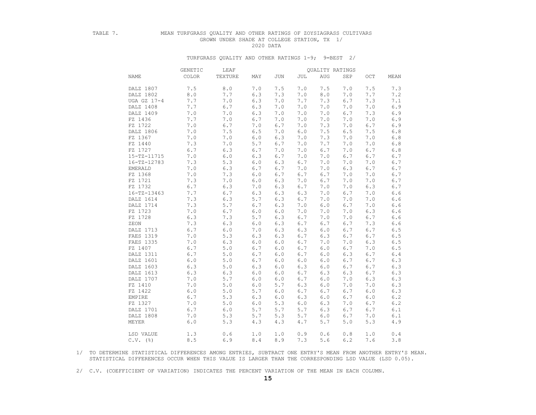## TABLE 7. MEAN TURFGRASS QUALITY AND OTHER RATINGS OF ZOYSIAGRASS CULTIVARS GROWN UNDER SHADE AT COLLEGE STATION, TX 1/ 2020 DATA

#### TURFGRASS QUALITY AND OTHER RATINGS 1-9; 9=BEST 2/

|                   | GENETIC | LEAF    |       |       |     | QUALITY RATINGS |     |             |             |
|-------------------|---------|---------|-------|-------|-----|-----------------|-----|-------------|-------------|
| NAME              | COLOR   | TEXTURE | MAY   | JUN   | JUL | <b>AUG</b>      | SEP | OCT         | MEAN        |
| DALZ 1807         | 7.5     | $8.0$   | 7.0   | 7.5   | 7.0 | 7.5             | 7.0 | 7.5         | 7.3         |
| DALZ 1802         | $8.0$   | 7.7     | 6.3   | 7.3   | 7.0 | $\,8$ . $0$     | 7.0 | 7.7         | 7.2         |
| UGA GZ 17-4       | 7.7     | 7.0     | 6.3   | 7.0   | 7.7 | 7.3             | 6.7 | 7.3         | 7.1         |
| DALZ 1408         | 7.7     | 6.7     | 6.3   | 7.0   | 7.0 | $7.0$           | 7.0 | 7.0         | 6.9         |
| DALZ 1409         | 7.0     | 7.0     | 6.3   | 7.0   | 7.0 | 7.0             | 6.7 | 7.3         | $6.9$       |
| FZ 1436           | 7.7     | 7.0     | 6.7   | 7.0   | 7.0 | 7.0             | 7.0 | 7.0         | 6.9         |
| FZ 1722           | 7.0     | 6.7     | 7.0   | 6.7   | 7.0 | 7.3             | 7.0 | 6.7         | 6.9         |
| DALZ 1806         | 7.0     | 7.5     | 6.5   | 7.0   | 6.0 | 7.5             | 6.5 | 7.5         | $6.8\,$     |
| FZ 1367           | 7.0     | 7.0     | $6.0$ | 6.3   | 7.0 | 7.3             | 7.0 | $7 \cdot 0$ | $6.8$       |
| FZ 1440           | 7.3     | 7.0     | 5.7   | 6.7   | 7.0 | 7.7             | 7.0 | 7.0         | $6.8\,$     |
| FZ 1727           | 6.7     | 6.3     | 6.7   | 7.0   | 7.0 | 6.7             | 7.0 | 6.7         | $6.8$       |
| 15-TZ-11715       | 7.0     | 6.0     | 6.3   | 6.7   | 7.0 | 7.0             | 6.7 | 6.7         | 6.7         |
| $16 - TZ - 12783$ | 7.3     | 5.3     | 6.0   | 6.3   | 6.7 | 7.0             | 7.0 | 7.0         | $6.7\,$     |
| <b>EMERALD</b>    | 7.0     | 6.3     | 6.7   | 6.7   | 7.0 | 7.0             | 6.3 | 6.7         | 6.7         |
| FZ 1368           | 7.0     | 7.3     | 6.0   | 6.7   | 6.7 | 6.7             | 7.0 | $7 \cdot 0$ | 6.7         |
| FZ 1721           | 7.3     | 7.0     | $6.0$ | 6.3   | 7.0 | 6.7             | 7.0 | 7.0         | 6.7         |
| FZ 1732           | 6.7     | 6.3     | 7.0   | 6.3   | 6.7 | 7.0             | 7.0 | 6.3         | $6.7$       |
| $16 - TZ - 13463$ | 7.7     | 6.7     | 6.3   | 6.3   | 6.3 | 7.0             | 6.7 | $7.0$       | 6.6         |
| DALZ 1614         | 7.3     | 6.3     | 5.7   | 6.3   | 6.7 | 7.0             | 7.0 | 7.0         | $6.6$       |
| DALZ 1714         | 7.3     | 5.7     | 6.7   | 6.3   | 7.0 | 6.0             | 6.7 | 7.0         | $6.6$       |
| FZ 1723           | 7.0     | 6.7     | 6.0   | 6.0   | 7.0 | 7.0             | 7.0 | 6.3         | 6.6         |
| FZ 1728           | 6.3     | 7.3     | 5.7   | 6.3   | 6.7 | 7.0             | 7.0 | 6.7         | 6.6         |
| ZEON              | 7.3     | 6.3     | 6.0   | 6.3   | 6.7 | 6.7             | 6.7 | 7.3         | $6.6$       |
| DALZ 1713         | 6.7     | $6.0$   | 7.0   | 6.3   | 6.3 | 6.0             | 6.7 | 6.7         | 6.5         |
| FAES 1319         | 7.0     | 5.3     | 6.3   | 6.3   | 6.7 | 6.3             | 6.7 | 6.7         | $6.5\,$     |
| FAES 1335         | 7.0     | 6.3     | 6.0   | 6.0   | 6.7 | 7.0             | 7.0 | 6.3         | $6\,.5$     |
| FZ 1407           | 6.7     | 5.0     | 6.7   | 6.0   | 6.7 | 6.0             | 6.7 | 7.0         | $6.5\,$     |
| DALZ 1311         | 6.7     | 5.0     | 6.7   | 6.0   | 6.7 | 6.0             | 6.3 | 6.7         | $6.4\,$     |
| DALZ 1601         | $6.0$   | 5.0     | 6.7   | 6.0   | 6.0 | 6.0             | 6.7 | 6.7         | 6.3         |
| DALZ 1603         | 6.3     | $5.0$   | 6.3   | 6.0   | 6.3 | 6.0             | 6.7 | 6.7         | 6.3         |
| DALZ 1613         | 6.3     | 6.3     | 6.0   | 6.0   | 6.7 | 6.3             | 6.3 | 6.7         | 6.3         |
| DALZ 1707         | 7.0     | 5.7     | 6.0   | 6.0   | 6.7 | 6.0             | 7.0 | 6.3         | $6.3$       |
| FZ 1410           | 7.0     | 5.0     | 6.0   | 5.7   | 6.3 | 6.0             | 7.0 | 7.0         | 6.3         |
| FZ 1422           | $6.0$   | $5.0$   | 5.7   | 6.0   | 6.7 | 6.7             | 6.7 | $6.0$       | 6.3         |
| EMPIRE            | 6.7     | 5.3     | 6.3   | $6.0$ | 6.3 | 6.0             | 6.7 | $6.0$       | $6.2\,$     |
| FZ 1327           | 7.0     | $5.0$   | 6.0   | 5.3   | 6.0 | 6.3             | 7.0 | 6.7         | $6.2\,$     |
| DALZ 1701         | 6.7     | $6.0$   | 5.7   | 5.7   | 5.7 | 6.3             | 6.7 | 6.7         | $6.1$       |
| DALZ 1808         | 7.0     | 5.3     | 5.7   | 5.3   | 5.7 | 6.0             | 6.7 | 7.0         | 6.1         |
| MEYER             | $6.0$   | 5.3     | 4.3   | 4.3   | 4.7 | $5.7$           | 5.0 | 5.3         | $4\,$ . $9$ |
| LSD VALUE         | 1.3     | 0.6     | 1.0   | 1.0   | 0.9 | 0.6             | 0.8 | 1.0         | 0.4         |
| $C.V.$ (%)        | 8.5     | 6.9     | 8.4   | 8.9   | 7.3 | 5.6             | 6.2 | 7.6         | 3.8         |

 1/ TO DETERMINE STATISTICAL DIFFERENCES AMONG ENTRIES, SUBTRACT ONE ENTRY'S MEAN FROM ANOTHER ENTRY'S MEAN. STATISTICAL DIFFERENCES OCCUR WHEN THIS VALUE IS LARGER THAN THE CORRESPONDING LSD VALUE (LSD 0.05).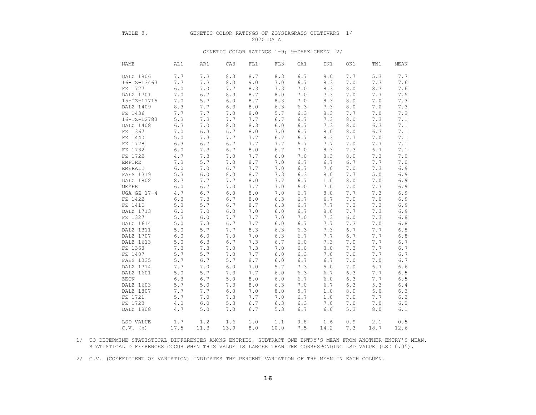#### TABLE 8. GENETIC COLOR RATINGS OF ZOYSIAGRASS CULTIVARS 1/ 2020 DATA

#### GENETIC COLOR RATINGS 1-9; 9=DARK GREEN 2/

| NAME              | AL1   | AR1   | CA3   | FL1         | FL3     | GA1   | IN1  | OK1   | TN1     | MEAN    |
|-------------------|-------|-------|-------|-------------|---------|-------|------|-------|---------|---------|
| DALZ 1806         | 7.7   | 7.3   | 8.3   | 8.7         | 8.3     | 6.7   | 9.0  | 7.7   | 5.3     | 7.7     |
| $16 - TZ - 13463$ | 7.7   | 7.3   | 8.0   | 9.0         | 7.0     | 6.7   | 8.3  | 7.0   | 7.3     | 7.6     |
| FZ 1727           | 6.0   | 7.0   | 7.7   | 8.3         | 7.3     | 7.0   | 8.3  | 8.0   | 8.3     | 7.6     |
| DALZ 1701         | 7.0   | 6.7   | 8.3   | 8.7         | 8.0     | 7.0   | 7.3  | 7.0   | 7.7     | 7.5     |
| 15-TZ-11715       | 7.0   | $5.7$ | 6.0   | 8.7         | 8.3     | 7.0   | 8.3  | $8.0$ | 7.0     | 7.3     |
| DALZ 1409         | 8.3   | 7.7   | 6.3   | $\,8$ . $0$ | 6.3     | 6.3   | 7.3  | 8.0   | 7.0     | 7.3     |
| FZ 1436           | 7.7   | 7.7   | 7.0   | 8.0         | 5.7     | 6.3   | 8.3  | 7.7   | $7.0$   | 7.3     |
| $16 - TZ - 12783$ | 5.3   | 7.3   | 7.7   | 7.7         | 6.7     | 6.7   | 7.3  | 8.0   | 7.3     | 7.1     |
| DALZ 1408         | 6.3   | 7.0   | 8.0   | 8.3         | 6.0     | 6.7   | 7.3  | 8.0   | 6.3     | 7.1     |
| FZ 1367           | 7.0   | 6.3   | 6.7   | 8.0         | 7.0     | 6.7   | 8.0  | 8.0   | 6.3     | 7.1     |
| FZ 1440           | 5.0   | 7.3   | 7.7   | 7.7         | 6.7     | 6.7   | 8.3  | 7.7   | 7.0     | 7.1     |
| FZ 1728           | 6.3   | 6.7   | 6.7   | 7.7         | 7.7     | 6.7   | 7.7  | 7.0   | 7.7     | 7.1     |
| FZ 1732           | 6.0   | 7.3   | $6.7$ | $\,8$ . $0$ | $6.7\,$ | 7.0   | 8.3  | 7.3   | 6.7     | 7.1     |
| FZ 1722           | 4.7   | 7.3   | 7.0   | 7.7         | 6.0     | 7.0   | 8.3  | 8.0   | 7.3     | $7.0$   |
| EMPIRE            | 7.3   | 5.7   | 7.0   | 8.7         | 7.0     | 6.7   | 6.7  | 6.7   | 7.7     | 7.0     |
| <b>EMERALD</b>    | 6.0   | 7.0   | 6.7   | 7.7         | 7.0     | 6.7   | 7.0  | 7.0   | 7.3     | 6.9     |
| FAES 1319         | 5.3   | $6.0$ | $8.0$ | 8.7         | 7.3     | 6.3   | 8.0  | 7.7   | 5.0     | 6.9     |
| DALZ 1802         | 8.7   | 7.7   | 7.7   | 8.0         | 7.7     | 6.7   | 1.0  | 8.0   | 7.0     | $6.9$   |
| MEYER             | 6.0   | 6.7   | 7.0   | 7.7         | 7.0     | $6.0$ | 7.0  | 7.0   | 7.7     | $6.9$   |
| UGA GZ 17-4       | 4.7   | 6.7   | $6.0$ | $\,8$ . $0$ | 7.0     | 6.7   | 8.0  | 7.7   | 7.3     | $6.9$   |
| FZ 1422           | 6.3   | 7.3   | 6.7   | 8.0         | 6.3     | 6.7   | 6.7  | 7.0   | 7.0     | $6.9$   |
| FZ 1410           | 5.3   | 5.7   | $6.7$ | 8.7         | 6.3     | $6.7$ | 7.7  | 7.3   | 7.3     | $6.9$   |
| DALZ 1713         | 6.0   | 7.0   | 6.0   | 7.0         | 6.0     | 6.7   | 8.0  | 7.7   | 7.3     | $6.9$   |
| FZ 1327           | 5.3   | $6.0$ | 7.7   | 7.7         | 7.0     | 7.0   | 7.3  | 6.0   | 7.3     | $6.8$   |
| DALZ 1614         | 5.0   | 7.3   | 6.7   | 7.7         | 6.0     | 6.7   | 7.7  | 7.3   | 7.0     | $6.8$   |
| DALZ 1311         | 5.0   | 5.7   | 7.7   | 8.3         | 6.3     | 6.3   | 7.3  | 6.7   | 7.7     | $6.8\,$ |
| DALZ 1707         | $6.0$ | $6.0$ | 7.0   | 7.0         | 6.3     | 6.7   | 7.7  | 6.7   | $7.7\,$ | $6.8\,$ |
| DALZ 1613         | 5.0   | 6.3   | $6.7$ | 7.3         | 6.7     | 6.0   | 7.3  | 7.0   | 7.7     | $6.7\,$ |
| FZ 1368           | 7.3   | 7.3   | 7.0   | 7.3         | 7.0     | 6.0   | 3.0  | 7.3   | 7.7     | $6.7\,$ |
| FZ 1407           | 5.7   | 5.7   | 7.0   | 7.7         | 6.0     | 6.3   | 7.0  | 7.0   | 7.7     | 6.7     |
| FAES 1335         | 5.7   | 6.7   | 5.7   | 8.7         | 6.0     | 6.7   | 6.7  | 7.0   | 7.0     | 6.7     |
| DALZ 1714         | 7.7   | 7.0   | $6.0$ | 7.0         | 5.7     | 7.3   | 5.0  | 7.0   | 6.7     | 6.6     |
| DALZ 1601         | 5.0   | 5.7   | 7.3   | 7.7         | 6.0     | 6.3   | 6.7  | 6.3   | 7.7     | $6\,.5$ |
| ZEON              | 6.3   | 6.7   | $5.0$ | $\,8$ . $0$ | $6.0$   | 6.7   | 6.0  | 6.3   | 7.7     | $6\,.5$ |
| DALZ 1603         | 5.7   | 5.0   | 7.3   | 8.0         | 6.3     | 7.0   | 6.7  | 6.3   | 5.3     | $6.4\,$ |
| DALZ 1807         | 7.7   | 7.7   | $6.0$ | 7.0         | $8.0$   | 5.7   | 1.0  | 8.0   | $6.0$   | $6.3$   |
| FZ 1721           | 5.7   | 7.0   | 7.3   | 7.7         | 7.0     | 6.7   | 1.0  | 7.0   | 7.7     | 6.3     |
| FZ 1723           | 4.0   | 6.0   | 5.3   | 6.7         | 6.3     | 6.3   | 7.0  | 7.0   | 7.0     | $6.2\,$ |
| DALZ 1808         | 4.7   | 5.0   | 7.0   | 6.7         | 5.3     | 6.7   | 6.0  | 5.3   | $8.0\,$ | 6.1     |
|                   |       |       |       |             |         |       |      |       |         |         |
| LSD VALUE         | 1.7   | 1.2   | 1.6   | 1.0         | 1.1     | 0.8   | 1.6  | 0.9   | 2.1     | 0.5     |
| $C.V.$ ( $\S$ )   | 17.5  | 11.3  | 13.9  | 8.0         | 10.0    | 7.5   | 14.2 | 7.3   | 18.7    | 12.6    |

 1/ TO DETERMINE STATISTICAL DIFFERENCES AMONG ENTRIES, SUBTRACT ONE ENTRY'S MEAN FROM ANOTHER ENTRY'S MEAN. STATISTICAL DIFFERENCES OCCUR WHEN THIS VALUE IS LARGER THAN THE CORRESPONDING LSD VALUE (LSD 0.05).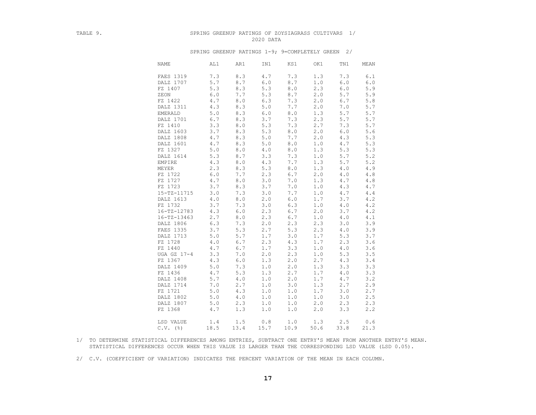### TABLE 9. SPRING GREENUP RATINGS OF ZOYSIAGRASS CULTIVARS 1/ 2020 DATA

#### SPRING GREENUP RATINGS 1-9; 9=COMPLETELY GREEN 2/

| <b>NAME</b>       | AL1  | AR1   | IN1   | KS1   | OK1  | TN1   | MEAN  |
|-------------------|------|-------|-------|-------|------|-------|-------|
| FAES 1319         | 7.3  | 8.3   | 4.7   | 7.3   | 1.3  | 7.3   | 6.1   |
| DALZ 1707         | 5.7  | 8.7   | 6.0   | 8.7   | 1.0  | 6.0   | $6.0$ |
| FZ 1407           | 5.3  | 8.3   | 5.3   | $8.0$ | 2.3  | 6.0   | 5.9   |
| ZEON              | 6.0  | 7.7   | 5.3   | 8.7   | 2.0  | 5.7   | 5.9   |
| FZ 1422           | 4.7  | $8.0$ | 6.3   | 7.3   | 2.0  | 6.7   | $5.8$ |
| DALZ 1311         | 4.3  | 8.3   | 5.0   | 7.7   | 2.0  | 7.0   | 5.7   |
| <b>EMERALD</b>    | 5.0  | 8.3   | 6.0   | 8.0   | 1.3  | 5.7   | 5.7   |
| DALZ 1701         | 6.7  | 8.3   | 3.7   | 7.3   | 2.3  | 5.7   | 5.7   |
| FZ 1410           | 3.3  | 8.0   | 5.3   | 7.3   | 2.7  | 7.3   | 5.7   |
| DALZ 1603         | 3.7  | 8.3   | 5.3   | 8.0   | 2.0  | 6.0   | 5.6   |
| DALZ 1808         | 4.7  | 8.3   | 5.0   | 7.7   | 2.0  | 4.3   | 5.3   |
| DALZ 1601         | 4.7  | 8.3   | 5.0   | 8.0   | 1.0  | 4.7   | 5.3   |
| FZ 1327           | 5.0  | 8.0   | $4.0$ | 8.0   | 1.3  | 5.3   | 5.3   |
| DALZ 1614         | 5.3  | 8.7   | 3.3   | 7.3   | 1.0  | 5.7   | 5.2   |
| EMPIRE            | 4.3  | 8.0   | 4.3   | 7.7   | 1.3  | 5.7   | $5.2$ |
| MEYER             | 2.3  | 8.3   | 5.3   | $8.0$ | 1.3  | $4.0$ | 4.9   |
| FZ 1722           | 6.0  | 7.7   | 2.3   | 6.7   | 2.0  | 4.0   | $4.8$ |
| FZ 1727           | 4.7  | 8.0   | 3.0   | 7.0   | 1.3  | 4.7   | $4.8$ |
| FZ 1723           | 3.7  | 8.3   | 3.7   | 7.0   | 1.0  | 4.3   | 4.7   |
| 15-TZ-11715       | 3.0  | 7.3   | 3.0   | 7.7   | 1.0  | 4.7   | $4.4$ |
| DALZ 1613         | 4.0  | 8.0   | 2.0   | $6.0$ | 1.7  | 3.7   | 4.2   |
| FZ 1732           | 3.7  | 7.3   | 3.0   | 6.3   | 1.0  | 4.0   | 4.2   |
| 16-TZ-12783       | 4.3  | $6.0$ | 2.3   | 6.7   | 2.0  | 3.7   | 4.2   |
| $16 - TZ - 13463$ | 2.7  | $8.0$ | 2.3   | 6.7   | 1.0  | $4.0$ | 4.1   |
| DALZ 1806         | 6.3  | 7.3   | 2.0   | 2.3   | 2.3  | 3.0   | 3.9   |
| FAES 1335         | 3.7  | 5.3   | 2.7   | 5.3   | 2.3  | $4.0$ | 3.9   |
| DALZ 1713         | 5.0  | 5.7   | 1.7   | 3.0   | 1.7  | 5.3   | 3.7   |
| FZ 1728           | 4.0  | 6.7   | 2.3   | 4.3   | 1.7  | 2.3   | 3.6   |
| FZ 1440           | 4.7  | 6.7   | 1.7   | 3.3   | 1.0  | 4.0   | 3.6   |
| UGA GZ 17-4       | 3.3  | 7.0   | 2.0   | 2.3   | 1.0  | 5.3   | 3.5   |
| FZ 1367           | 4.3  | $6.0$ | 1.3   | 2.0   | 2.7  | 4.3   | 3.4   |
| DALZ 1409         | 5.0  | 7.3   | 1.0   | 2.0   | 1.3  | 3.3   | 3.3   |
| FZ 1436           | 4.7  | 5.3   | 1.3   | 2.7   | 1.7  | 4.0   | 3.3   |
| DALZ 1408         | 5.7  | 4.0   | 1.0   | 2.0   | 1.7  | 4.7   | 3.2   |
| DALZ 1714         | 7.0  | 2.7   | 1.0   | 3.0   | 1.3  | 2.7   | 2.9   |
| FZ 1721           | 5.0  | 4.3   | 1.0   | 1.0   | 1.7  | 3.0   | 2.7   |
| DALZ 1802         | 5.0  | 4.0   | 1.0   | 1.0   | 1.0  | 3.0   | 2.5   |
| DALZ 1807         | 5.0  | 2.3   | 1.0   | 1.0   | 2.0  | 2.3   | 2.3   |
| FZ 1368           | 4.7  | 1.3   | 1.0   | 1.0   | 2.0  | 3.3   | 2.2   |
| LSD VALUE         | 1.4  | 1.5   | 0.8   | 1.0   | 1.3  | 2.5   | 0.6   |
| $C.V.$ (%)        | 18.5 | 13.4  | 15.7  | 10.9  | 50.6 | 33.8  | 21.3  |

 1/ TO DETERMINE STATISTICAL DIFFERENCES AMONG ENTRIES, SUBTRACT ONE ENTRY'S MEAN FROM ANOTHER ENTRY'S MEAN. STATISTICAL DIFFERENCES OCCUR WHEN THIS VALUE IS LARGER THAN THE CORRESPONDING LSD VALUE (LSD 0.05).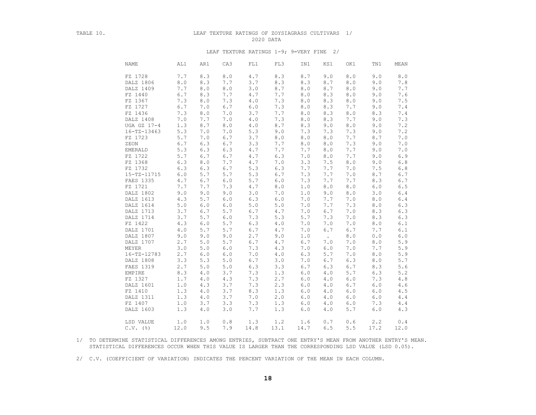### TABLE 10. LEAF TEXTURE RATINGS OF ZOYSIAGRASS CULTIVARS 1/ 2020 DATA

#### LEAF TEXTURE RATINGS 1-9; 9=VERY FINE 2/

| <b>NAME</b>     | AL1                      | AR1   | CA3     | FL1       | FL3   | IN1           | KS1    | OK1   | TN1   | MEAN          |
|-----------------|--------------------------|-------|---------|-----------|-------|---------------|--------|-------|-------|---------------|
| FZ 1728         | 7.7                      | 8.3   | $8.0$   | 4.7       | 8.3   | 8.7           | 9.0    | 8.0   | 9.0   | $8 \, . \, 0$ |
|                 | 8.0<br>DALZ 1806         | 8.3   | 7.7     | 3.7       | 8.3   | 8.3           | 8.7    | 8.0   | 9.0   | 7.8           |
|                 | DALZ 1409<br>7.7         | 8.0   | 8.0     | 3.0       | 8.7   | 8.0           | 8.7    | 8.0   | 9.0   | 7.7           |
| FZ 1440         | 6.7                      | 8.3   | 7.7     | 4.7       | 7.7   | 8.0           | 8.3    | 8.0   | 9.0   | 7.6           |
| FZ 1367         | 7.3                      | 8.0   | 7.3     | $4\ .\ 0$ | 7.3   | 8.0           | 8.3    | $8.0$ | 9.0   | $7.5\,$       |
| FZ 1727         | 6.7                      | 7.0   | $6.7$   | $6.0$     | 7.3   | 8.0           | 8.3    | 7.7   | 9.0   | 7.4           |
| FZ 1436         | 7.3                      | 8.0   | 7.0     | 3.7       | 7.7   | 8.0           | 8.3    | 8.0   | 8.3   | $7\,.4$       |
| DALZ 1408       | 7.0                      | 7.7   | 7.0     | 4.0       | 7.3   | 8.0           | 8.3    | 7.7   | 9.0   | 7.3           |
|                 | UGA GZ 17-4<br>1.3       | 8.7   | 8.0     | 4.0       | 8.7   | 8.3           | 9.0    | 8.0   | 9.0   | 7.2           |
|                 | $16 - TZ - 13463$<br>5.3 | 7.0   | 7.0     | 5.3       | 9.0   | 7.3           | 7.3    | 7.3   | 9.0   | 7.2           |
| FZ 1723         | 5.7                      | 7.0   | 6.7     | 3.7       | 8.0   | 8.0           | 8.0    | 7.7   | 8.7   | 7.0           |
| ZEON            | 6.7                      | 6.3   | $6.7\,$ | 3.3       | 7.7   | $8 \, . \, 0$ | 8.0    | 7.3   | 9.0   | 7.0           |
| EMERALD         | 5.3                      | 6.3   | 6.3     | 4.7       | 7.7   | 7.7           | 8.0    | 7.7   | 9.0   | 7.0           |
| FZ 1722         | 5.7                      | 6.7   | $6.7$   | 4.7       | 6.3   | 7.0           | 8.0    | 7.7   | 9.0   | 6.9           |
| FZ 1368         | 6.3                      | 8.0   | 7.7     | 4.7       | 7.0   | 3.3           | 7.5    | 8.0   | 9.0   | $6.8$         |
| FZ 1732         | 6.3                      | 6.3   | 6.7     | 5.3       | 6.3   | 7.7           | 7.7    | 7.0   | 7.5   | $6.8$         |
|                 | 15-TZ-11715<br>6.0       | 5.7   | 5.7     | 5.3       | 6.7   | 7.3           | 7.7    | 7.0   | 8.7   | 6.7           |
| FAES 1335       | 4.7                      | 6.7   | $6.0$   | 5.7       | $6.0$ | 7.3           | 7.7    | 7.7   | 8.3   | $6.7\,$       |
| FZ 1721         | 7.7                      | 7.7   | 7.3     | 4.7       | 8.0   | 1.0           | 8.0    | $8.0$ | $6.0$ | $6.5$         |
|                 | DALZ 1802<br>9.0         | 9.0   | 9.0     | 3.0       | 7.0   | $1.0$         | 9.0    | 8.0   | 3.0   | $6.4\,$       |
|                 | DALZ 1613<br>4.3         | 5.7   | 6.0     | 6.3       | $6.0$ | 7.0           | 7.7    | 7.0   | 8.0   | $6.4\,$       |
| DALZ 1614       | 5.0                      | $6.0$ | 6.0     | $5.0$     | 5.0   | 7.0           | 7.7    | 7.3   | $8.0$ | $6.3\,$       |
|                 | DALZ 1713<br>3.7         | 6.7   | 5.7     | 6.7       | 4.7   | 7.0           | 6.7    | 7.0   | 8.3   | 6.3           |
| DALZ 1714       | 3.7                      | 5.7   | $6.0$   | 7.3       | 5.3   | 5.7           | 7.3    | 7.0   | 8.3   | 6.3           |
| FZ 1422         | 4.3                      | 6.0   | 5.7     | 6.3       | $4.0$ | 7.0           | 7.0    | 7.0   | $8.0$ | 6.1           |
| DALZ 1701       | $4.0$                    | 5.7   | $5.7$   | $6.7\,$   | $4.7$ | 7.0           | 6.7    | 6.7   | 7.7   | $6.1$         |
|                 | DALZ 1807<br>9.0         | 9.0   | 9.0     | 2.7       | 9.0   | 1.0           | $\sim$ | $8.0$ | 0.0   | $6 \, . \, 0$ |
|                 | DALZ 1707<br>2.7         | 5.0   | 5.7     | 6.7       | 4.7   | 6.7           | 7.0    | 7.0   | 8.0   | $5.9$         |
| MEYER           | 3.0                      | 5.0   | $6.0$   | 7.3       | 4.3   | 7.0           | 6.0    | 7.0   | 7.7   | $5.9$         |
|                 | 16-TZ-12783<br>2.7       | 6.0   | 6.0     | 7.0       | 4.0   | 6.3           | 5.7    | 7.0   | 8.0   | 5.9           |
| DALZ 1808       | 3.3                      | 5.3   | 5.0     | 6.7       | 3.0   | 7.0           | 6.7    | 6.3   | 8.0   | 5.7           |
| FAES 1319       | 2.7                      | 5.0   | 5.0     | 6.3       | 3.3   | 6.7           | 6.3    | 6.7   | 8.3   | 5.6           |
| EMPIRE          | 8.3                      | 4.0   | 3.7     | 7.3       | 1.3   | 6.0           | 4.0    | 5.7   | 6.3   | $5.2\,$       |
| FZ 1327         | 1.7                      | $4.0$ | 4.3     | 7.3       | 2.7   | 6.0           | 4.0    | 6.0   | 7.3   | $4\ .\ 8$     |
| DALZ 1601       | 1.0                      | 4.3   | 3.7     | 7.3       | 2.3   | 6.0           | 4.0    | 6.7   | $6.0$ | $4.6\,$       |
| FZ 1410         | 1.3                      | $4.0$ | 3.7     | 8.3       | 1.3   | 6.0           | 4.0    | $6.0$ | $6.0$ | 4.5           |
| DALZ 1311       | 1.3                      | 4.0   | 3.7     | 7.0       | 2.0   | 6.0           | 4.0    | 6.0   | 6.0   | 4.4           |
| FZ 1407         | 1.0                      | 3.7   | 3.3     | 7.3       | 1.3   | 6.0           | 4.0    | 6.0   | 7.3   | $4.4$         |
| DALZ 1603       | 1.3                      | 4.0   | 3.0     | 7.7       | 1.3   | 6.0           | 4.0    | 5.7   | 6.0   | 4.3           |
|                 |                          |       |         |           |       |               |        |       |       |               |
| LSD VALUE       | 1.0                      | 1.0   | 0.8     | 1.3       | 1.2   | 1.6           | 0.7    | 0.6   | 2.2   | 0.4           |
| $C.V.$ ( $\S$ ) | 12.0                     | 9.5   | 7.9     | 14.8      | 13.1  | 14.7          | 6.5    | 5.5   | 17.2  | 12.0          |

 1/ TO DETERMINE STATISTICAL DIFFERENCES AMONG ENTRIES, SUBTRACT ONE ENTRY'S MEAN FROM ANOTHER ENTRY'S MEAN. STATISTICAL DIFFERENCES OCCUR WHEN THIS VALUE IS LARGER THAN THE CORRESPONDING LSD VALUE (LSD 0.05).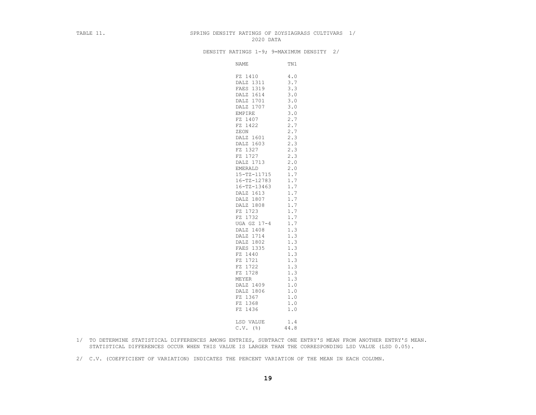#### TABLE 11. SPRING DENSITY RATINGS OF ZOYSIAGRASS CULTIVARS 1/ 2020 DATA

DENSITY RATINGS 1-9; 9=MAXIMUM DENSITY 2/

| NAME              | TN1  |
|-------------------|------|
| FZ 1410           | 4.0  |
| DALZ 1311         | 3.7  |
| FAES 1319         | 3.3  |
| DALZ 1614         | 3.0  |
| DALZ 1701         | 3.0  |
| DALZ 1707         | 3.0  |
| EMPIRE            | 3.0  |
| FZ 1407           | 2.7  |
| FZ 1422           | 2.7  |
| ZEON              | 2.7  |
| DALZ 1601         | 2.3  |
| DALZ 1603         | 2.3  |
| FZ 1327           | 2.3  |
| FZ 1727           | 2.3  |
| DALZ 1713         | 2.0  |
| EMERALD           | 2.0  |
| 15-TZ-11715       | 1.7  |
| $16 - TZ - 12783$ | 1.7  |
| $16 - TZ - 13463$ | 1.7  |
| DALZ 1613         | 1.7  |
| DALZ 1807         | 1.7  |
| DALZ 1808         | 1.7  |
| FZ 1723           | 1.7  |
| FZ 1732           | 1.7  |
| UGA GZ 17-4       | 1.7  |
| DALZ 1408         | 1.3  |
| DALZ 1714         | 1.3  |
| DALZ 1802         | 1.3  |
| FAES 1335         | 1.3  |
| FZ 1440           | 1.3  |
| FZ 1721           | 1.3  |
| FZ 1722           | 1.3  |
| FZ 1728           | 1.3  |
| <b>MEYER</b>      | 1.3  |
| DALZ 1409         | 1.0  |
| DALZ 1806         | 1.0  |
| FZ 1367           | 1.0  |
| FZ 1368           | 1.0  |
| FZ 1436           | 1.0  |
| LSD VALUE         | 1.4  |
| $C.V.$ (%)        | 44.8 |

- 1/ TO DETERMINE STATISTICAL DIFFERENCES AMONG ENTRIES, SUBTRACT ONE ENTRY'S MEAN FROM ANOTHER ENTRY'S MEAN. STATISTICAL DIFFERENCES OCCUR WHEN THIS VALUE IS LARGER THAN THE CORRESPONDING LSD VALUE (LSD 0.05).
- 2/ C.V. (COEFFICIENT OF VARIATION) INDICATES THE PERCENT VARIATION OF THE MEAN IN EACH COLUMN.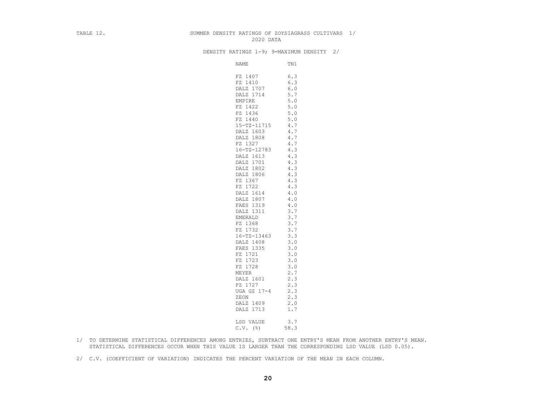### TABLE 12. SUMMER DENSITY RATINGS OF ZOYSIAGRASS CULTIVARS 1/ 2020 DATA

DENSITY RATINGS 1-9; 9=MAXIMUM DENSITY 2/

| NAME              | TN1   |
|-------------------|-------|
| FZ 1407           | 6.3   |
| FZ 1410           | 6.3   |
| DALZ 1707         | 6.0   |
| DALZ 1714         | 5.7   |
| EMPIRE            | 5.0   |
| FZ 1422           | 5.0   |
| FZ 1436           | 5.0   |
| FZ 1440           | 5.0   |
| 15-TZ-11715       | 4.7   |
| DALZ 1603         | 4.7   |
| DALZ 1808         | 4.7   |
| FZ 1327           | 4.7   |
| $16 - TZ - 12783$ | 4.3   |
| DALZ 1613         | 4.3   |
| DALZ 1701         | 4.3   |
| DALZ 1802         | 4.3   |
| DALZ 1806         | 4.3   |
| FZ 1367           | 4.3   |
| FZ 1722           | 4.3   |
| DALZ 1614         | 4.0   |
| DALZ 1807         | 4.0   |
| FAES 1319         | 4.0   |
| DALZ 1311         | 3.7   |
| EMERALD           | 3.7   |
| FZ 1368           | 3.7   |
| FZ 1732           | 3.7   |
| $16 - TZ - 13463$ | 3.3   |
| DALZ 1408         | 3.0   |
| FAES 1335         | $3.0$ |
| FZ 1721           | 3.0   |
| FZ 1723           | 3.0   |
| FZ 1728           | 3.0   |
| MEYER             | 2.7   |
| DALZ 1601         | 2.3   |
| FZ 1727           | 2.3   |
| UGA GZ 17-4       | 2.3   |
| ZEON              | 2.3   |
| DALZ 1409         | 2.0   |
| DALZ 1713         | 1.7   |
| LSD VALUE         | 3.7   |
| $C.V.$ (%)        | 58.3  |
|                   |       |

- 1/ TO DETERMINE STATISTICAL DIFFERENCES AMONG ENTRIES, SUBTRACT ONE ENTRY'S MEAN FROM ANOTHER ENTRY'S MEAN. STATISTICAL DIFFERENCES OCCUR WHEN THIS VALUE IS LARGER THAN THE CORRESPONDING LSD VALUE (LSD 0.05).
- 2/ C.V. (COEFFICIENT OF VARIATION) INDICATES THE PERCENT VARIATION OF THE MEAN IN EACH COLUMN.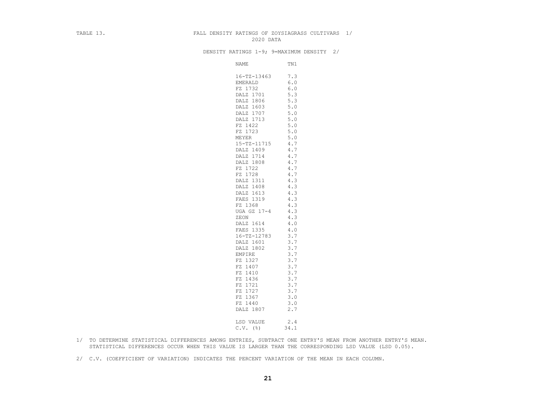#### TABLE 13. FALL DENSITY RATINGS OF ZOYSIAGRASS CULTIVARS 1/ 2020 DATA

DENSITY RATINGS 1-9; 9=MAXIMUM DENSITY 2/

| NAME                     | TN1        |
|--------------------------|------------|
| $16 - TZ - 13463$        | 7.3        |
| EMERALD                  | $6.0$      |
| FZ 1732                  | $6.0\,$    |
| DALZ 1701                | 5.3        |
| DALZ 1806                | 5.3        |
| DALZ 1603                | 5.0        |
| DALZ 1707                | $5.0$      |
| DALZ 1713                | 5.0        |
| FZ 1422                  | $5.0$      |
| FZ 1723                  | 5.0        |
| MEYER                    | 5.0        |
| 15-TZ-11715              | 4.7        |
| DALZ 1409                | 4.7        |
| DALZ 1714                | 4.7        |
| DALZ 1808                | 4.7        |
| FZ 1722                  | 4.7        |
| FZ 1728                  | 4.7        |
| DALZ 1311                | 4.3        |
| DALZ 1408                | 4.3        |
| DALZ 1613                | 4.3        |
| FAES 1319                | 4.3        |
| FZ 1368                  | 4.3        |
| UGA GZ 17-4              | 4.3        |
| ZEON                     | 4.3        |
| DALZ 1614                | 4.0        |
| FAES 1335<br>16-TZ-12783 | 4.0<br>3.7 |
| DALZ 1601                | 3.7        |
| DALZ 1802                | 3.7        |
| EMPIRE                   | 3.7        |
| FZ 1327                  | 3.7        |
| FZ 1407                  | 3.7        |
| FZ 1410                  | 3.7        |
| FZ 1436                  | 3.7        |
| FZ 1721                  | 3.7        |
| FZ 1727                  | 3.7        |
| FZ 1367                  | 3.0        |
| FZ 1440                  | 3.0        |
| DALZ 1807                | 2.7        |
| LSD VALUE                | 2.4        |
| $C.V.$ ( $\S$ )          | 34.1       |
|                          |            |

- 1/ TO DETERMINE STATISTICAL DIFFERENCES AMONG ENTRIES, SUBTRACT ONE ENTRY'S MEAN FROM ANOTHER ENTRY'S MEAN. STATISTICAL DIFFERENCES OCCUR WHEN THIS VALUE IS LARGER THAN THE CORRESPONDING LSD VALUE (LSD 0.05).
- 2/ C.V. (COEFFICIENT OF VARIATION) INDICATES THE PERCENT VARIATION OF THE MEAN IN EACH COLUMN.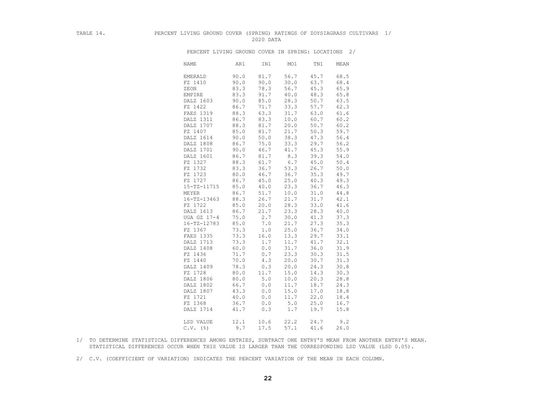## TABLE 14. PERCENT LIVING GROUND COVER (SPRING) RATINGS OF ZOYSIAGRASS CULTIVARS 1/ 2020 DATA

PERCENT LIVING GROUND COVER IN SPRING: LOCATIONS 2/

| <b>NAME</b>       | AR1  | IN1  | MO1   | TN1  | MEAN |
|-------------------|------|------|-------|------|------|
| <b>EMERALD</b>    | 90.0 | 81.7 | 56.7  | 45.7 | 68.5 |
| FZ 1410           | 90.0 | 90.0 | 30.0  | 63.7 | 68.4 |
| ZEON              | 83.3 | 78.3 | 56.7  | 45.3 | 65.9 |
| EMPIRE            | 83.3 | 91.7 | 40.0  | 48.3 | 65.8 |
| DALZ 1603         | 90.0 | 85.0 | 28.3  | 50.7 | 63.5 |
| FZ 1422           | 86.7 | 71.7 | 33.3  | 57.7 | 62.3 |
| FAES 1319         | 88.3 | 63.3 | 31.7  | 63.0 | 61.6 |
| DALZ 1311         | 86.7 | 83.3 | 10.0  | 60.7 | 60.2 |
| DALZ 1707         | 88.3 | 81.7 | 20.0  | 50.7 | 60.2 |
| FZ 1407           | 85.0 | 81.7 | 21.7  | 50.3 | 59.7 |
| DALZ 1614         | 90.0 | 50.0 | 38.3  | 47.3 | 56.4 |
| DALZ 1808         | 86.7 | 75.0 | 33.3  | 29.7 | 56.2 |
| DALZ 1701         | 90.0 | 46.7 | 41.7  | 45.3 | 55.9 |
| DALZ 1601         | 86.7 | 81.7 | 8.3   | 39.3 | 54.0 |
| FZ 1327           | 88.3 | 61.7 | 6.7   | 45.0 | 50.4 |
| FZ 1732           | 83.3 | 36.7 | 53.3  | 26.7 | 50.0 |
| FZ 1723           | 80.0 | 46.7 | 36.7  | 35.3 | 49.7 |
| FZ 1727           | 86.7 | 45.0 | 25.0  | 40.3 | 49.3 |
| 15-TZ-11715       | 85.0 | 40.0 | 23.3  | 36.7 | 46.3 |
| MEYER             | 86.7 | 51.7 | 10.0  | 31.0 | 44.8 |
| $16 - TZ - 13463$ | 88.3 | 26.7 | 21.7  | 31.7 | 42.1 |
| FZ 1722           | 85.0 | 20.0 | 28.3  | 33.0 | 41.6 |
| DALZ 1613         | 86.7 | 21.7 | 23.3  | 28.3 | 40.0 |
| UGA GZ 17-4       | 75.0 | 2.7  | 30.0  | 41.3 | 37.3 |
| $16 - TZ - 12783$ | 85.0 | 7.0  | 21.7  | 27.3 | 35.3 |
| FZ 1367           | 73.3 | 1.0  | 25.0  | 36.7 | 34.0 |
| FAES 1335         | 73.3 | 16.0 | 13.3  | 29.7 | 33.1 |
| DALZ 1713         | 73.3 | 1.7  | 11.7  | 41.7 | 32.1 |
| DALZ 1408         | 60.0 | 0.0  | 31.7  | 36.0 | 31.9 |
| FZ 1436           | 71.7 | 0.7  | 23.3  | 30.3 | 31.5 |
| FZ 1440           | 70.0 | 4.3  | 20.0  | 30.7 | 31.3 |
| DALZ 1409         | 78.3 | 0.3  | 20.0  | 24.3 | 30.8 |
| FZ 1728           | 80.0 | 11.7 | 15.0  | 14.3 | 30.3 |
| DALZ 1806         | 80.0 | 5.0  | 10.0  | 20.3 | 28.8 |
| DALZ 1802         | 66.7 | 0.0  | 11.7  | 18.7 | 24.3 |
| DALZ 1807         | 43.3 | 0.0  | 15.0  | 17.0 | 18.8 |
| FZ 1721           | 40.0 | 0.0  | 11.7  | 22.0 | 18.4 |
| FZ 1368           | 36.7 | 0.0  | $5.0$ | 25.0 | 16.7 |
| DALZ 1714         | 41.7 | 0.3  | 1.7   | 19.7 | 15.8 |
| LSD VALUE         | 12.1 | 10.6 | 22.2  | 24.7 | 9.2  |
| $C.V.$ (%)        | 9.7  | 17.5 | 57.1  | 41.6 | 26.0 |

- 1/ TO DETERMINE STATISTICAL DIFFERENCES AMONG ENTRIES, SUBTRACT ONE ENTRY'S MEAN FROM ANOTHER ENTRY'S MEAN. STATISTICAL DIFFERENCES OCCUR WHEN THIS VALUE IS LARGER THAN THE CORRESPONDING LSD VALUE (LSD 0.05).
- 2/ C.V. (COEFFICIENT OF VARIATION) INDICATES THE PERCENT VARIATION OF THE MEAN IN EACH COLUMN.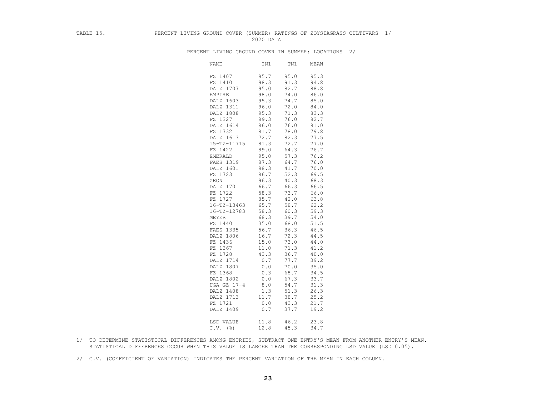## TABLE 15. PERCENT LIVING GROUND COVER (SUMMER) RATINGS OF ZOYSIAGRASS CULTIVARS 1/ 2020 DATA

| <b>NAME</b> | IN1  | TN1  | MEAN |
|-------------|------|------|------|
| FZ 1407     | 95.7 | 95.0 | 95.3 |
| FZ 1410     | 98.3 | 91.3 | 94.8 |
| DALZ 1707   | 95.0 | 82.7 | 88.8 |
| EMPIRE      | 98.0 | 74.0 | 86.0 |
| DALZ 1603   | 95.3 | 74.7 | 85.0 |
| DALZ 1311   | 96.0 | 72.0 | 84.0 |
| DALZ 1808   | 95.3 | 71.3 | 83.3 |
| FZ 1327     | 89.3 | 76.0 | 82.7 |
| DALZ 1614   | 86.0 | 76.0 | 81.0 |
| FZ 1732     | 81.7 | 78.0 | 79.8 |
| DALZ 1613   | 72.7 | 82.3 | 77.5 |
| 15-TZ-11715 | 81.3 | 72.7 | 77.0 |
| FZ 1422     | 89.0 | 64.3 | 76.7 |
| EMERALD     | 95.0 | 57.3 | 76.2 |
| FAES 1319   | 87.3 | 64.7 | 76.0 |
| DALZ 1601   | 98.3 | 41.7 | 70.0 |
| FZ 1723     | 86.7 | 52.3 | 69.5 |
| ZEON        | 96.3 | 40.3 | 68.3 |
| DALZ 1701   | 66.7 | 66.3 | 66.5 |
| FZ 1722     | 58.3 | 73.7 | 66.0 |
| FZ 1727     | 85.7 | 42.0 | 63.8 |
| 16-TZ-13463 | 65.7 | 58.7 | 62.2 |
| 16-TZ-12783 | 58.3 | 60.3 | 59.3 |
| MEYER       | 68.3 | 39.7 | 54.0 |
| FZ 1440     | 35.0 | 68.0 | 51.5 |
| FAES 1335   | 56.7 | 36.3 | 46.5 |
| DALZ 1806   | 16.7 | 72.3 | 44.5 |
| FZ 1436     | 15.0 | 73.0 | 44.0 |
| FZ 1367     | 11.0 | 71.3 | 41.2 |
| FZ 1728     | 43.3 | 36.7 | 40.0 |
| DALZ 1714   | 0.7  | 77.7 | 39.2 |
| DALZ 1807   | 0.0  | 70.0 | 35.0 |
| FZ 1368     | 0.3  | 68.7 | 34.5 |
| DALZ 1802   | 0.0  | 67.3 | 33.7 |
| UGA GZ 17-4 | 8.0  | 54.7 | 31.3 |
| DALZ 1408   | 1.3  | 51.3 | 26.3 |
| DALZ 1713   | 11.7 | 38.7 | 25.2 |
| FZ 1721     | 0.0  | 43.3 | 21.7 |
| DALZ 1409   | 0.7  | 37.7 | 19.2 |
| LSD VALUE   | 11.8 | 46.2 | 23.8 |
| $C.V.$ (%)  | 12.8 | 45.3 | 34.7 |

PERCENT LIVING GROUND COVER IN SUMMER: LOCATIONS 2/

- 1/ TO DETERMINE STATISTICAL DIFFERENCES AMONG ENTRIES, SUBTRACT ONE ENTRY'S MEAN FROM ANOTHER ENTRY'S MEAN. STATISTICAL DIFFERENCES OCCUR WHEN THIS VALUE IS LARGER THAN THE CORRESPONDING LSD VALUE (LSD 0.05).
- 2/ C.V. (COEFFICIENT OF VARIATION) INDICATES THE PERCENT VARIATION OF THE MEAN IN EACH COLUMN.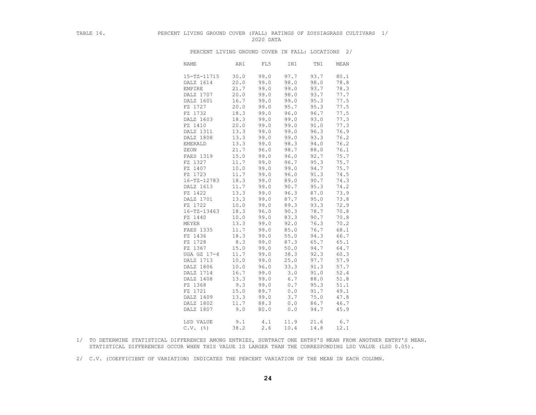### TABLE 16. PERCENT LIVING GROUND COVER (FALL) RATINGS OF ZOYSIAGRASS CULTIVARS 1/ 2020 DATA

PERCENT LIVING GROUND COVER IN FALL: LOCATIONS 2/

| <b>NAME</b>       | AR1  | FL5  | IN1  | TN1  | MEAN     |
|-------------------|------|------|------|------|----------|
| 15-TZ-11715       | 30.0 | 99.0 | 97.7 | 93.7 | 80.1     |
| DALZ 1614         | 20.0 | 99.0 | 98.0 | 98.0 | 78.8     |
| <b>EMPIRE</b>     | 21.7 | 99.0 | 99.0 | 93.7 | 78.3     |
| DALZ 1707         | 20.0 | 99.0 | 98.0 | 93.7 | 77.7     |
| DALZ 1601         | 16.7 | 99.0 | 99.0 | 95.3 | 77.5     |
| FZ 1727           | 20.0 | 99.0 | 95.7 | 95.3 | 77.5     |
| FZ 1732           | 18.3 | 99.0 | 96.0 | 96.7 | 77.5     |
| DALZ 1603         | 18.3 | 99.0 | 99.0 | 93.0 | 77.3     |
| FZ 1410           | 20.0 | 99.0 | 99.0 | 91.0 | 77.3     |
| DALZ 1311         | 13.3 | 99.0 | 99.0 | 96.3 | 76.9     |
| DALZ 1808         | 13.3 | 99.0 | 99.0 | 93.3 | 76.2     |
| <b>EMERALD</b>    | 13.3 | 99.0 | 98.3 | 94.0 | 76.2     |
| ZEON              | 21.7 | 96.0 | 98.7 | 88.0 | 76.1     |
| FAES 1319         | 15.0 | 99.0 | 96.0 | 92.7 | 75.7     |
| FZ 1327           | 11.7 | 99.0 | 96.7 | 95.3 | 75.7     |
| FZ 1407           | 10.0 | 99.0 | 99.0 | 94.7 | 75.7     |
| FZ 1723           | 11.7 | 99.0 | 96.0 | 91.3 | 74.5     |
| $16 - TZ - 12783$ | 18.3 | 99.0 | 89.0 | 90.7 | 74.3     |
| DALZ 1613         | 11.7 | 99.0 | 90.7 | 95.3 | 74.2     |
| FZ 1422           | 13.3 | 99.0 | 96.3 | 87.0 | 73.9     |
| DALZ 1701         | 13.3 | 99.0 | 87.7 | 95.0 | 73.8     |
| FZ 1722           | 10.0 | 99.0 | 89.3 | 93.3 | 72.9     |
| $16 - TZ - 13463$ | 18.3 | 96.0 | 90.3 | 78.7 | 70.8     |
| FZ 1440           | 10.0 | 99.0 | 83.3 | 90.7 | 70.8     |
| MEYER             | 13.3 | 99.0 | 92.0 | 76.3 | 70.2     |
| FAES 1335         | 11.7 | 99.0 | 85.0 | 76.7 | 68.1     |
| FZ 1436           | 18.3 | 99.0 | 55.0 | 94.3 | 66.7     |
| FZ 1728           | 8.3  | 99.0 | 87.3 | 65.7 | 65.1     |
| FZ 1367           | 15.0 | 99.0 | 50.0 | 94.7 | 64.7     |
| UGA GZ 17-4       | 11.7 | 99.0 | 38.3 | 92.3 | 60.3     |
| DALZ 1713         | 10.0 | 99.0 | 25.0 | 97.7 | 57.9     |
| DALZ 1806         | 10.0 | 96.0 | 33.3 | 91.3 | 57.7     |
| DALZ 1714         | 16.7 | 99.0 | 3.0  | 91.0 | 52.4     |
| DALZ 1408         | 13.3 | 99.0 | 6.7  | 88.0 | $51.8\,$ |
| FZ 1368           | 9.3  | 99.0 | 0.7  | 95.3 | 51.1     |
| FZ 1721           | 15.0 | 89.7 | 0.0  | 91.7 | 49.1     |
| DALZ 1409         | 13.3 | 99.0 | 3.7  | 75.0 | 47.8     |
| DALZ 1802         | 11.7 | 88.3 | 0.0  | 86.7 | 46.7     |
| DALZ 1807         | 9.0  | 80.0 | 0.0  | 94.7 | 45.9     |
|                   |      |      |      |      |          |
| LSD VALUE         | 9.1  | 4.1  | 11.9 | 21.6 | 6.7      |
| $C.V.$ (%)        | 38.2 | 2.6  | 10.4 | 14.8 | 12.1     |

- 1/ TO DETERMINE STATISTICAL DIFFERENCES AMONG ENTRIES, SUBTRACT ONE ENTRY'S MEAN FROM ANOTHER ENTRY'S MEAN. STATISTICAL DIFFERENCES OCCUR WHEN THIS VALUE IS LARGER THAN THE CORRESPONDING LSD VALUE (LSD 0.05).
- 2/ C.V. (COEFFICIENT OF VARIATION) INDICATES THE PERCENT VARIATION OF THE MEAN IN EACH COLUMN.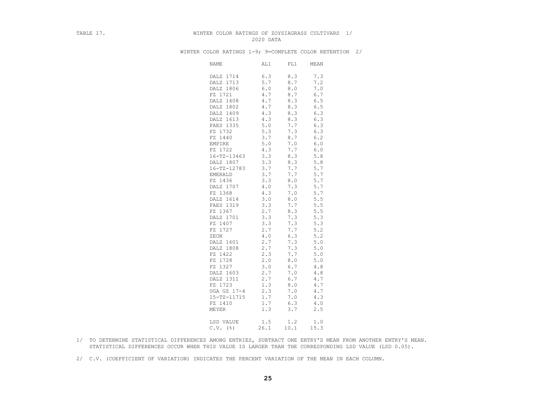#### TABLE 17. TABLE 17. WINTER COLOR RATINGS OF ZOYSIAGRASS CULTIVARS 1/ 2020 DATA

| <b>NAME</b>       | AL1         | FL1  | MEAN  |
|-------------------|-------------|------|-------|
| DALZ 1714         | 6.3         | 8.3  | 7.3   |
| DALZ 1713         | 5.7         | 8.7  | 7.2   |
| DALZ 1806         | 6.0         | 8.0  | 7.0   |
| FZ 1721           | 4.7         | 8.7  | 6.7   |
| DALZ 1408         | 4.7         | 8.3  | 6.5   |
| DALZ 1802         | 4.7         | 8.3  | $6.5$ |
| DALZ 1409         | 4.3         | 8.3  | 6.3   |
| DALZ 1613         | 4.3         | 8.3  | 6.3   |
| FAES 1335         | 5.0         | 7.7  | 6.3   |
| FZ 1732           | 5.3         | 7.3  | 6.3   |
| FZ 1440           | 3.7         | 8.7  | 6.2   |
| EMPIRE            | $5.0$       | 7.0  | $6.0$ |
| FZ 1722           | 4.3         | 7.7  | $6.0$ |
| $16 - TZ - 13463$ | 3.3         | 8.3  | 5.8   |
| DALZ 1807         | 3.3         | 8.3  | 5.8   |
| 16-TZ-12783       | 3.7         | 7.7  | 5.7   |
| <b>EMERALD</b>    | 3.7         | 7.7  | 5.7   |
| FZ 1436           | 3.3         | 8.0  | 5.7   |
| DALZ 1707         | $4\,$ . $0$ | 7.3  | 5.7   |
| FZ 1368           | 4.3         | 7.0  | 5.7   |
| DALZ 1614         | 3.0         | 8.0  | 5.5   |
| FAES 1319         | 3.3         | 7.7  | 5.5   |
| FZ 1367           | 2.7         | 8.3  | 5.5   |
| DALZ 1701         | 3.3         | 7.3  | 5.3   |
| FZ 1407           | 3.3         | 7.3  | 5.3   |
| FZ 1727           | 2.7         | 7.7  | 5.2   |
| ZEON              | 4.0         | 6.3  | 5.2   |
| DALZ 1601         | 2.7         | 7.3  | $5.0$ |
| DALZ 1808         | 2.7         | 7.3  | 5.0   |
| FZ 1422           | 2.3         | 7.7  | 5.0   |
| FZ 1728           | 2.0         | 8.0  | 5.0   |
| FZ 1327           | 3.0         | 6.7  | 4.8   |
| DALZ 1603         | 2.7         | 7.0  | $4.8$ |
| DALZ 1311         | 2.7         | 6.7  | 4.7   |
| FZ 1723           | 1.3         | 8.0  | 4.7   |
| UGA GZ 17-4       | 2.3         | 7.0  | 4.7   |
| 15-TZ-11715       | 1.7         | 7.0  | 4.3   |
| FZ 1410           | 1.7         | 6.3  | 4.0   |
| MEYER             | 1.3         | 3.7  | 2.5   |
|                   |             |      |       |
| LSD VALUE         | 1.5         | 1.2  | $1.0$ |
| $C.V.$ (%)        | 26.1        | 10.1 | 15.3  |

WINTER COLOR RATINGS 1-9; 9=COMPLETE COLOR RETENTION 2/

- 1/ TO DETERMINE STATISTICAL DIFFERENCES AMONG ENTRIES, SUBTRACT ONE ENTRY'S MEAN FROM ANOTHER ENTRY'S MEAN. STATISTICAL DIFFERENCES OCCUR WHEN THIS VALUE IS LARGER THAN THE CORRESPONDING LSD VALUE (LSD 0.05).
- 2/ C.V. (COEFFICIENT OF VARIATION) INDICATES THE PERCENT VARIATION OF THE MEAN IN EACH COLUMN.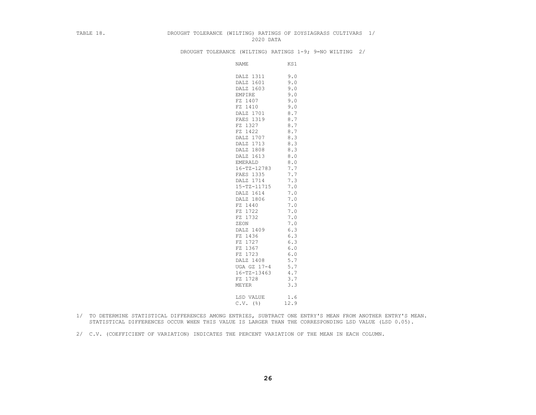#### TABLE 18. DROUGHT TOLERANCE (WILTING) RATINGS OF ZOYSIAGRASS CULTIVARS 1/ 2020 DATA

DROUGHT TOLERANCE (WILTING) RATINGS 1-9; 9=NO WILTING 2/

| NAME              | KS1        |
|-------------------|------------|
| DALZ 1311         | 9.0        |
| DALZ 1601         | 9.0        |
| DALZ 1603         | 9.0        |
| EMPIRE            | 9.0        |
| FZ 1407           |            |
| FZ 1410           | 9.0<br>9.0 |
|                   |            |
| DALZ 1701         | 8.7        |
| FAES 1319         | 8.7        |
| FZ 1327           | 8.7        |
| FZ 1422           | 8.7        |
| DALZ 1707         | 8.3        |
| DALZ 1713         | 8.3        |
| DALZ 1808         | 8.3        |
| DALZ 1613         | 8.0        |
| <b>EMERALD</b>    | $8.0$      |
| $16 - TZ - 12783$ | 7.7        |
| FAES 1335         | 7.7        |
| DALZ 1714         | 7.3        |
| 15-TZ-11715       | 7.0        |
| DALZ 1614         | 7.0        |
| DALZ 1806         | 7.0        |
| FZ 1440           | 7.0        |
| FZ 1722           | 7.0        |
| FZ 1732           | 7.0        |
| ZEON              | 7.0        |
| DALZ 1409         | 6.3        |
| FZ 1436           | 6.3        |
| FZ 1727           | 6.3        |
| FZ 1367           | 6.0        |
| FZ 1723           | 6.0        |
| DALZ 1408         | 5.7        |
| UGA GZ 17-4       | 5.7        |
| $16 - TZ - 13463$ | 4.7        |
| FZ 1728           | 3.7        |
| <b>MEYER</b>      | 3.3        |
| LSD VALUE         | 1.6        |
| $C.V.$ (%)        | 12.9       |
|                   |            |

- 1/ TO DETERMINE STATISTICAL DIFFERENCES AMONG ENTRIES, SUBTRACT ONE ENTRY'S MEAN FROM ANOTHER ENTRY'S MEAN. STATISTICAL DIFFERENCES OCCUR WHEN THIS VALUE IS LARGER THAN THE CORRESPONDING LSD VALUE (LSD 0.05).
- 2/ C.V. (COEFFICIENT OF VARIATION) INDICATES THE PERCENT VARIATION OF THE MEAN IN EACH COLUMN.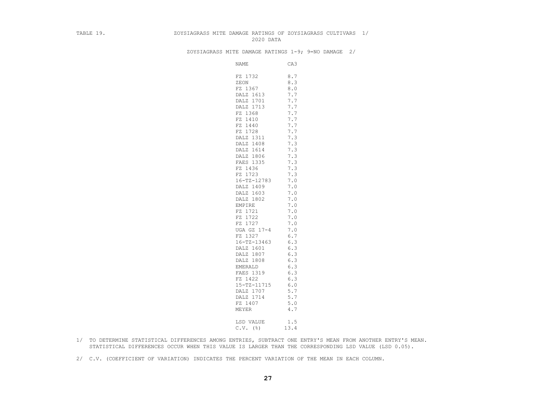#### TABLE 19. ZOYSIAGRASS MITE DAMAGE RATINGS OF ZOYSIAGRASS CULTIVARS 1/ 2020 DATA

ZOYSIAGRASS MITE DAMAGE RATINGS 1-9; 9=NO DAMAGE 2/

| NAME              | CA3   |
|-------------------|-------|
| FZ 1732           | 8.7   |
| ZEON              | 8.3   |
| FZ 1367           | 8.0   |
| DALZ 1613         | 7.7   |
| DALZ 1701         | 7.7   |
| DALZ 1713         | 7.7   |
| FZ 1368           | 7.7   |
| FZ 1410           | 7.7   |
| FZ 1440           | 7.7   |
| FZ 1728           | 7.7   |
| DALZ 1311         | 7.3   |
| DALZ 1408         | 7.3   |
| DALZ 1614         | 7.3   |
| DALZ 1806         | 7.3   |
| FAES 1335         | 7.3   |
| FZ 1436           | 7.3   |
| FZ 1723           | 7.3   |
| $16 - TZ - 12783$ | 7.0   |
| DALZ 1409         | 7.0   |
| DALZ 1603         | 7.0   |
| DALZ 1802         | 7.0   |
| EMPIRE            | 7.0   |
| FZ 1721           | 7.0   |
| FZ 1722           | 7.0   |
| FZ 1727           | 7.0   |
| UGA GZ 17-4       | 7.0   |
| FZ 1327           | 6.7   |
| $16 - TZ - 13463$ | 6.3   |
| DALZ 1601         | 6.3   |
| DALZ 1807         | 6.3   |
| DALZ 1808         | 6.3   |
| <b>EMERALD</b>    | 6.3   |
| FAES 1319         | 6.3   |
| FZ 1422           | 6.3   |
| 15-TZ-11715       | $6.0$ |
| DALZ 1707         | 5.7   |
| DALZ 1714         | 5.7   |
| FZ 1407           | 5.0   |
| MEYER             | 4.7   |
|                   |       |
| LSD VALUE         | 1.5   |
| $C.V.$ (%)        | 13.4  |
|                   |       |

- 1/ TO DETERMINE STATISTICAL DIFFERENCES AMONG ENTRIES, SUBTRACT ONE ENTRY'S MEAN FROM ANOTHER ENTRY'S MEAN. STATISTICAL DIFFERENCES OCCUR WHEN THIS VALUE IS LARGER THAN THE CORRESPONDING LSD VALUE (LSD 0.05).
- 2/ C.V. (COEFFICIENT OF VARIATION) INDICATES THE PERCENT VARIATION OF THE MEAN IN EACH COLUMN.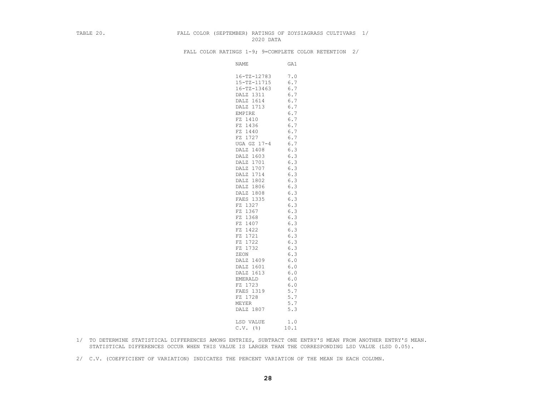#### TABLE 20. FALL COLOR (SEPTEMBER) RATINGS OF ZOYSIAGRASS CULTIVARS 1/ 2020 DATA

FALL COLOR RATINGS 1-9; 9=COMPLETE COLOR RETENTION 2/

| NAME                 | GA1        |
|----------------------|------------|
| $16 - TZ - 12783$    | 7.0        |
| 15-TZ-11715          | 6.7        |
| $16 - TZ - 13463$    | 6.7        |
| DALZ 1311            | 6.7        |
| DALZ 1614            | 6.7        |
| DALZ 1713            | 6.7        |
| <b>EMPIRE</b>        | 6.7        |
| FZ 1410              | 6.7        |
| FZ 1436              | 6.7        |
| FZ 1440              | 6.7        |
| FZ 1727              | 6.7        |
| UGA GZ 17-4          | 6.7        |
| DALZ 1408            | 6.3        |
| DALZ 1603            | 6.3        |
| DALZ 1701            | 6.3        |
| DALZ 1707            | 6.3        |
| DALZ 1714            | 6.3        |
| DALZ 1802            | 6.3        |
| DALZ 1806            | 6.3        |
| DALZ 1808            | 6.3        |
| FAES 1335            | 6.3        |
| FZ 1327              | 6.3        |
| FZ 1367              | 6.3        |
| FZ 1368              | 6.3        |
| FZ 1407              | 6.3        |
| FZ 1422              | 6.3        |
| FZ 1721              | 6.3        |
| FZ 1722              | 6.3        |
| FZ 1732              | 6.3        |
| ZEON                 | 6.3        |
| DALZ 1409            | $6.0$      |
| DALZ 1601            | 6.0        |
| DALZ 1613            | 6.0        |
| EMERALD<br>FZ 1723   | 6.0<br>6.0 |
|                      |            |
| FAES 1319<br>FZ 1728 | 5.7<br>5.7 |
| MEYER                | 5.7        |
|                      | 5.3        |
| DALZ 1807            |            |
| LSD VALUE            | 1.0        |
| $C.V.$ (%)           | 10.1       |
|                      |            |

- 1/ TO DETERMINE STATISTICAL DIFFERENCES AMONG ENTRIES, SUBTRACT ONE ENTRY'S MEAN FROM ANOTHER ENTRY'S MEAN. STATISTICAL DIFFERENCES OCCUR WHEN THIS VALUE IS LARGER THAN THE CORRESPONDING LSD VALUE (LSD 0.05).
- 2/ C.V. (COEFFICIENT OF VARIATION) INDICATES THE PERCENT VARIATION OF THE MEAN IN EACH COLUMN.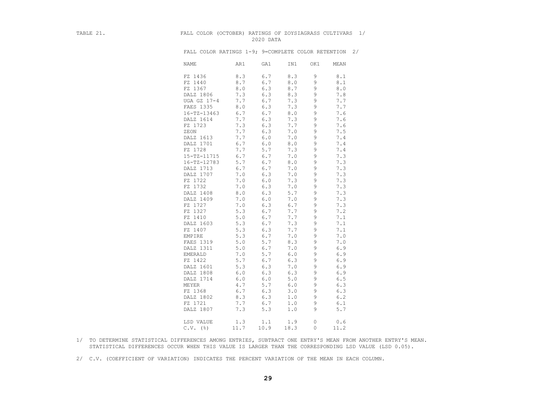## TABLE 21. FALL COLOR (OCTOBER) RATINGS OF ZOYSIAGRASS CULTIVARS 1/ 2020 DATA

|                   | FALL COLOR RATINGS 1-9; 9=COMPLETE COLOR RETENTION 2/ |       |      |          |      |  |
|-------------------|-------------------------------------------------------|-------|------|----------|------|--|
| <b>NAME</b>       | AR1                                                   | GA1   | IN1  | OK1      | MEAN |  |
| FZ 1436           | 8.3                                                   | 6.7   | 8.3  | 9        | 8.1  |  |
| FZ 1440           | 8.7                                                   | 6.7   | 8.0  | 9        | 8.1  |  |
| FZ 1367           | 8.0                                                   | 6.3   | 8.7  | 9        | 8.0  |  |
| DALZ 1806         | 7.3                                                   | 6.3   | 8.3  | 9        | 7.8  |  |
| UGA GZ 17-4       | 7.7                                                   | 6.7   | 7.3  | 9        | 7.7  |  |
| FAES 1335         | 8.0                                                   | 6.3   | 7.3  | 9        | 7.7  |  |
| $16 - TZ - 13463$ | 6.7                                                   | 6.7   | 8.0  | 9        | 7.6  |  |
| DALZ 1614         | 7.7                                                   | 6.3   | 7.3  | 9        | 7.6  |  |
| FZ 1723           | 7.3                                                   | 6.3   | 7.7  | 9        | 7.6  |  |
| ZEON              | 7.7                                                   | 6.3   | 7.0  | 9        | 7.5  |  |
| DALZ 1613         | 7.7                                                   | $6.0$ | 7.0  | 9        | 7.4  |  |
| DALZ 1701         | 6.7                                                   | 6.0   | 8.0  | 9        | 7.4  |  |
| FZ 1728           | 7.7                                                   | 5.7   | 7.3  | 9        | 7.4  |  |
| 15-TZ-11715       | 6.7                                                   | 6.7   | 7.0  | 9        | 7.3  |  |
| 16-TZ-12783       | 5.7                                                   | 6.7   | 8.0  | 9        | 7.3  |  |
| DALZ 1713         | 6.7                                                   | 6.7   | 7.0  | 9        | 7.3  |  |
| DALZ 1707         | 7.0                                                   | 6.3   | 7.0  | 9        | 7.3  |  |
| FZ 1722           | 7.0                                                   | 6.0   | 7.3  | 9        | 7.3  |  |
| FZ 1732           | $7.0$                                                 | 6.3   | 7.0  | 9        | 7.3  |  |
| DALZ 1408         | 8.0                                                   | 6.3   | 5.7  | 9        | 7.3  |  |
| DALZ 1409         | 7.0                                                   | 6.0   | 7.0  | 9        | 7.3  |  |
| FZ 1727           | 7.0                                                   | 6.3   | 6.7  | 9        | 7.3  |  |
| FZ 1327           | 5.3                                                   | 6.7   | 7.7  | 9        | 7.2  |  |
| FZ 1410           | 5.0                                                   | 6.7   | 7.7  | 9        | 7.1  |  |
| DALZ 1603         | 5.3                                                   | 6.7   | 7.3  | 9        | 7.1  |  |
| FZ 1407           | 5.3                                                   | 6.3   | 7.7  | 9        | 7.1  |  |
| EMPIRE            | 5.3                                                   | 6.7   | 7.0  | 9        | 7.0  |  |
| FAES 1319         | 5.0                                                   | 5.7   | 8.3  | 9        | 7.0  |  |
| DALZ 1311         | 5.0                                                   | 6.7   | 7.0  | 9        | 6.9  |  |
| EMERALD           | 7.0                                                   | 5.7   | 6.0  | 9        | 6.9  |  |
| FZ 1422           | 5.7                                                   | 6.7   | 6.3  | 9        | 6.9  |  |
| DALZ 1601         | 5.3                                                   | 6.3   | 7.0  | 9        | 6.9  |  |
| DALZ 1808         | 6.0                                                   | 6.3   | 6.3  | 9        | 6.9  |  |
| DALZ 1714         | 6.0                                                   | 6.0   | 5.0  | 9        | 6.5  |  |
| MEYER             | 4.7                                                   | 5.7   | 6.0  | 9        | 6.3  |  |
| FZ 1368           | 6.7                                                   | 6.3   | 3.0  | 9        | 6.3  |  |
| DALZ 1802         | 8.3                                                   | 6.3   | 1.0  | 9        | 6.2  |  |
| FZ 1721           | 7.7                                                   | 6.7   | 1.0  | 9        | 6.1  |  |
| DALZ 1807         | 7.3                                                   | 5.3   | 1.0  | 9        | 5.7  |  |
|                   |                                                       |       |      |          |      |  |
| LSD VALUE         | 1.3                                                   | 1.1   | 1.9  | 0        | 0.6  |  |
| $C.V.$ ( $\S$ )   | 11.7                                                  | 10.9  | 18.3 | $\Omega$ | 11.2 |  |

 1/ TO DETERMINE STATISTICAL DIFFERENCES AMONG ENTRIES, SUBTRACT ONE ENTRY'S MEAN FROM ANOTHER ENTRY'S MEAN. STATISTICAL DIFFERENCES OCCUR WHEN THIS VALUE IS LARGER THAN THE CORRESPONDING LSD VALUE (LSD 0.05).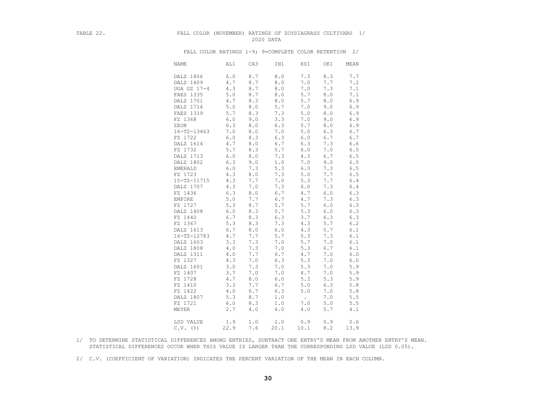#### TABLE 22. FALL COLOR (NOVEMBER) RATINGS OF ZOYSIAGRASS CULTIVARS 1/ 2020 DATA

| NAME              | AL1   | CA3         | IN1   | KS1    | OK1   | MEAN          |
|-------------------|-------|-------------|-------|--------|-------|---------------|
| DALZ 1806         | 6.0   | 8.7         | 8.0   | 7.3    | 8.3   | 7.7           |
| DALZ 1409         | 4.7   | 8.7         | $8.0$ | 7.0    | 7.7   | 7.2           |
| UGA GZ 17-4       | 4.3   | 8.7         | 8.0   | 7.0    | 7.3   | 7.1           |
| FAES 1335         | $5.0$ | 8.7         | $8.0$ | 5.7    | 8.0   |               |
|                   |       |             |       |        |       | 7.1           |
| DALZ 1701         | 4.7   | 8.3         | $8.0$ | 5.7    | 8.0   | $6.9$         |
| DALZ 1714         | $5.0$ | $8.0$       | 5.7   | 7.0    | 9.0   | 6.9           |
| FAES 1319         | 5.7   | 8.3         | 7.3   | 5.0    | 8.0   | 6.9           |
| FZ 1368           | 6.0   | 9.0         | 3.3   | 7.0    | 9.0   | 6.9           |
| ZEON              | 6.3   | $8.0$       | 6.3   | 5.7    | 8.0   | 6.9           |
| $16 - TZ - 13463$ | 7.0   | 8.0         | 7.0   | 5.0    | 6.3   | 6.7           |
| FZ 1722           | 6.0   | 8.3         | 6.3   | 6.0    | 6.7   | 6.7           |
| DALZ 1614         | 4.7   | $8.0$       | 6.7   | 6.3    | 7.3   | $6.6$         |
| FZ 1732           | 5.7   | 8.3         | 5.7   | 6.0    | 7.0   | 6.5           |
| DALZ 1713         | $6.0$ | $8.0$       | 7.3   | 4.3    | 6.7   | $6.5$         |
| DALZ 1802         | 6.3   | 9.0         | 1.0   | 7.0    | 9.0   | $6.5$         |
| <b>EMERALD</b>    | 6.0   | 7.3         | 5.3   | 6.3    | 7.3   | $6.5$         |
| FZ 1723           | 4.3   | 8.0         | 7.3   | 5.0    | 7.7   | 6.5           |
| 15-TZ-11715       | 4.3   | 7.7         | 7.0   | 5.3    | 7.7   | $6.4\,$       |
| DALZ 1707         | 4.3   | 7.0         | 7.3   | 6.0    | 7.3   | $6.4$         |
| FZ 1436           | 6.3   | 8.0         | 6.7   | 4.7    | $6.0$ | 6.3           |
| EMPIRE            | 5.0   | 7.7         | 6.7   | 4.7    | 7.3   | 6.3           |
| FZ 1727           | 5.3   | 8.7         | 5.7   | 5.7    | 6.0   | 6.3           |
| DALZ 1408         | 6.0   | 8.3         | 5.7   | 5.3    | 6.0   | 6.3           |
| FZ 1440           | 6.7   | 8.3         | 6.3   | 3.7    | 6.3   | 6.3           |
| FZ 1367           | 5.3   | 8.3         | 7.3   | 4.3    | 5.7   | $6.2$         |
| DALZ 1613         | 6.7   | $\,8$ . $0$ | 6.0   | 4.3    | 5.7   | 6.1           |
| $16 - TZ - 12783$ | 4.7   | 7.7         | 5.7   | 5.3    | 7.3   | 6.1           |
| DALZ 1603         | 3.3   | 7.3         | 7.0   | 5.7    | 7.0   | 6.1           |
| DALZ 1808         | $4.0$ | 7.3         | 7.0   | 5.3    | 6.7   | 6.1           |
|                   |       | 7.7         |       |        | 7.0   |               |
| DALZ 1311         | 4.0   |             | 6.7   | 4.7    |       | $6 \, . \, 0$ |
| FZ 1327           | 4.3   | 7.0         | 6.3   | 5.3    | 7.0   | 6.0           |
| DALZ 1601         | 3.0   | 7.3         | 7.0   | 5.3    | 7.0   | 5.9           |
| FZ 1407           | 3.7   | 7.0         | 7.0   | 4.7    | 7.0   | 5.9           |
| FZ 1728           | 4.7   | $8.0$       | $6.0$ | 5.3    | 5.3   | 5.9           |
| FZ 1410           | 3.3   | 7.7         | 6.7   | 5.0    | 6.3   | 5.8           |
| FZ 1422           | 4.0   | 6.7         | 6.3   | $5.0$  | 7.0   | $5.8$         |
| DALZ 1807         | 5.3   | 8.7         | 1.0   | $\sim$ | 7.0   | 5.5           |
| FZ 1721           | 6.0   | 8.3         | $1.0$ | 7.0    | 5.0   | $5.5$         |
| MEYER             | 2.7   | 4.0         | $4.0$ | $4.0$  | 5.7   | 4.1           |
|                   |       |             |       |        |       |               |
| LSD VALUE         | 1.9   | 1.0         | 2.0   | 0.9    | 0.9   | 0.6           |
| $C.V.$ (%)        | 22.9  | 7.6         | 20.1  | 10.1   | 8.2   | 13.9          |

FALL COLOR RATINGS 1-9; 9=COMPLETE COLOR RETENTION 2/

- 1/ TO DETERMINE STATISTICAL DIFFERENCES AMONG ENTRIES, SUBTRACT ONE ENTRY'S MEAN FROM ANOTHER ENTRY'S MEAN. STATISTICAL DIFFERENCES OCCUR WHEN THIS VALUE IS LARGER THAN THE CORRESPONDING LSD VALUE (LSD 0.05).
- 2/ C.V. (COEFFICIENT OF VARIATION) INDICATES THE PERCENT VARIATION OF THE MEAN IN EACH COLUMN.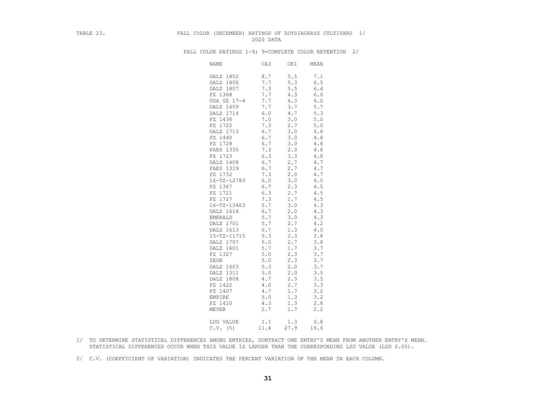#### TABLE 23. FALL COLOR (DECEMBER) RATINGS OF ZOYSIAGRASS CULTIVARS 1/ 2020 DATA

| <b>NAME</b>       | CA3   | OK1     | MEAN    |
|-------------------|-------|---------|---------|
| DALZ 1802         | 8.7   | 5.5     | 7.1     |
| DALZ 1806         | 7.7   | 5.3     | 6.5     |
| DALZ 1807         | 7.3   | 5.5     | 6.4     |
| FZ 1368           | 7.7   | 4.3     | 6.0     |
| UGA GZ 17-4       | 7.7   | 4.3     | $6.0$   |
| DALZ 1409         | 7.7   | 3.7     | 5.7     |
| DALZ 1714         | $6.0$ | $4.7\,$ | 5.3     |
| FZ 1436           | 7.0   | 3.0     | 5.0     |
| FZ 1722           | 7.3   | 2.7     | 5.0     |
| DALZ 1713         | 6.7   | 3.0     | 4.8     |
| FZ 1440           | 6.7   | 3.0     | 4.8     |
| FZ 1728           | 6.7   | 3.0     | $4.8\,$ |
| FAES 1335         | 7.3   | 2.3     | 4.8     |
| FZ 1723           | 6.3   | 3.3     | 4.8     |
| DALZ 1408         | 6.7   | 2.7     | 4.7     |
| FAES 1319         | 6.7   | 2.7     | 4.7     |
| FZ 1732           | 7.3   | 2.0     | 4.7     |
| $16 - TZ - 12783$ | 6.0   | 3.0     | 4.5     |
| FZ 1367           | 6.7   | 2.3     | 4.5     |
| FZ 1721           | 6.3   | 2.7     | $4\,.5$ |
| FZ 1727           | 7.3   | 1.7     | 4.5     |
| $16 - TZ - 13463$ | 5.7   | 3.0     | 4.3     |
| DALZ 1614         | 6.7   | 2.0     | 4.3     |
| <b>EMERALD</b>    | 5.7   | 3.0     | 4.3     |
| DALZ 1701         | 5.7   | 2.7     | 4.2     |
| DALZ 1613         | $6.7$ | 1.3     | $4.0$   |
| 15-TZ-11715       | 5.3   | 2.3     | 3.8     |
| DALZ 1707         | 5.0   | 2.7     | 3.8     |
| DALZ 1601         | 5.7   | 1.7     | 3.7     |
| FZ 1327           | 5.0   | 2.3     | 3.7     |
| ZEON              | 5.0   | 2.3     | 3.7     |
| DALZ 1603         | 5.3   | 2.0     | 3.7     |
| DALZ 1311         | 5.0   | 2.0     | 3.5     |
| DALZ 1808         | 4.7   | 2.3     | 3.5     |
| FZ 1422           | 4.0   | 2.7     | 3.3     |
| FZ 1407           | 4.7   | 1.7     | 3.2     |
| EMPIRE            | 5.0   | 1.3     | 3.2     |
| FZ 1410           | 4.3   | 1.3     | 2.8     |
| MEYER             | 2.7   | 1.7     | 2.2     |
| LSD VALUE         | 1.1   | 1.3     | 0.8     |
| $C.V.$ (%)        | 11.4  | 27.9    | 16.6    |

FALL COLOR RATINGS 1-9; 9=COMPLETE COLOR RETENTION 2/

- 1/ TO DETERMINE STATISTICAL DIFFERENCES AMONG ENTRIES, SUBTRACT ONE ENTRY'S MEAN FROM ANOTHER ENTRY'S MEAN. STATISTICAL DIFFERENCES OCCUR WHEN THIS VALUE IS LARGER THAN THE CORRESPONDING LSD VALUE (LSD 0.05).
- 2/ C.V. (COEFFICIENT OF VARIATION) INDICATES THE PERCENT VARIATION OF THE MEAN IN EACH COLUMN.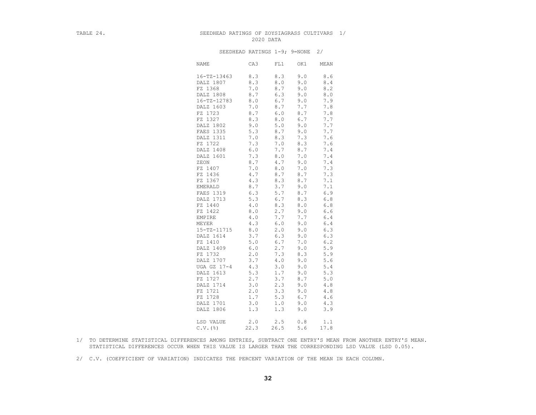#### TABLE 24. SEEDHEAD RATINGS OF ZOYSIAGRASS CULTIVARS 1/ 2020 DATA

#### SEEDHEAD RATINGS 1-9; 9=NONE 2/

| <b>NAME</b>            | CA3  | FL1   | OK1 | MEAN        |
|------------------------|------|-------|-----|-------------|
| 16-TZ-13463            | 8.3  | 8.3   | 9.0 | $\,8$ . $6$ |
| DALZ 1807              | 8.3  | 8.0   | 9.0 | 8.4         |
| FZ 1368                | 7.0  | 8.7   | 9.0 | 8.2         |
| DALZ 1808              | 8.7  | 6.3   | 9.0 | $8.0$       |
| $16 - TZ - 12783$      | 8.0  | 6.7   | 9.0 | 7.9         |
| DALZ 1603              | 7.0  | 8.7   | 7.7 | 7.8         |
| FZ 1723                | 8.7  | 6.0   | 8.7 | 7.8         |
| FZ 1327                | 8.3  | 8.0   | 6.7 | 7.7         |
| DALZ 1802              | 9.0  | $5.0$ | 9.0 | 7.7         |
| FAES 1335              | 5.3  | 8.7   | 9.0 | 7.7         |
| DALZ 1311              | 7.0  | 8.3   | 7.3 | 7.6         |
| FZ 1722                | 7.3  | 7.0   | 8.3 | 7.6         |
| DALZ 1408              | 6.0  | 7.7   | 8.7 | 7.4         |
| DALZ 1601              | 7.3  | 8.0   | 7.0 | 7.4         |
| ZEON                   | 8.7  | 4.7   | 9.0 | 7.4         |
| FZ 1407                | 7.0  | $8.0$ | 7.0 | 7.3         |
| FZ 1436                | 4.7  | 8.7   | 8.7 | 7.3         |
| FZ 1367                | 4.3  | 8.3   | 8.7 | 7.1         |
| <b>EMERALD</b>         | 8.7  | 3.7   | 9.0 | 7.1         |
| FAES 1319              | 6.3  | 5.7   | 8.7 | 6.9         |
| DALZ 1713              | 5.3  | 6.7   | 8.3 | 6.8         |
| FZ 1440                | 4.0  | 8.3   | 8.0 | 6.8         |
| FZ 1422                | 8.0  | 2.7   | 9.0 | 6.6         |
| EMPIRE                 | 4.0  | 7.7   | 7.7 | $6.4\,$     |
| MEYER                  | 4.3  | 6.0   | 9.0 | 6.4         |
| 15-TZ-11715            | 8.0  | 2.0   | 9.0 | 6.3         |
| DALZ 1614              | 3.7  | 6.3   | 9.0 | 6.3         |
| FZ 1410                | 5.0  | 6.7   | 7.0 | 6.2         |
| DALZ 1409              | 6.0  | 2.7   | 9.0 | 5.9         |
| FZ 1732                | 2.0  | 7.3   | 8.3 | 5.9         |
| DALZ 1707              | 3.7  | 4.0   | 9.0 | 5.6         |
| UGA GZ 17-4            | 4.3  | 3.0   | 9.0 | 5.4         |
| DALZ 1613              | 5.3  | 1.7   | 9.0 | 5.3         |
| FZ 1727                | 2.7  | 3.7   | 8.7 | 5.0         |
| DALZ 1714              | 3.0  | 2.3   | 9.0 | 4.8         |
| FZ 1721                | 2.0  | 3.3   | 9.0 | 4.8         |
| FZ 1728                | 1.7  | 5.3   | 6.7 | 4.6         |
| DALZ 1701              | 3.0  | 1.0   | 9.0 | 4.3         |
| DALZ 1806              | 1.3  | 1.3   | 9.0 | 3.9         |
| LSD VALUE              | 2.0  | 2.5   | 0.8 | 1.1         |
| $C.V.$ $(\frac{6}{6})$ | 22.3 | 26.5  | 5.6 | 17.8        |

- 1/ TO DETERMINE STATISTICAL DIFFERENCES AMONG ENTRIES, SUBTRACT ONE ENTRY'S MEAN FROM ANOTHER ENTRY'S MEAN. STATISTICAL DIFFERENCES OCCUR WHEN THIS VALUE IS LARGER THAN THE CORRESPONDING LSD VALUE (LSD 0.05).
- 2/ C.V. (COEFFICIENT OF VARIATION) INDICATES THE PERCENT VARIATION OF THE MEAN IN EACH COLUMN.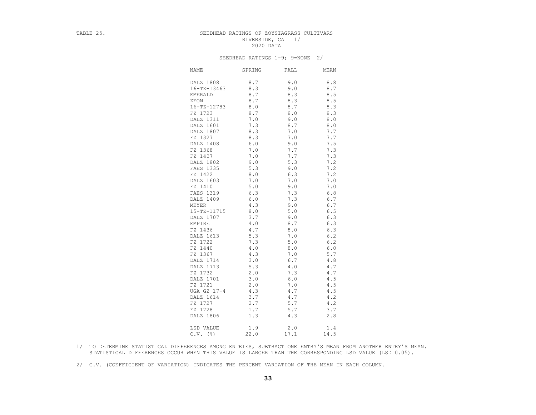## TABLE 25. SEEDHEAD RATINGS OF ZOYSIAGRASS CULTIVARS RIVERSIDE, CA 1/<br>2020 DATA 2020 DATA

#### SEEDHEAD RATINGS 1-9; 9=NONE 2/

| <b>NAME</b>       | SPRING      | FALL  | MEAN        |
|-------------------|-------------|-------|-------------|
| DALZ 1808         | 8.7         | 9.0   | 8.8         |
| $16 - TZ - 13463$ | 8.3         | 9.0   | 8.7         |
| <b>EMERALD</b>    | 8.7         | 8.3   | 8.5         |
| ZEON              | 8.7         | 8.3   | 8.5         |
| $16 - TZ - 12783$ | 8.0         | 8.7   | 8.3         |
| FZ 1723           | $8.7\,$     | $8.0$ | 8.3         |
| DALZ 1311         | 7.0         | 9.0   | $\,8$ . $0$ |
| DALZ 1601         | 7.3         | 8.7   | 8.0         |
| DALZ 1807         | 8.3         | 7.0   | 7.7         |
| FZ 1327           | 8.3         | 7.0   | 7.7         |
| DALZ 1408         | 6.0         | 9.0   | $7.5\,$     |
| FZ 1368           | 7.0         | 7.7   | 7.3         |
| FZ 1407           | 7.0         | 7.7   | 7.3         |
| DALZ 1802         | 9.0         | 5.3   | 7.2         |
| FAES 1335         | 5.3         | 9.0   | 7.2         |
| FZ 1422           | 8.0         | 6.3   | 7.2         |
| DALZ 1603         | 7.0         | 7.0   | 7.0         |
| FZ 1410           | 5.0         | 9.0   | 7.0         |
| FAES 1319         | 6.3         | 7.3   | 6.8         |
| DALZ 1409         | 6.0         | 7.3   | 6.7         |
| MEYER             | 4.3         | 9.0   | 6.7         |
| 15-TZ-11715       | $\,8$ . $0$ | 5.0   | 6.5         |
| DALZ 1707         | 3.7         | 9.0   | 6.3         |
| EMPIRE            | 4.0         | 8.7   | 6.3         |
| FZ 1436           | 4.7         | $8.0$ | 6.3         |
| DALZ 1613         | 5.3         | 7.0   | 6.2         |
| FZ 1722           | 7.3         | 5.0   | 6.2         |
| FZ 1440           | 4.0         | 8.0   | 6.0         |
| FZ 1367           | 4.3         | 7.0   | 5.7         |
| DALZ 1714         | 3.0         | 6.7   | 4.8         |
| DALZ 1713         | 5.3         | 4.0   | 4.7         |
| FZ 1732           | 2.0         | 7.3   | 4.7         |
| DALZ 1701         | 3.0         | $6.0$ | 4.5         |
| FZ 1721           | 2.0         | 7.0   | 4.5         |
| UGA GZ 17-4       | 4.3         | 4.7   | 4.5         |
| DALZ 1614         | 3.7         | 4.7   | 4.2         |
| FZ 1727           | 2.7         | 5.7   | 4.2         |
| FZ 1728           | 1.7         | 5.7   | 3.7         |
| DALZ 1806         | 1.3         | 4.3   | 2.8         |
| LSD VALUE         | 1.9         | 2.0   | 1.4         |
| $C.V.$ (%)        | 22.0        | 17.1  | 14.5        |

 1/ TO DETERMINE STATISTICAL DIFFERENCES AMONG ENTRIES, SUBTRACT ONE ENTRY'S MEAN FROM ANOTHER ENTRY'S MEAN. STATISTICAL DIFFERENCES OCCUR WHEN THIS VALUE IS LARGER THAN THE CORRESPONDING LSD VALUE (LSD 0.05).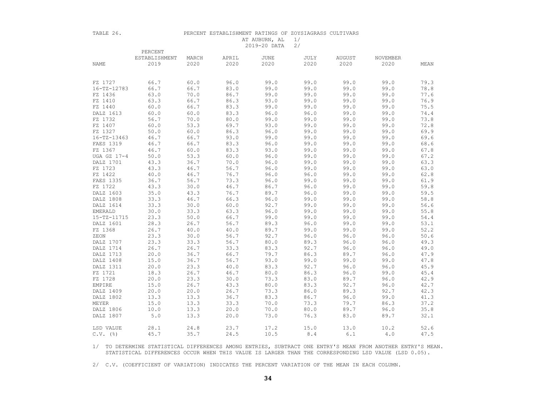| ı |  |  |
|---|--|--|
|---|--|--|

#### PERCENT ESTABLISHMENT RATINGS OF ZOYSIAGRASS CULTIVARS AT AUBURN, AL 1/ 2019-20 DATA 2/

|                        | PERCENT       |       |               |      |      |        |          |      |
|------------------------|---------------|-------|---------------|------|------|--------|----------|------|
|                        | ESTABLISHMENT | MARCH | APRIL<br>2020 | JUNE | JULY | AUGUST | NOVEMBER |      |
| NAME                   | 2019          | 2020  | 2020          | 2020 | 2020 | 2020   | 2020     | MEAN |
|                        |               |       |               |      |      |        |          |      |
| FZ 1727                | 66.7          | 60.0  | 96.0          | 99.0 | 99.0 | 99.0   | 99.0     | 79.3 |
| 16-TZ-12783            | 66.7          | 66.7  | 83.0          | 99.0 | 99.0 | 99.0   | 99.0     | 78.8 |
| FZ 1436                | 63.0          | 70.0  | 86.7          | 99.0 | 99.0 | 99.0   | 99.0     | 77.6 |
| FZ 1410                | 63.3          | 66.7  | 86.3          | 93.0 | 99.0 | 99.0   | 99.0     | 76.9 |
| FZ 1440                | 60.0          | 66.7  | 83.3          | 99.0 | 99.0 | 99.0   | 99.0     | 75.5 |
| DALZ 1613              | 60.0          | 60.0  | 83.3          | 96.0 | 96.0 | 99.0   | 99.0     | 74.4 |
| FZ 1732                | 56.7          | 70.0  | 80.0          | 99.0 | 99.0 | 99.0   | 99.0     | 73.8 |
| FZ 1407                | 60.0          | 53.3  | 69.7          | 93.0 | 99.0 | 99.0   | 99.0     | 72.8 |
| FZ 1327                | 50.0          | 60.0  | 86.3          | 96.0 | 99.0 | 99.0   | 99.0     | 69.9 |
| 16-TZ-13463            | 46.7          | 66.7  | 93.0          | 99.0 | 99.0 | 99.0   | 99.0     | 69.6 |
| FAES 1319              | 46.7          | 66.7  | 83.3          | 96.0 | 99.0 | 99.0   | 99.0     | 68.6 |
| FZ 1367                | 46.7          | 60.0  | 83.3          | 93.0 | 99.0 | 99.0   | 99.0     | 67.8 |
| UGA GZ 17-4            | 50.0          | 53.3  | 60.0          | 96.0 | 99.0 | 99.0   | 99.0     | 67.2 |
| DALZ 1701              | 43.3          | 36.7  | 70.0          | 96.0 | 99.0 | 99.0   | 99.0     | 63.3 |
| FZ 1723                | 43.3          | 46.7  | 56.7          | 96.0 | 99.0 | 99.0   | 99.0     | 63.0 |
| FZ 1422                | 40.0          | 46.7  | 76.7          | 96.0 | 96.0 | 99.0   | 99.0     | 62.8 |
| FAES 1335              | 36.7          | 56.7  | 73.3          | 96.0 | 99.0 | 99.0   | 99.0     | 61.9 |
| FZ 1722                | 43.3          | 30.0  | 46.7          | 86.7 | 96.0 | 99.0   | 99.0     | 59.8 |
| DALZ 1603              | 35.0          | 43.3  | 76.7          | 89.7 | 96.0 | 99.0   | 99.0     | 59.5 |
| DALZ 1808              | 33.3          | 46.7  | 66.3          | 96.0 | 99.0 | 99.0   | 99.0     | 58.8 |
| DALZ 1614              | 33.3          | 30.0  | 60.0          | 92.7 | 99.0 | 99.0   | 99.0     | 56.6 |
| EMERALD                | 30.0          | 33.3  | 63.3          | 96.0 | 99.0 | 99.0   | 99.0     | 55.8 |
| 15-TZ-11715            | 23.3          | 50.0  | 66.7          | 99.0 | 99.0 | 99.0   | 99.0     | 54.4 |
| DALZ 1601              | 28.3          | 26.7  | 56.7          | 89.3 | 96.0 | 99.0   | 99.0     | 53.1 |
| FZ 1368                | 26.7          | 40.0  | 40.0          | 89.7 | 99.0 | 99.0   | 99.0     | 52.2 |
| ZEON                   | 23.3          | 30.0  | 56.7          | 92.7 | 96.0 | 96.0   | 96.0     | 50.6 |
| DALZ 1707              | 23.3          | 33.3  | 56.7          | 80.0 | 89.3 | 96.0   | 96.0     | 49.3 |
| DALZ 1714              | 26.7          | 26.7  | 33.3          | 83.3 | 92.7 | 96.0   | 96.0     | 49.0 |
| DALZ 1713              | 20.0          | 36.7  | 66.7          | 79.7 | 86.3 | 89.7   | 96.0     | 47.9 |
| DALZ 1408              | 15.0          | 36.7  | 56.7          | 93.0 | 99.0 | 99.0   | 99.0     | 47.8 |
| DALZ 1311              | 20.0          | 23.3  | 40.0          | 83.3 | 92.7 | 96.0   | 96.0     | 45.9 |
| FZ 1721                | 18.3          | 26.7  | 46.7          | 80.0 | 86.3 | 96.0   | 99.0     | 45.4 |
| FZ 1728                | 20.0          | 23.3  | 30.0          | 73.3 | 83.0 | 89.7   | 96.0     | 42.9 |
| EMPIRE                 | 15.0          | 26.7  | 43.3          | 80.0 | 83.3 | 92.7   | 96.0     | 42.7 |
| DALZ 1409              | 20.0          | 20.0  | 26.7          | 73.3 | 86.0 | 89.3   | 92.7     | 42.3 |
| DALZ 1802              | 13.3          | 13.3  | 36.7          | 83.3 | 86.7 | 96.0   | 99.0     | 41.3 |
| MEYER                  | 15.0          | 13.3  | 33.3          | 70.0 | 73.3 | 79.7   | 86.3     | 37.2 |
| DALZ 1806              | 10.0          | 13.3  | 20.0          | 70.0 | 80.0 | 89.7   | 96.0     | 35.8 |
| DALZ 1807              | 5.0           | 13.3  | 20.0          | 73.0 | 76.3 | 83.0   | 89.7     | 32.1 |
| LSD VALUE              | 28.1          | 24.8  | 23.7          | 17.2 | 15.0 | 13.0   | 10.2     | 52.6 |
| $C.V.$ $(\frac{6}{6})$ | 45.7          | 35.7  | 24.5          | 10.5 | 8.4  | 6.1    | 4.0      | 47.5 |

 1/ TO DETERMINE STATISTICAL DIFFERENCES AMONG ENTRIES, SUBTRACT ONE ENTRY'S MEAN FROM ANOTHER ENTRY'S MEAN. STATISTICAL DIFFERENCES OCCUR WHEN THIS VALUE IS LARGER THAN THE CORRESPONDING LSD VALUE (LSD 0.05).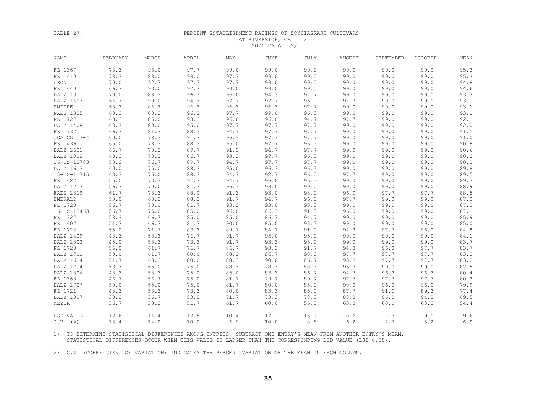#### TABLE 27. PERCENT ESTABLISHMENT RATINGS OF ZOYSIAGRASS CULTIVARS AT RIVERSIDE, CA 1/ 2020 DATA 2/

| <b>NAME</b>            | FEBRUARY | MARCH | APRIL | MAY  | <b>JUNE</b> | <b>JULY</b> | AUGUST | SEPTEMBER | <b>OCTOBER</b> | MEAN         |
|------------------------|----------|-------|-------|------|-------------|-------------|--------|-----------|----------------|--------------|
| FZ 1367                | 73.3     | 93.0  | 97.7  | 99.0 | 99.0        | 99.0        | 99.0   | 99.0      | 99.0           | 95.3         |
| FZ 1410                | 78.3     | 88.0  | 99.0  | 97.7 | 99.0        | 99.0        | 99.0   | 99.0      | 99.0           | 95.3         |
| ZEON                   | 70.0     | 92.7  | 97.7  | 97.7 | 99.0        | 99.0        | 99.0   | 99.0      | 99.0           | 94.8         |
| FZ 1440                | 66.7     | 93.0  | 97.7  | 99.0 | 99.0        | 99.0        | 99.0   | 99.0      | 99.0           | 94.6         |
| DALZ 1311              | 70.0     | 88.3  | 96.3  | 96.0 | 94.3        | 97.7        | 99.0   | 99.0      | 99.0           | 93.3         |
| DALZ 1603              | 66.7     | 90.0  | 94.7  | 97.7 | 97.7        | 96.0        | 97.7   | 99.0      | 99.0           | 93.1         |
| EMPIRE                 | 68.3     | 86.3  | 96.3  | 96.3 | 96.3        | 97.7        | 99.0   | 99.0      | 99.0           | 93.1         |
| FAES 1335              | 68.3     | 83.3  | 96.3  | 97.7 | 99.0        | 96.3        | 99.0   | 99.0      | 99.0           | 93.1         |
| FZ 1727                | 68.3     | 85.0  | 93.3  | 96.0 | 96.0        | 94.7        | 97.7   | 99.0      | 99.0           | 92.1         |
| DALZ 1408              | 63.3     | 80.0  | 95.0  | 97.7 | 97.7        | 97.7        | 99.0   | 99.0      | 99.0           | 92.0         |
| FZ 1732                | 66.7     | 81.7  | 88.3  | 94.7 | 97.7        | 97.7        | 99.0   | 99.0      | 99.0           | 91.5         |
| UGA GZ 17-4            | 60.0     | 78.3  | 91.7  | 96.3 | 97.7        | 97.7        | 99.0   | 99.0      | 99.0           | 91.0         |
| FZ 1436                | 65.0     | 78.3  | 88.3  | 95.0 | 97.7        | 96.3        | 99.0   | 99.0      | 99.0           | 90.9         |
| DALZ 1601              | 66.7     | 78.3  | 89.7  | 91.3 | 94.7        | 97.7        | 99.0   | 99.0      | 99.0           | 90.6         |
| DALZ 1808              | 63.3     | 78.3  | 86.7  | 93.3 | 97.7        | 96.3        | 99.0   | 99.0      | 99.0           | 90.3         |
| $16 - TZ - 12783$      | 58.3     | 76.7  | 89.7  | 94.7 | 97.7        | 97.7        | 99.0   | 99.0      | 99.0           | 90.2         |
| DALZ 1613              | 60.0     | 75.0  | 88.3  | 95.0 | 96.3        | 96.3        | 99.0   | 99.0      | 99.0           | 89.8         |
| 15-TZ-11715            | 63.3     | 75.0  | 88.3  | 94.7 | 92.7        | 96.0        | 97.7   | 99.0      | 99.0           | 89.5         |
| FZ 1422                | 55.0     | 73.3  | 91.7  | 94.7 | 96.0        | 96.3        | 99.0   | 99.0      | 99.0           | 89.3         |
| DALZ 1713              | 56.7     | 70.0  | 81.7  | 96.3 | 99.0        | 99.0        | 99.0   | 99.0      | 99.0           | 88.9         |
| FAES 1319              | 61.7     | 78.3  | 88.0  | 91.3 | 93.0        | 93.0        | 96.0   | 97.7      | 97.7           | 88.5         |
| EMERALD                | 50.0     | 68.3  | 88.3  | 91.7 | 94.7        | 96.0        | 97.7   | 99.0      | 99.0           | 87.2         |
| FZ 1728                | 56.7     | 70.0  | 81.7  | 93.3 | 93.0        | 93.3        | 99.0   | 99.0      | 99.0           | 87.2         |
| $16 - TZ - 13463$      | 56.7     | 75.0  | 85.0  | 96.0 | 86.3        | 91.3        | 96.0   | 99.0      | 99.0           | 87.1         |
| FZ 1327                | 58.3     | 66.7  | 85.0  | 85.0 | 86.7        | 94.7        | 99.0   | 99.0      | 99.0           | 85.9         |
| FZ 1407                | 51.7     | 66.7  | 81.7  | 90.0 | 85.0        | 93.3        | 99.0   | 99.0      | 99.0           | 85.0         |
| FZ 1722                | 55.0     | 71.7  | 83.3  | 89.7 | 84.7        | 91.0        | 94.3   | 97.7      | 96.0           | $8\,4$ . $8$ |
| DALZ 1409              | 43.3     | 58.3  | 76.7  | 91.7 | 95.0        | 95.0        | 99.0   | 99.0      | 99.0           | 84.1         |
| DALZ 1802              | 45.0     | 58.3  | 73.3  | 91.7 | 93.3        | 95.0        | 99.0   | 99.0      | 99.0           | 83.7         |
| FZ 1723                | 55.0     | 61.7  | 76.7  | 86.7 | 93.3        | 91.7        | 94.3   | 96.0      | 97.7           | 83.7         |
| DALZ 1701              | 50.0     | 61.7  | 80.0  | 88.3 | 86.7        | 90.0        | 97.7   | 97.7      | 97.7           | 83.3         |
| DALZ 1614              | 51.7     | 63.3  | 80.0  | 88.3 | 90.0        | 86.7        | 93.3   | 97.7      | 97.7           | 83.2         |
| DALZ 1714              | 53.3     | 65.0  | 75.0  | 88.3 | 78.3        | 88.3        | 96.3   | 99.0      | 99.0           | 82.5         |
| DALZ 1806              | 48.3     | 58.3  | 75.0  | 85.0 | 83.3        | 86.7        | 94.7   | 96.3      | 96.3           | 80.4         |
| FZ 1368                | 46.7     | 56.7  | 75.0  | 81.7 | 79.7        | 89.7        | 97.7   | 97.7      | 97.7           | 80.3         |
| DALZ 1707              | 50.0     | 65.0  | 75.0  | 81.7 | 80.0        | 85.0        | 90.0   | 96.0      | 96.0           | 79.9         |
| FZ 1721                | 48.3     | 58.3  | 73.3  | 80.0 | 83.3        | 85.0        | 87.7   | 91.0      | 89.3           | 77.4         |
| DALZ 1807              | 33.3     | 36.7  | 53.3  | 71.7 | 73.3        | 78.3        | 88.3   | 96.0      | 94.3           | 69.5         |
| <b>MEYER</b>           | 36.7     | 33.3  | 51.7  | 61.7 | 60.0        | 55.0        | 63.3   | 60.0      | 68.3           | 54.4         |
| LSD VALUE              | 12.6     | 16.4  | 13.8  | 10.4 | 17.1        | 15.1        | 10.6   | 7.3       | 9.0            | 9.6          |
| $C.V.$ $(\frac{6}{6})$ | 13.4     | 14.2  | 10.0  | 6.9  | 10.0        | 8.8         | 6.2    | 4.7       | 5.2            | 6.9          |

 1/ TO DETERMINE STATISTICAL DIFFERENCES AMONG ENTRIES, SUBTRACT ONE ENTRY'S MEAN FROM ANOTHER ENTRY'S MEAN. STATISTICAL DIFFERENCES OCCUR WHEN THIS VALUE IS LARGER THAN THE CORRESPONDING LSD VALUE (LSD 0.05).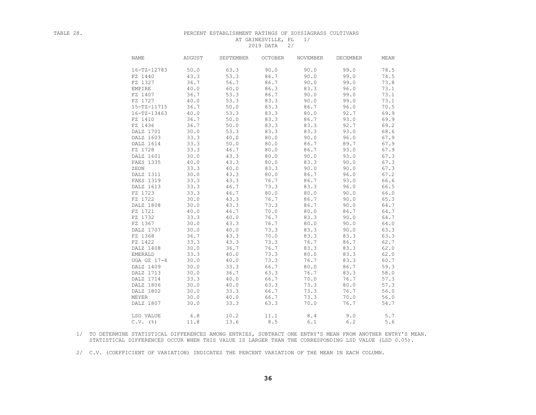## TABLE 28. PERCENT ESTABLISHMENT RATINGS OF ZOYSIAGRASS CULTIVARS AT GAINESVILLE, FL 1/ 2019 DATA 2/

| <b>NAME</b>       | <b>AUGUST</b> | SEPTEMBER | <b>OCTOBER</b> | NOVEMBER | DECEMBER | MEAN |
|-------------------|---------------|-----------|----------------|----------|----------|------|
| $16 - TZ - 12783$ | 50.0          | 63.3      | 90.0           | 90.0     | 99.0     | 78.5 |
| FZ 1440           | 43.3          | 53.3      | 86.7           | 90.0     | 99.0     | 74.5 |
| FZ 1327           | 36.7          | 56.7      | 86.7           | 90.0     | 99.0     | 73.8 |
| EMPIRE            | 40.0          | 60.0      | 86.3           | 83.3     | 96.0     | 73.1 |
| FZ 1407           | 36.7          | 53.3      | 86.7           | 90.0     | 99.0     | 73.1 |
| FZ 1727           | 40.0          | 53.3      | 83.3           | 90.0     | 99.0     | 73.1 |
| $15 - TZ - 11715$ | 36.7          | 50.0      | 83.3           | 86.7     | 96.0     | 70.5 |
| 16-TZ-13463       | 40.0          | 53.3      | 83.3           | 80.0     | 92.7     | 69.9 |
| FZ 1410           | 36.7          | 50.0      | 83.3           | 86.7     | 93.0     | 69.9 |
| FZ 1436           | 36.7          | 50.0      | 83.3           | 83.3     | 92.7     | 69.2 |
| DALZ 1701         | 30.0          | 53.3      | 83.3           | 83.3     | 93.0     | 68.6 |
| DALZ 1603         | 33.3          | 40.0      | 80.0           | 90.0     | 96.0     | 67.9 |
| DALZ 1614         | 33.3          | 50.0      | 80.0           | 86.7     | 89.7     | 67.9 |
| FZ 1728           | 33.3          | 46.7      | 80.0           | 86.7     | 93.0     | 67.9 |
| DALZ 1601         | 30.0          | 43.3      | 80.0           | 90.0     | 93.0     | 67.3 |
| FAES 1335         | 40.0          | 43.3      | 80.0           | 83.3     | 90.0     | 67.3 |
| ZEON              | 33.3          | 40.0      | 83.3           | 90.0     | 90.0     | 67.3 |
| DALZ 1311         | 30.0          | 43.3      | 80.0           | 86.7     | 96.0     | 67.2 |
| FAES 1319         | 33.3          | 43.3      | 76.7           | 86.7     | 93.0     | 66.6 |
| DALZ 1613         | 33.3          | 46.7      | 73.3           | 83.3     | 96.0     | 66.5 |
| FZ 1723           | 33.3          | 46.7      | 80.0           | 80.0     | 90.0     | 66.0 |
| FZ 1722           | 30.0          | 43.3      | 76.7           | 86.7     | 90.0     | 65.3 |
| DALZ 1808         | 30.0          | 43.3      | 73.3           | 86.7     | 90.0     | 64.7 |
| FZ 1721           | 40.0          | 46.7      | 70.0           | 80.0     | 86.7     | 64.7 |
| FZ 1732           | 33.3          | 40.0      | 76.7           | 83.3     | 90.0     | 64.7 |
| FZ 1367           | 30.0          | 43.3      | 76.7           | 80.0     | 90.0     | 64.0 |
| DALZ 1707         | 30.0          | 40.0      | 73.3           | 83.3     | 90.0     | 63.3 |
| FZ 1368           | 36.7          | 43.3      | 70.0           | 83.3     | 83.3     | 63.3 |
| FZ 1422           | 33.3          | 43.3      | 73.3           | 76.7     | 86.7     | 62.7 |
| DALZ 1408         | 30.0          | 36.7      | 76.7           | 83.3     | 83.3     | 62.0 |
| <b>EMERALD</b>    | 33.3          | 40.0      | 73.3           | 80.0     | 83.3     | 62.0 |
| UGA GZ 17-4       | 30.0          | 40.0      | 73.3           | 76.7     | 83.3     | 60.7 |
| DALZ 1409         | 30.0          | 33.3      | 66.7           | 80.0     | 86.7     | 59.3 |
| DALZ 1713         | 30.0          | 36.7      | 63.3           | 76.7     | 83.3     | 58.0 |
| DALZ 1714         | 33.3          | 40.0      | 66.7           | 70.0     | 76.7     | 57.3 |
| DALZ 1806         | 30.0          | 40.0      | 63.3           | 73.3     | 80.0     | 57.3 |
| DALZ 1802         | 30.0          | 33.3      | 66.7           | 73.3     | 76.7     | 56.0 |
| MEYER             | 30.0          | 40.0      | 66.7           | 73.3     | 70.0     | 56.0 |
| DALZ 1807         | 30.0          | 33.3      | 63.3           | 70.0     | 76.7     | 54.7 |
|                   |               |           |                |          |          |      |
| LSD VALUE         | 6.8           | 10.2      | 11.1           | 8.4      | 9.0      | 5.7  |
| $C.V.$ (%)        | 11.8          | 13.6      | 8.5            | 6.1      | 6.2      | 5.6  |

 1/ TO DETERMINE STATISTICAL DIFFERENCES AMONG ENTRIES, SUBTRACT ONE ENTRY'S MEAN FROM ANOTHER ENTRY'S MEAN. STATISTICAL DIFFERENCES OCCUR WHEN THIS VALUE IS LARGER THAN THE CORRESPONDING LSD VALUE (LSD 0.05).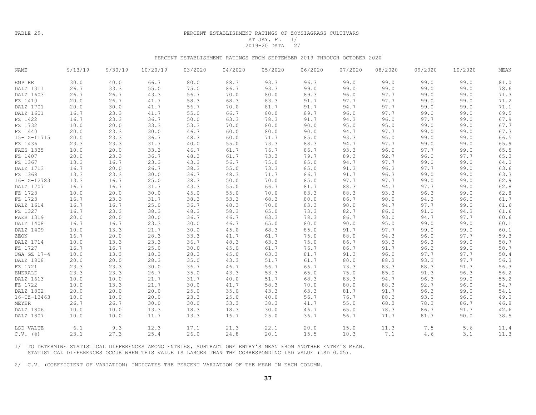TABLE 29.

## PERCENT ESTABLISHMENT RATINGS OF ZOYSIAGRASS CULTIVARS AT JAY, FL 1/

# 2019-20 DATA 2/

### PERCENT ESTABLISHMENT RATINGS FROM SEPTEMBER 2019 THROUGH OCTOBER 2020

| NAME              | 9/13/19 | 9/30/19 | 10/20/19 | 03/2020 | 04/2020 | 05/2020 | 06/2020 | 07/2020 | 08/2020 | 09/2020 | 10/2020 | MEAN     |
|-------------------|---------|---------|----------|---------|---------|---------|---------|---------|---------|---------|---------|----------|
| <b>EMPIRE</b>     | 30.0    | 40.0    | 66.7     | 80.0    | 88.3    | 93.3    | 96.3    | 99.0    | 99.0    | 99.0    | 99.0    | 81.0     |
| DALZ 1311         | 26.7    | 33.3    | 55.0     | 75.0    | 86.7    | 93.3    | 99.0    | 99.0    | 99.0    | 99.0    | 99.0    | 78.6     |
| DALZ 1603         | 26.7    | 26.7    | 43.3     | 56.7    | 70.0    | 80.0    | 89.3    | 96.0    | 97.7    | 99.0    | 99.0    | 71.3     |
| FZ 1410           | 20.0    | 26.7    | 41.7     | 58.3    | 68.3    | 83.3    | 91.7    | 97.7    | 97.7    | 99.0    | 99.0    | 71.2     |
| DALZ 1701         | 20.0    | 30.0    | 41.7     | 56.7    | 70.0    | 81.7    | 91.7    | 94.7    | 97.7    | 99.0    | 99.0    | 71.1     |
| DALZ 1601         | 16.7    | 23.3    | 41.7     | 55.0    | 66.7    | 80.0    | 89.7    | 96.0    | 97.7    | 99.0    | 99.0    | 69.5     |
| FZ 1422           | 16.7    | 23.3    | 36.7     | 50.0    | 63.3    | 78.3    | 91.7    | 94.3    | 96.0    | 97.7    | 99.0    | 67.9     |
| FZ 1732           | 10.0    | 20.0    | 33.3     | 53.3    | 70.0    | 80.0    | 90.0    | 95.0    | 95.0    | 99.0    | 99.0    | 67.7     |
| FZ 1440           | 20.0    | 23.3    | 30.0     | 46.7    | 60.0    | 80.0    | 90.0    | 94.7    | 97.7    | 99.0    | 99.0    | 67.3     |
| 15-TZ-11715       | 20.0    | 23.3    | 36.7     | 48.3    | 60.0    | 71.7    | 85.0    | 93.3    | 95.0    | 99.0    | 99.0    | 66.5     |
| FZ 1436           | 23.3    | 23.3    | 31.7     | 40.0    | 55.0    | 73.3    | 88.3    | 94.7    | 97.7    | 99.0    | 99.0    | 65.9     |
| FAES 1335         | 10.0    | 20.0    | 33.3     | 46.7    | 61.7    | 76.7    | 86.7    | 93.3    | 96.0    | 97.7    | 99.0    | 65.5     |
| FZ 1407           | 20.0    | 23.3    | 36.7     | 48.3    | 61.7    | 73.3    | 79.7    | 89.3    | 92.7    | 96.0    | 97.7    | 65.3     |
| FZ 1367           | 13.3    | 16.7    | 23.3     | 43.3    | 56.7    | 75.0    | 85.0    | 94.7    | 97.7    | 99.0    | 99.0    | $64.0\,$ |
| DALZ 1713         | 16.7    | 20.0    | 26.7     | 38.3    | 55.0    | 73.3    | 85.0    | 91.3    | 96.3    | 97.7    | 99.0    | 63.6     |
| FZ 1368           | 13.3    | 23.3    | 30.0     | 36.7    | 48.3    | 71.7    | 86.7    | 91.7    | 96.3    | 99.0    | 99.0    | 63.3     |
| $16 - TZ - 12783$ | 13.3    | 16.7    | 25.0     | 38.3    | 50.0    | 70.0    | 85.0    | 97.7    | 97.7    | 99.0    | 99.0    | 62.9     |
| DALZ 1707         | 16.7    | 16.7    | 31.7     | 43.3    | 55.0    | 66.7    | 81.7    | 88.3    | 94.7    | 97.7    | 99.0    | 62.8     |
| FZ 1728           | 10.0    | 20.0    | 30.0     | 45.0    | 55.0    | 70.0    | 83.3    | 88.3    | 93.3    | 96.3    | 99.0    | 62.8     |
| FZ 1723           | 16.7    | 23.3    | 31.7     | 38.3    | 53.3    | 68.3    | 80.0    | 86.7    | 90.0    | 94.3    | 96.0    | 61.7     |
| DALZ 1614         | 16.7    | 16.7    | 25.0     | 36.7    | 48.3    | 70.0    | 83.3    | 90.0    | 94.7    | 97.7    | 99.0    | 61.6     |
| FZ 1327           | 16.7    | 23.3    | 38.3     | 48.3    | 58.3    | 65.0    | 73.3    | 82.7    | 86.0    | 91.0    | 94.3    | 61.6     |
| FAES 1319         | 20.0    | 20.0    | 30.0     | 36.7    | 46.7    | 63.3    | 78.3    | 86.7    | 93.0    | 94.7    | 97.7    | 60.6     |
| DALZ 1408         | 16.7    | 16.7    | 23.3     | 30.0    | 46.7    | 65.0    | 80.0    | 90.0    | 95.0    | 99.0    | 99.0    | 60.1     |
| DALZ 1409         | 10.0    | 13.3    | 21.7     | 30.0    | 45.0    | 68.3    | 85.0    | 91.7    | 97.7    | 99.0    | 99.0    | 60.1     |
| ZEON              | 16.7    | 20.0    | 28.3     | 33.3    | 41.7    | 61.7    | 75.0    | 88.0    | 94.3    | 96.0    | 97.7    | 59.3     |
| DALZ 1714         | 10.0    | 13.3    | 23.3     | 36.7    | 48.3    | 63.3    | 75.0    | 86.7    | 93.3    | 96.3    | 99.0    | 58.7     |
| FZ 1727           | 16.7    | 16.7    | 25.0     | 30.0    | 45.0    | 61.7    | 76.7    | 86.7    | 91.7    | 96.3    | 99.0    | 58.7     |
| UGA GZ 17-4       | 10.0    | 13.3    | 18.3     | 28.3    | 45.0    | 63.3    | 81.7    | 91.3    | 96.0    | 97.7    | 97.7    | 58.4     |
| DALZ 1808         | 20.0    | 20.0    | 28.3     | 35.0    | 43.3    | 51.7    | 61.7    | 80.0    | 88.3    | 93.3    | 97.7    | 56.3     |
| FZ 1721           | 23.3    | 23.3    | 30.0     | 36.7    | 46.7    | 56.7    | 66.7    | 73.3    | 83.3    | 88.3    | 91.3    | 56.3     |
| <b>EMERALD</b>    | 23.3    | 23.3    | 26.7     | 35.0    | 43.3    | 53.3    | 65.0    | 75.0    | 85.0    | 91.3    | 96.3    | 56.2     |
| DALZ 1613         | 10.0    | 10.0    | 21.7     | 31.7    | 40.0    | 51.7    | 68.3    | 83.3    | 94.7    | 96.3    | 99.0    | 55.2     |
| FZ 1722           | 10.0    | 13.3    | 21.7     | 30.0    | 41.7    | 58.3    | 70.0    | 80.0    | 88.3    | 92.7    | 96.0    | 54.7     |
| DALZ 1802         | 20.0    | 20.0    | 20.0     | 25.0    | 35.0    | 43.3    | 63.3    | 81.7    | 91.7    | 96.3    | 99.0    | 54.1     |
| $16 - TZ - 13463$ | 10.0    | 10.0    | 20.0     | 23.3    | 25.0    | 40.0    | 56.7    | 76.7    | 88.3    | 93.0    | 96.0    | 49.0     |
| MEYER             | 26.7    | 26.7    | 30.0     | 30.0    | 33.3    | 38.3    | 41.7    | 55.0    | 68.3    | 78.3    | 86.7    | 46.8     |
| DALZ 1806         | 10.0    | 10.0    | 13.3     | 18.3    | 18.3    | 30.0    | 46.7    | 65.0    | 78.3    | 86.7    | 91.7    | 42.6     |
| DALZ 1807         | 10.0    | 10.0    | 11.7     | 13.3    | 16.7    | 25.0    | 36.7    | 56.7    | 71.7    | 81.7    | 90.0    | 38.5     |
|                   |         |         |          |         |         |         |         |         |         |         |         |          |
| LSD VALUE         | 6.1     | 9.3     | 12.3     | 17.1    | 21.3    | 22.1    | 20.0    | 15.0    | 11.3    | 7.5     | 5.6     | 11.4     |
| $C.V.$ (%)        | 23.1    | 27.3    | 25.4     | 26.0    | 24.8    | 20.1    | 15.5    | 10.3    | 7.1     | 4.6     | 3.1     | 11.3     |

1/ TO DETERMINE STATISTICAL DIFFERENCES AMONG ENTRIES, SUBTRACT ONE ENTRY'S MEAN FROM ANOTHER ENTRY'S MEAN. STATISTICAL DIFFERENCES OCCUR WHEN THIS VALUE IS LARGER THAN THE CORRESPONDING LSD VALUE (LSD 0.05).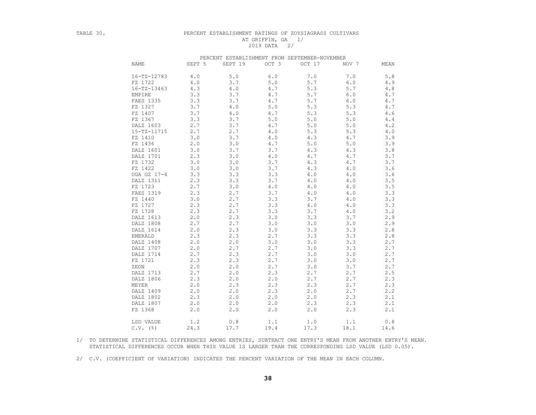### TABLE 30. PERCENT ESTABLISHMENT RATINGS OF ZOYSIAGRASS CULTIVARS AT GRIFFIN, GA 1/ 2019 DATA 2/

|                   |        | PERCENT ESTABLISHMENT FROM SEPTEMBER-NOVEMBER |            |        |       |      |
|-------------------|--------|-----------------------------------------------|------------|--------|-------|------|
| <b>NAME</b>       | SEPT 5 | SEPT 19                                       | OCT 3      | OCT 17 | NOV 7 | MEAN |
| $16 - TZ - 12783$ | 4.0    | 5.0                                           | 6.0        | 7.0    | 7.0   | 5.8  |
| FZ 1722           | 4.0    | 3.7                                           | 5.0        | 5.7    | 6.0   | 4.9  |
| $16 - TZ - 13463$ | 4.3    | 4.0                                           | 4.7        | 5.3    | 5.7   | 4.8  |
| EMPIRE            | 3.3    | 3.7                                           | $4\cdot 7$ | 5.7    | 6.0   | 4.7  |
| FAES 1335         | 3.3    | 3.7                                           | 4.7        | 5.7    | 6.0   | 4.7  |
| FZ 1327           | 3.7    | 4.0                                           | 5.0        | 5.3    | 5.3   | 4.7  |
| FZ 1407           | 3.7    | 4.0                                           | 4.7        | 5.3    | 5.3   | 4.6  |
| FZ 1367           | 3.3    | 3.7                                           | 5.0        | 5.0    | 5.0   | 4.4  |
| DALZ 1603         | 2.7    | 3.7                                           | 4.7        | 5.0    | 5.0   | 4.2  |
| 15-TZ-11715       | 2.7    | 2.7                                           | 4.0        | 5.3    | 5.3   | 4.0  |
| FZ 1410           | 3.0    | 3.7                                           | 4.0        | 4.3    | 4.7   | 3.9  |
| FZ 1436           | 2.0    | 3.0                                           | 4.7        | 5.0    | 5.0   | 3.9  |
| DALZ 1601         | 3.0    | 3.7                                           | 3.7        | 4.3    | 4.3   | 3.8  |
| DALZ 1701         | 2.3    | 3.0                                           | 4.0        | 4.7    | 4.7   | 3.7  |
| FZ 1732           | 3.0    | 3.0                                           | 3.7        | 4.3    | 4.7   | 3.7  |
| FZ 1422           | 3.0    | 3.0                                           | 3.7        | 4.3    | 4.0   | 3.6  |
| UGA GZ 17-4       | 3.3    | 3.3                                           | 3.3        | 4.0    | 4.0   | 3.6  |
| DALZ 1311         | 2.3    | 3.3                                           | 3.7        | 4.0    | 4.0   | 3.5  |
| FZ 1723           | 2.7    | 3.0                                           | 4.0        | 4.0    | 4.0   | 3.5  |
| FAES 1319         | 2.3    | 2.7                                           | 3.7        | 4.0    | 4.0   | 3.3  |
| FZ 1440           | 3.0    | 2.7                                           | 3.3        | 3.7    | 4.0   | 3.3  |
| FZ 1727           | 2.3    | 2.7                                           | 3.3        | 4.0    | 4.0   | 3.3  |
| FZ 1728           | 2.3    | 2.7                                           | 3.3        | 3.7    | 4.0   | 3.2  |
| DALZ 1613         | 2.0    | 2.3                                           | 3.0        | 3.3    | 3.7   | 2.9  |
| DALZ 1808         | 2.7    | 2.7                                           | 3.0        | 3.0    | 3.0   | 2.9  |
| DALZ 1614         | 2.0    | 2.3                                           | 3.0        | 3.3    | 3.3   | 2.8  |
| EMERALD           | 2.3    | 2.3                                           | 2.7        | 3.3    | 3.3   | 2.8  |
| DALZ 1408         | 2.0    | 2.0                                           | 3.0        | 3.0    | 3.3   | 2.7  |
| DALZ 1707         | 2.0    | 2.7                                           | 2.7        | 3.0    | 3.3   | 2.7  |
| DALZ 1714         | 2.7    | 2.3                                           | 2.7        | 3.0    | 3.0   | 2.7  |
| FZ 1721           | 2.3    | 2.3                                           | 2.7        | 3.0    | 3.0   | 2.7  |
| ZEON              | 2.0    | 2.0                                           | 2.7        | 3.0    | 3.7   | 2.7  |
| DALZ 1713         | 2.7    | 2.0                                           | 2.3        | 2.7    | 2.7   | 2.5  |
| DALZ 1806         | 2.3    | 2.0                                           | 2.0        | 2.7    | 2.7   | 2.3  |
| MEYER             | 2.0    | 2.3                                           | 2.3        | 2.3    | 2.7   | 2.3  |
| DALZ 1409         | 2.0    | 2.0                                           | 2.3        | 2.0    | 2.7   | 2.2  |
| DALZ 1802         | 2.3    | 2.0                                           | 2.0        | 2.0    | 2.3   | 2.1  |
| DALZ 1807         | 2.0    | 2.0                                           | 2.0        | 2.3    | 2.3   | 2.1  |
| FZ 1368           | 2.0    | 2.0                                           | 2.0        | 2.0    | 2.3   | 2.1  |
| LSD VALUE         | 1.2    | 0.8                                           | 1.1        | 1.0    | 1.1   | 0.8  |
| $C.V.$ (%)        | 24.3   | 17.7                                          | 19.4       | 17.3   | 18.1  | 14.6 |

 1/ TO DETERMINE STATISTICAL DIFFERENCES AMONG ENTRIES, SUBTRACT ONE ENTRY'S MEAN FROM ANOTHER ENTRY'S MEAN. STATISTICAL DIFFERENCES OCCUR WHEN THIS VALUE IS LARGER THAN THE CORRESPONDING LSD VALUE (LSD 0.05).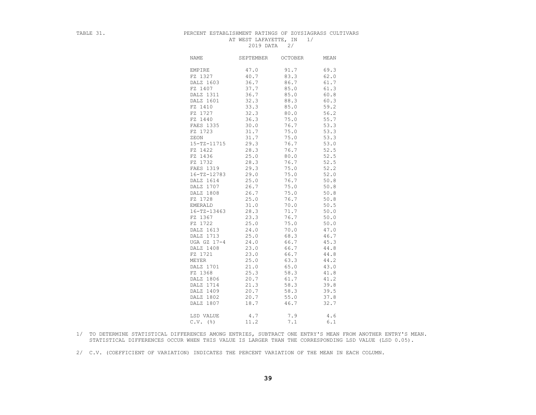# TABLE 31. PERCENT ESTABLISHMENT RATINGS OF ZOYSIAGRASS CULTIVARS AT WEST LAFAYETTE, IN 1/ 2019 DATA 2/

| NAME              | SEPTEMBER | <b>OCTOBER</b> | MEAN |
|-------------------|-----------|----------------|------|
| EMPIRE            | 47.0      | 91.7           | 69.3 |
| FZ 1327           | 40.7      | 83.3           | 62.0 |
| DALZ 1603         | 36.7      | 86.7           | 61.7 |
| FZ 1407           | 37.7      | 85.0           | 61.3 |
| DALZ 1311         | 36.7      | 85.0           | 60.8 |
| DALZ 1601         | 32.3      | 88.3           | 60.3 |
| FZ 1410           | 33.3      | 85.0           | 59.2 |
| FZ 1727           | 32.3      | 80.0           | 56.2 |
| FZ 1440           | 36.3      | 75.0           | 55.7 |
| FAES 1335         | 30.0      | 76.7           | 53.3 |
| FZ 1723           | 31.7      | 75.0           | 53.3 |
| ZEON              | 31.7      | 75.0           | 53.3 |
| 15-TZ-11715       | 29.3      | 76.7           | 53.0 |
| FZ 1422           | 28.3      | 76.7           | 52.5 |
| FZ 1436           | 25.0      | 80.0           | 52.5 |
| FZ 1732           | 28.3      | 76.7           | 52.5 |
| FAES 1319         | 29.3      | 75.0           | 52.2 |
| 16-TZ-12783       | 29.0      | 75.0           | 52.0 |
| DALZ 1614         | 25.0      | 76.7           | 50.8 |
| DALZ 1707         | 26.7      | 75.0           | 50.8 |
| DALZ 1808         | 26.7      | 75.0           | 50.8 |
| FZ 1728           | 25.0      | 76.7           | 50.8 |
| EMERALD           | 31.0      | 70.0           | 50.5 |
| $16 - TZ - 13463$ | 28.3      | 71.7           | 50.0 |
| FZ 1367           | 23.3      | 76.7           | 50.0 |
| FZ 1722           | 25.0      | 75.0           | 50.0 |
| DALZ 1613         | 24.0      | 70.0           | 47.0 |
| DALZ 1713         | 25.0      | 68.3           | 46.7 |
| UGA GZ 17-4       | 24.0      | 66.7           | 45.3 |
| DALZ 1408         | 23.0      | 66.7           | 44.8 |
| FZ 1721           | 23.0      | 66.7           | 44.8 |
| MEYER             | 25.0      | 63.3           | 44.2 |
| DALZ 1701         | 21.0      | 65.0           | 43.0 |
| FZ 1368           | 25.3      | 58.3           | 41.8 |
| DALZ 1806         | 20.7      | 61.7           | 41.2 |
| DALZ 1714         | 21.3      | 58.3           | 39.8 |
| DALZ 1409         | 20.7      | 58.3           | 39.5 |
| DALZ 1802         | 20.7      | 55.0           | 37.8 |
| DALZ 1807         | 18.7      | 46.7           | 32.7 |
|                   |           |                |      |
| LSD VALUE         | 4.7       | 7.9            | 4.6  |
| $C.V.$ (%)        | 11.2      | 7.1            | 6.1  |

 1/ TO DETERMINE STATISTICAL DIFFERENCES AMONG ENTRIES, SUBTRACT ONE ENTRY'S MEAN FROM ANOTHER ENTRY'S MEAN. STATISTICAL DIFFERENCES OCCUR WHEN THIS VALUE IS LARGER THAN THE CORRESPONDING LSD VALUE (LSD 0.05).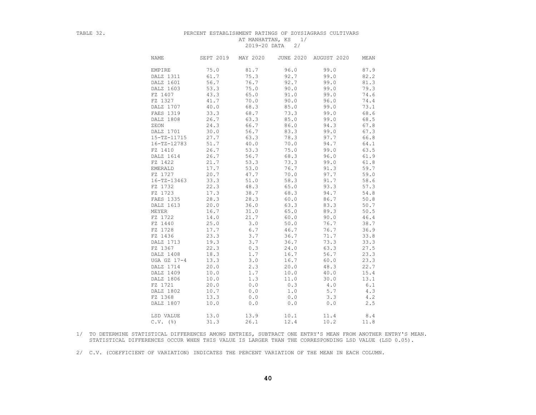## TABLE 32. PERCENT ESTABLISHMENT RATINGS OF ZOYSIAGRASS CULTIVARS AT MANHATTAN, KS 1/ 2019-20 DATA 2/

| NAME              | SEPT 2019 | MAY 2020 |      | JUNE 2020 AUGUST 2020 | MEAN |
|-------------------|-----------|----------|------|-----------------------|------|
| EMPIRE            | 75.0      | 81.7     | 96.0 | 99.0                  | 87.9 |
| DALZ 1311         | 61.7      | 75.3     | 92.7 | 99.0                  | 82.2 |
| DALZ 1601         | 56.7      | 76.7     | 92.7 | 99.0                  | 81.3 |
| DALZ 1603         | 53.3      | 75.0     | 90.0 | 99.0                  | 79.3 |
| FZ 1407           | 43.3      | 65.0     | 91.0 | 99.0                  | 74.6 |
| FZ 1327           | 41.7      | 70.0     | 90.0 | 96.0                  | 74.4 |
| DALZ 1707         | 40.0      | 68.3     | 85.0 | 99.0                  | 73.1 |
| FAES 1319         | 33.3      | 68.7     | 73.3 | 99.0                  | 68.6 |
| DALZ 1808         | 26.7      | 63.3     | 85.0 | 99.0                  | 68.5 |
| ZEON              | 24.3      | 66.7     | 86.0 | 94.3                  | 67.8 |
| DALZ 1701         | 30.0      | 56.7     | 83.3 | 99.0                  | 67.3 |
| 15-TZ-11715       | 27.7      | 63.3     | 78.3 | 97.7                  | 66.8 |
| $16 - TZ - 12783$ | 51.7      | 40.0     | 70.0 | 94.7                  | 64.1 |
| FZ 1410           | 26.7      | 53.3     | 75.0 | 99.0                  | 63.5 |
| DALZ 1614         | 26.7      | 56.7     | 68.3 | 96.0                  | 61.9 |
| FZ 1422           | 21.7      | 53.3     | 73.3 | 99.0                  | 61.8 |
| EMERALD           | 17.7      | 53.0     | 76.7 | 91.3                  | 59.7 |
| FZ 1727           | 20.7      | 47.7     | 70.0 | 97.7                  | 59.0 |
| $16 - TZ - 13463$ | 33.3      | 51.0     | 58.3 | 91.7                  | 58.6 |
| FZ 1732           | 22.3      | 48.3     | 65.0 | 93.3                  | 57.3 |
| FZ 1723           | 17.3      | 38.7     | 68.3 | 94.7                  | 54.8 |
| FAES 1335         | 28.3      | 28.3     | 60.0 | 86.7                  | 50.8 |
| DALZ 1613         | 20.0      | 36.0     | 63.3 | 83.3                  | 50.7 |
| MEYER             | 16.7      | 31.0     | 65.0 | 89.3                  | 50.5 |
| FZ 1722           | 14.0      | 21.7     | 60.0 | 90.0                  | 46.4 |
| FZ 1440           | 25.0      | 3.0      | 50.0 | 76.7                  | 38.7 |
| FZ 1728           | 17.7      | 6.7      | 46.7 | 76.7                  | 36.9 |
| FZ 1436           | 23.3      | 3.7      | 36.7 | 71.7                  | 33.8 |
| DALZ 1713         | 19.3      | 3.7      | 36.7 | 73.3                  | 33.3 |
| FZ 1367           | 22.3      | 0.3      | 24.0 | 63.3                  | 27.5 |
| DALZ 1408         | 18.3      | 1.7      | 16.7 | 56.7                  | 23.3 |
| UGA GZ 17-4       | 13.3      | 3.0      | 16.7 | 60.0                  | 23.3 |
| DALZ 1714         | 20.0      | 2.3      | 20.0 | 48.3                  | 22.7 |
| DALZ 1409         | 10.0      | 1.7      | 10.0 | 40.0                  | 15.4 |
| DALZ 1806         | 10.0      | 1.3      | 11.0 | 30.0                  | 13.1 |
| FZ 1721           | 20.0      | 0.0      | 0.3  | 4.0                   | 6.1  |
| DALZ 1802         | 10.7      | 0.0      | 1.0  | 5.7                   | 4.3  |
| FZ 1368           | 13.3      | 0.0      | 0.0  | 3.3                   | 4.2  |
| DALZ 1807         | 10.0      | 0.0      | 0.0  | 0.0                   | 2.5  |
|                   |           |          |      |                       |      |
| LSD VALUE         | 13.0      | 13.9     | 10.1 | 11.4                  | 8.4  |
| $C.V.$ (%)        | 31.3      | 26.1     | 12.4 | 10.2                  | 11.8 |
|                   |           |          |      |                       |      |

 1/ TO DETERMINE STATISTICAL DIFFERENCES AMONG ENTRIES, SUBTRACT ONE ENTRY'S MEAN FROM ANOTHER ENTRY'S MEAN. STATISTICAL DIFFERENCES OCCUR WHEN THIS VALUE IS LARGER THAN THE CORRESPONDING LSD VALUE (LSD 0.05).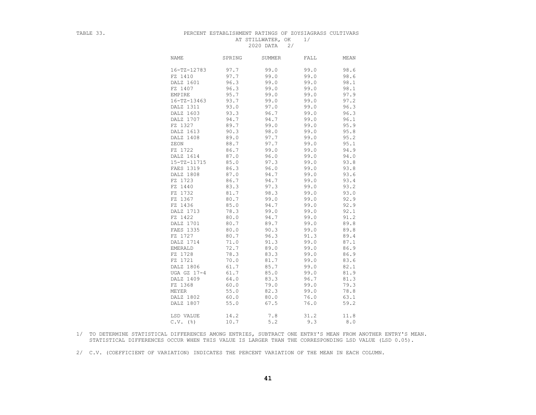### TABLE 33. PERCENT ESTABLISHMENT RATINGS OF ZOYSIAGRASS CULTIVARS AT STILLWATER, OK 1/ 2020 DATA 2/

| 99.0<br>98.6<br>16-TZ-12783<br>97.7<br>99.0<br>97.7<br>99.0<br>99.0<br>98.6<br>FZ 1410<br>DALZ 1601<br>96.3<br>99.0<br>99.0<br>98.1<br>FZ 1407<br>96.3<br>99.0<br>99.0<br>98.1<br>95.7<br>99.0<br>97.9<br>EMPIRE<br>99.0<br>93.7<br>99.0<br>97.2<br>$16 - TZ - 13463$<br>99.0<br>DALZ 1311<br>93.0<br>97.0<br>99.0<br>96.3<br>DALZ 1603<br>93.3<br>96.7<br>99.0<br>96.3<br>DALZ 1707<br>94.7<br>94.7<br>99.0<br>96.1<br>FZ 1327<br>89.7<br>99.0<br>99.0<br>95.9<br>DALZ 1613<br>90.3<br>98.0<br>99.0<br>95.8<br>95.2<br>DALZ 1408<br>89.0<br>97.7<br>99.0<br>88.7<br>97.7<br>99.0<br>95.1<br>ZEON<br>FZ 1722<br>86.7<br>99.0<br>99.0<br>94.9<br>87.0<br>96.0<br>99.0<br>94.0<br>DALZ 1614<br>85.0<br>97.3<br>99.0<br>93.8<br>15-TZ-11715<br>96.0<br>93.8<br>FAES 1319<br>86.3<br>99.0<br>93.6<br>DALZ 1808<br>87.0<br>94.7<br>99.0<br>FZ 1723<br>86.7<br>94.7<br>99.0<br>93.4<br>FZ 1440<br>97.3<br>99.0<br>93.2<br>83.3<br>93.0<br>98.3<br>FZ 1732<br>81.7<br>99.0<br>80.7<br>92.9<br>FZ 1367<br>99.0<br>99.0<br>92.9<br>FZ 1436<br>85.0<br>94.7<br>99.0<br>DALZ 1713<br>78.3<br>99.0<br>99.0<br>92.1<br>FZ 1422<br>91.2<br>80.0<br>94.7<br>99.0<br>89.8<br>DALZ 1701<br>89.7<br>99.0<br>80.7<br>FAES 1335<br>90.3<br>99.0<br>89.8<br>80.0<br>FZ 1727<br>80.7<br>96.3<br>91.3<br>89.4<br>DALZ 1714<br>91.3<br>99.0<br>87.1<br>71.0<br>72.7<br>89.0<br>99.0<br>86.9<br>EMERALD<br>FZ 1728<br>78.3<br>83.3<br>86.9<br>99.0<br>FZ 1721<br>70.0<br>81.7<br>99.0<br>83.6<br>DALZ 1806<br>61.7<br>85.7<br>99.0<br>82.1<br>61.7<br>85.0<br>81.9<br>UGA GZ 17-4<br>99.0<br>DALZ 1409<br>64.0<br>83.3<br>96.7<br>81.3<br>FZ 1368<br>60.0<br>79.0<br>99.0<br>79.3<br>82.3<br>78.8<br>MEYER<br>55.0<br>99.0<br>DALZ 1802<br>60.0<br>80.0<br>76.0<br>63.1<br>DALZ 1807<br>67.5<br>76.0<br>59.2<br>55.0<br>LSD VALUE<br>14.2<br>31.2<br>7.8<br>11.8<br>5.2<br>9.3<br>$C.V.$ (%)<br>10.7<br>8.0 | <b>NAME</b> | SPRING | <b>SUMMER</b> | FALL | MEAN |
|------------------------------------------------------------------------------------------------------------------------------------------------------------------------------------------------------------------------------------------------------------------------------------------------------------------------------------------------------------------------------------------------------------------------------------------------------------------------------------------------------------------------------------------------------------------------------------------------------------------------------------------------------------------------------------------------------------------------------------------------------------------------------------------------------------------------------------------------------------------------------------------------------------------------------------------------------------------------------------------------------------------------------------------------------------------------------------------------------------------------------------------------------------------------------------------------------------------------------------------------------------------------------------------------------------------------------------------------------------------------------------------------------------------------------------------------------------------------------------------------------------------------------------------------------------------------------------------------------------------------------------------------------------------------------------------------------------------------------------------------------------------------------------------------------------------------------------------------------------------------------------|-------------|--------|---------------|------|------|
|                                                                                                                                                                                                                                                                                                                                                                                                                                                                                                                                                                                                                                                                                                                                                                                                                                                                                                                                                                                                                                                                                                                                                                                                                                                                                                                                                                                                                                                                                                                                                                                                                                                                                                                                                                                                                                                                                    |             |        |               |      |      |
|                                                                                                                                                                                                                                                                                                                                                                                                                                                                                                                                                                                                                                                                                                                                                                                                                                                                                                                                                                                                                                                                                                                                                                                                                                                                                                                                                                                                                                                                                                                                                                                                                                                                                                                                                                                                                                                                                    |             |        |               |      |      |
|                                                                                                                                                                                                                                                                                                                                                                                                                                                                                                                                                                                                                                                                                                                                                                                                                                                                                                                                                                                                                                                                                                                                                                                                                                                                                                                                                                                                                                                                                                                                                                                                                                                                                                                                                                                                                                                                                    |             |        |               |      |      |
|                                                                                                                                                                                                                                                                                                                                                                                                                                                                                                                                                                                                                                                                                                                                                                                                                                                                                                                                                                                                                                                                                                                                                                                                                                                                                                                                                                                                                                                                                                                                                                                                                                                                                                                                                                                                                                                                                    |             |        |               |      |      |
|                                                                                                                                                                                                                                                                                                                                                                                                                                                                                                                                                                                                                                                                                                                                                                                                                                                                                                                                                                                                                                                                                                                                                                                                                                                                                                                                                                                                                                                                                                                                                                                                                                                                                                                                                                                                                                                                                    |             |        |               |      |      |
|                                                                                                                                                                                                                                                                                                                                                                                                                                                                                                                                                                                                                                                                                                                                                                                                                                                                                                                                                                                                                                                                                                                                                                                                                                                                                                                                                                                                                                                                                                                                                                                                                                                                                                                                                                                                                                                                                    |             |        |               |      |      |
|                                                                                                                                                                                                                                                                                                                                                                                                                                                                                                                                                                                                                                                                                                                                                                                                                                                                                                                                                                                                                                                                                                                                                                                                                                                                                                                                                                                                                                                                                                                                                                                                                                                                                                                                                                                                                                                                                    |             |        |               |      |      |
|                                                                                                                                                                                                                                                                                                                                                                                                                                                                                                                                                                                                                                                                                                                                                                                                                                                                                                                                                                                                                                                                                                                                                                                                                                                                                                                                                                                                                                                                                                                                                                                                                                                                                                                                                                                                                                                                                    |             |        |               |      |      |
|                                                                                                                                                                                                                                                                                                                                                                                                                                                                                                                                                                                                                                                                                                                                                                                                                                                                                                                                                                                                                                                                                                                                                                                                                                                                                                                                                                                                                                                                                                                                                                                                                                                                                                                                                                                                                                                                                    |             |        |               |      |      |
|                                                                                                                                                                                                                                                                                                                                                                                                                                                                                                                                                                                                                                                                                                                                                                                                                                                                                                                                                                                                                                                                                                                                                                                                                                                                                                                                                                                                                                                                                                                                                                                                                                                                                                                                                                                                                                                                                    |             |        |               |      |      |
|                                                                                                                                                                                                                                                                                                                                                                                                                                                                                                                                                                                                                                                                                                                                                                                                                                                                                                                                                                                                                                                                                                                                                                                                                                                                                                                                                                                                                                                                                                                                                                                                                                                                                                                                                                                                                                                                                    |             |        |               |      |      |
|                                                                                                                                                                                                                                                                                                                                                                                                                                                                                                                                                                                                                                                                                                                                                                                                                                                                                                                                                                                                                                                                                                                                                                                                                                                                                                                                                                                                                                                                                                                                                                                                                                                                                                                                                                                                                                                                                    |             |        |               |      |      |
|                                                                                                                                                                                                                                                                                                                                                                                                                                                                                                                                                                                                                                                                                                                                                                                                                                                                                                                                                                                                                                                                                                                                                                                                                                                                                                                                                                                                                                                                                                                                                                                                                                                                                                                                                                                                                                                                                    |             |        |               |      |      |
|                                                                                                                                                                                                                                                                                                                                                                                                                                                                                                                                                                                                                                                                                                                                                                                                                                                                                                                                                                                                                                                                                                                                                                                                                                                                                                                                                                                                                                                                                                                                                                                                                                                                                                                                                                                                                                                                                    |             |        |               |      |      |
|                                                                                                                                                                                                                                                                                                                                                                                                                                                                                                                                                                                                                                                                                                                                                                                                                                                                                                                                                                                                                                                                                                                                                                                                                                                                                                                                                                                                                                                                                                                                                                                                                                                                                                                                                                                                                                                                                    |             |        |               |      |      |
|                                                                                                                                                                                                                                                                                                                                                                                                                                                                                                                                                                                                                                                                                                                                                                                                                                                                                                                                                                                                                                                                                                                                                                                                                                                                                                                                                                                                                                                                                                                                                                                                                                                                                                                                                                                                                                                                                    |             |        |               |      |      |
|                                                                                                                                                                                                                                                                                                                                                                                                                                                                                                                                                                                                                                                                                                                                                                                                                                                                                                                                                                                                                                                                                                                                                                                                                                                                                                                                                                                                                                                                                                                                                                                                                                                                                                                                                                                                                                                                                    |             |        |               |      |      |
|                                                                                                                                                                                                                                                                                                                                                                                                                                                                                                                                                                                                                                                                                                                                                                                                                                                                                                                                                                                                                                                                                                                                                                                                                                                                                                                                                                                                                                                                                                                                                                                                                                                                                                                                                                                                                                                                                    |             |        |               |      |      |
|                                                                                                                                                                                                                                                                                                                                                                                                                                                                                                                                                                                                                                                                                                                                                                                                                                                                                                                                                                                                                                                                                                                                                                                                                                                                                                                                                                                                                                                                                                                                                                                                                                                                                                                                                                                                                                                                                    |             |        |               |      |      |
|                                                                                                                                                                                                                                                                                                                                                                                                                                                                                                                                                                                                                                                                                                                                                                                                                                                                                                                                                                                                                                                                                                                                                                                                                                                                                                                                                                                                                                                                                                                                                                                                                                                                                                                                                                                                                                                                                    |             |        |               |      |      |
|                                                                                                                                                                                                                                                                                                                                                                                                                                                                                                                                                                                                                                                                                                                                                                                                                                                                                                                                                                                                                                                                                                                                                                                                                                                                                                                                                                                                                                                                                                                                                                                                                                                                                                                                                                                                                                                                                    |             |        |               |      |      |
|                                                                                                                                                                                                                                                                                                                                                                                                                                                                                                                                                                                                                                                                                                                                                                                                                                                                                                                                                                                                                                                                                                                                                                                                                                                                                                                                                                                                                                                                                                                                                                                                                                                                                                                                                                                                                                                                                    |             |        |               |      |      |
|                                                                                                                                                                                                                                                                                                                                                                                                                                                                                                                                                                                                                                                                                                                                                                                                                                                                                                                                                                                                                                                                                                                                                                                                                                                                                                                                                                                                                                                                                                                                                                                                                                                                                                                                                                                                                                                                                    |             |        |               |      |      |
|                                                                                                                                                                                                                                                                                                                                                                                                                                                                                                                                                                                                                                                                                                                                                                                                                                                                                                                                                                                                                                                                                                                                                                                                                                                                                                                                                                                                                                                                                                                                                                                                                                                                                                                                                                                                                                                                                    |             |        |               |      |      |
|                                                                                                                                                                                                                                                                                                                                                                                                                                                                                                                                                                                                                                                                                                                                                                                                                                                                                                                                                                                                                                                                                                                                                                                                                                                                                                                                                                                                                                                                                                                                                                                                                                                                                                                                                                                                                                                                                    |             |        |               |      |      |
|                                                                                                                                                                                                                                                                                                                                                                                                                                                                                                                                                                                                                                                                                                                                                                                                                                                                                                                                                                                                                                                                                                                                                                                                                                                                                                                                                                                                                                                                                                                                                                                                                                                                                                                                                                                                                                                                                    |             |        |               |      |      |
|                                                                                                                                                                                                                                                                                                                                                                                                                                                                                                                                                                                                                                                                                                                                                                                                                                                                                                                                                                                                                                                                                                                                                                                                                                                                                                                                                                                                                                                                                                                                                                                                                                                                                                                                                                                                                                                                                    |             |        |               |      |      |
|                                                                                                                                                                                                                                                                                                                                                                                                                                                                                                                                                                                                                                                                                                                                                                                                                                                                                                                                                                                                                                                                                                                                                                                                                                                                                                                                                                                                                                                                                                                                                                                                                                                                                                                                                                                                                                                                                    |             |        |               |      |      |
|                                                                                                                                                                                                                                                                                                                                                                                                                                                                                                                                                                                                                                                                                                                                                                                                                                                                                                                                                                                                                                                                                                                                                                                                                                                                                                                                                                                                                                                                                                                                                                                                                                                                                                                                                                                                                                                                                    |             |        |               |      |      |
|                                                                                                                                                                                                                                                                                                                                                                                                                                                                                                                                                                                                                                                                                                                                                                                                                                                                                                                                                                                                                                                                                                                                                                                                                                                                                                                                                                                                                                                                                                                                                                                                                                                                                                                                                                                                                                                                                    |             |        |               |      |      |
|                                                                                                                                                                                                                                                                                                                                                                                                                                                                                                                                                                                                                                                                                                                                                                                                                                                                                                                                                                                                                                                                                                                                                                                                                                                                                                                                                                                                                                                                                                                                                                                                                                                                                                                                                                                                                                                                                    |             |        |               |      |      |
|                                                                                                                                                                                                                                                                                                                                                                                                                                                                                                                                                                                                                                                                                                                                                                                                                                                                                                                                                                                                                                                                                                                                                                                                                                                                                                                                                                                                                                                                                                                                                                                                                                                                                                                                                                                                                                                                                    |             |        |               |      |      |
|                                                                                                                                                                                                                                                                                                                                                                                                                                                                                                                                                                                                                                                                                                                                                                                                                                                                                                                                                                                                                                                                                                                                                                                                                                                                                                                                                                                                                                                                                                                                                                                                                                                                                                                                                                                                                                                                                    |             |        |               |      |      |
|                                                                                                                                                                                                                                                                                                                                                                                                                                                                                                                                                                                                                                                                                                                                                                                                                                                                                                                                                                                                                                                                                                                                                                                                                                                                                                                                                                                                                                                                                                                                                                                                                                                                                                                                                                                                                                                                                    |             |        |               |      |      |
|                                                                                                                                                                                                                                                                                                                                                                                                                                                                                                                                                                                                                                                                                                                                                                                                                                                                                                                                                                                                                                                                                                                                                                                                                                                                                                                                                                                                                                                                                                                                                                                                                                                                                                                                                                                                                                                                                    |             |        |               |      |      |
|                                                                                                                                                                                                                                                                                                                                                                                                                                                                                                                                                                                                                                                                                                                                                                                                                                                                                                                                                                                                                                                                                                                                                                                                                                                                                                                                                                                                                                                                                                                                                                                                                                                                                                                                                                                                                                                                                    |             |        |               |      |      |
|                                                                                                                                                                                                                                                                                                                                                                                                                                                                                                                                                                                                                                                                                                                                                                                                                                                                                                                                                                                                                                                                                                                                                                                                                                                                                                                                                                                                                                                                                                                                                                                                                                                                                                                                                                                                                                                                                    |             |        |               |      |      |
|                                                                                                                                                                                                                                                                                                                                                                                                                                                                                                                                                                                                                                                                                                                                                                                                                                                                                                                                                                                                                                                                                                                                                                                                                                                                                                                                                                                                                                                                                                                                                                                                                                                                                                                                                                                                                                                                                    |             |        |               |      |      |
|                                                                                                                                                                                                                                                                                                                                                                                                                                                                                                                                                                                                                                                                                                                                                                                                                                                                                                                                                                                                                                                                                                                                                                                                                                                                                                                                                                                                                                                                                                                                                                                                                                                                                                                                                                                                                                                                                    |             |        |               |      |      |
|                                                                                                                                                                                                                                                                                                                                                                                                                                                                                                                                                                                                                                                                                                                                                                                                                                                                                                                                                                                                                                                                                                                                                                                                                                                                                                                                                                                                                                                                                                                                                                                                                                                                                                                                                                                                                                                                                    |             |        |               |      |      |
|                                                                                                                                                                                                                                                                                                                                                                                                                                                                                                                                                                                                                                                                                                                                                                                                                                                                                                                                                                                                                                                                                                                                                                                                                                                                                                                                                                                                                                                                                                                                                                                                                                                                                                                                                                                                                                                                                    |             |        |               |      |      |
|                                                                                                                                                                                                                                                                                                                                                                                                                                                                                                                                                                                                                                                                                                                                                                                                                                                                                                                                                                                                                                                                                                                                                                                                                                                                                                                                                                                                                                                                                                                                                                                                                                                                                                                                                                                                                                                                                    |             |        |               |      |      |

 1/ TO DETERMINE STATISTICAL DIFFERENCES AMONG ENTRIES, SUBTRACT ONE ENTRY'S MEAN FROM ANOTHER ENTRY'S MEAN. STATISTICAL DIFFERENCES OCCUR WHEN THIS VALUE IS LARGER THAN THE CORRESPONDING LSD VALUE (LSD 0.05).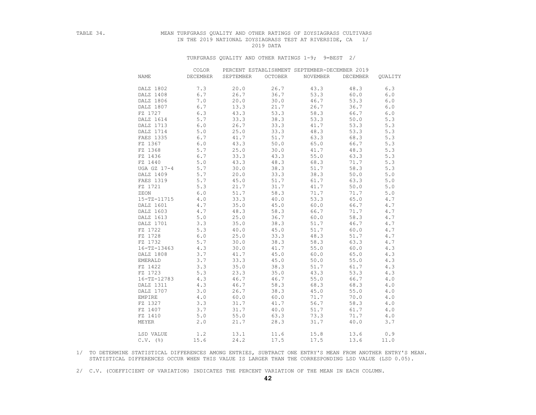## TABLE 34. MEAN TURFGRASS QUALITY AND OTHER RATINGS OF ZOYSIAGRASS CULTIVARS IN THE 2019 NATIONAL ZOYSIAGRASS TEST AT RIVERSIDE, CA 1/ 2019 DATA

### TURFGRASS QUALITY AND OTHER RATINGS 1-9; 9=BEST 2/

|                   | COLOR           |           |                | PERCENT ESTABLISHMENT SEPTEMBER-DECEMBER 2019 |                 |         |
|-------------------|-----------------|-----------|----------------|-----------------------------------------------|-----------------|---------|
| NAME              | <b>DECEMBER</b> | SEPTEMBER | <b>OCTOBER</b> | NOVEMBER                                      | <b>DECEMBER</b> | QUALITY |
| DALZ 1802         | 7.3             | 20.0      | 26.7           | 43.3                                          | 48.3            | 6.3     |
| DALZ 1408         | 6.7             | 26.7      | 36.7           | 53.3                                          | 60.0            | 6.0     |
| DALZ 1806         | 7.0             | 20.0      | 30.0           | 46.7                                          | 53.3            | 6.0     |
| DALZ 1807         | 6.7             | 13.3      | 21.7           | 26.7                                          | 36.7            | $6.0$   |
| FZ 1727           | 6.3             | 43.3      | 53.3           | 58.3                                          | 66.7            | 6.0     |
| DALZ 1614         | 5.7             | 33.3      | 38.3           | 53.3                                          | 50.0            | 5.3     |
| DALZ 1713         | 6.0             | 26.7      | 33.3           | 41.7                                          | 53.3            | 5.3     |
| DALZ 1714         | 5.0             | 25.0      | 33.3           | 48.3                                          | 53.3            | 5.3     |
| FAES 1335         | 6.7             | 41.7      | 51.7           | 63.3                                          | 68.3            | 5.3     |
| FZ 1367           | 6.0             | 43.3      | 50.0           | 65.0                                          | 66.7            | 5.3     |
| FZ 1368           | 5.7             | 25.0      | 30.0           | 41.7                                          | 48.3            | 5.3     |
| FZ 1436           | 6.7             | 33.3      | 43.3           | 55.0                                          | 63.3            | 5.3     |
| FZ 1440           | 5.0             | 43.3      | 48.3           | 68.3                                          | 71.7            | 5.3     |
| UGA GZ 17-4       | 5.7             | 30.0      | 38.3           | 51.7                                          | 58.3            | 5.3     |
| DALZ 1409         | 5.7             | 20.0      | 33.3           | 38.3                                          | 50.0            | 5.0     |
| FAES 1319         | 5.7             | 45.0      | 51.7           | 61.7                                          | 63.3            | 5.0     |
| FZ 1721           | 5.3             | 21.7      | 31.7           | 41.7                                          | 50.0            | 5.0     |
| ZEON              | 6.0             | 51.7      | 58.3           | 71.7                                          | 71.7            | 5.0     |
| 15-TZ-11715       | 4.0             | 33.3      | 40.0           | 53.3                                          | 65.0            | 4.7     |
| DALZ 1601         | 4.7             | 35.0      | 45.0           | 60.0                                          | 66.7            | 4.7     |
| DALZ 1603         | 4.7             | 48.3      | 58.3           | 66.7                                          | 71.7            | 4.7     |
| DALZ 1613         | 5.0             | 25.0      | 36.7           | 60.0                                          | 58.3            | 4.7     |
| DALZ 1701         | 3.3             | 35.0      | 38.3           | 51.7                                          | 46.7            | 4.7     |
| FZ 1722           | 5.3             | 40.0      | 45.0           | 51.7                                          | 60.0            | 4.7     |
| FZ 1728           | 6.0             | 25.0      | 33.3           | 48.3                                          | 51.7            | 4.7     |
| FZ 1732           | 5.7             | 30.0      | 38.3           | 58.3                                          | 63.3            | 4.7     |
| $16 - TZ - 13463$ | 4.3             | 30.0      | 41.7           | 55.0                                          | 60.0            | 4.3     |
| DALZ 1808         | 3.7             | 41.7      | 45.0           | 60.0                                          | 65.0            | 4.3     |
| EMERALD           | 3.7             | 33.3      | 45.0           | 50.0                                          | 55.0            | 4.3     |
| FZ 1422           | 3.3             | 35.0      | 38.3           | 51.7                                          | 61.7            | 4.3     |
| FZ 1723           | 5.3             | 23.3      | 35.0           | 43.3                                          | 53.3            | 4.3     |
| 16-TZ-12783       | 4.3             | 46.7      | 46.7           | 55.0                                          | 66.7            | 4.0     |
| DALZ 1311         | 4.3             | 46.7      | 58.3           | 68.3                                          | 68.3            | 4.0     |
| DALZ 1707         | 3.0             | 26.7      | 38.3           | 45.0                                          | 55.0            | 4.0     |
| EMPIRE            | 4.0             | 60.0      | 60.0           | 71.7                                          | 70.0            | 4.0     |
| FZ 1327           | 3.3             | 31.7      | 41.7           | 56.7                                          | 58.3            | 4.0     |
| FZ 1407           | 3.7             | 31.7      | 40.0           | 51.7                                          | 61.7            | 4.0     |
| FZ 1410           | 5.0             | 55.0      | 63.3           | 73.3                                          | 71.7            | 4.0     |
| MEYER             | 2.0             | 21.7      | 28.3           | 31.7                                          | 40.0            | 3.7     |
| LSD VALUE         | 1.2             | 13.1      | 11.6           | 15.8                                          | 13.6            | 0.9     |
| $C.V.$ (%)        | 15.6            | 24.2      | 17.5           | 17.5                                          | 13.6            | 11.0    |

 1/ TO DETERMINE STATISTICAL DIFFERENCES AMONG ENTRIES, SUBTRACT ONE ENTRY'S MEAN FROM ANOTHER ENTRY'S MEAN. STATISTICAL DIFFERENCES OCCUR WHEN THIS VALUE IS LARGER THAN THE CORRESPONDING LSD VALUE (LSD 0.05).